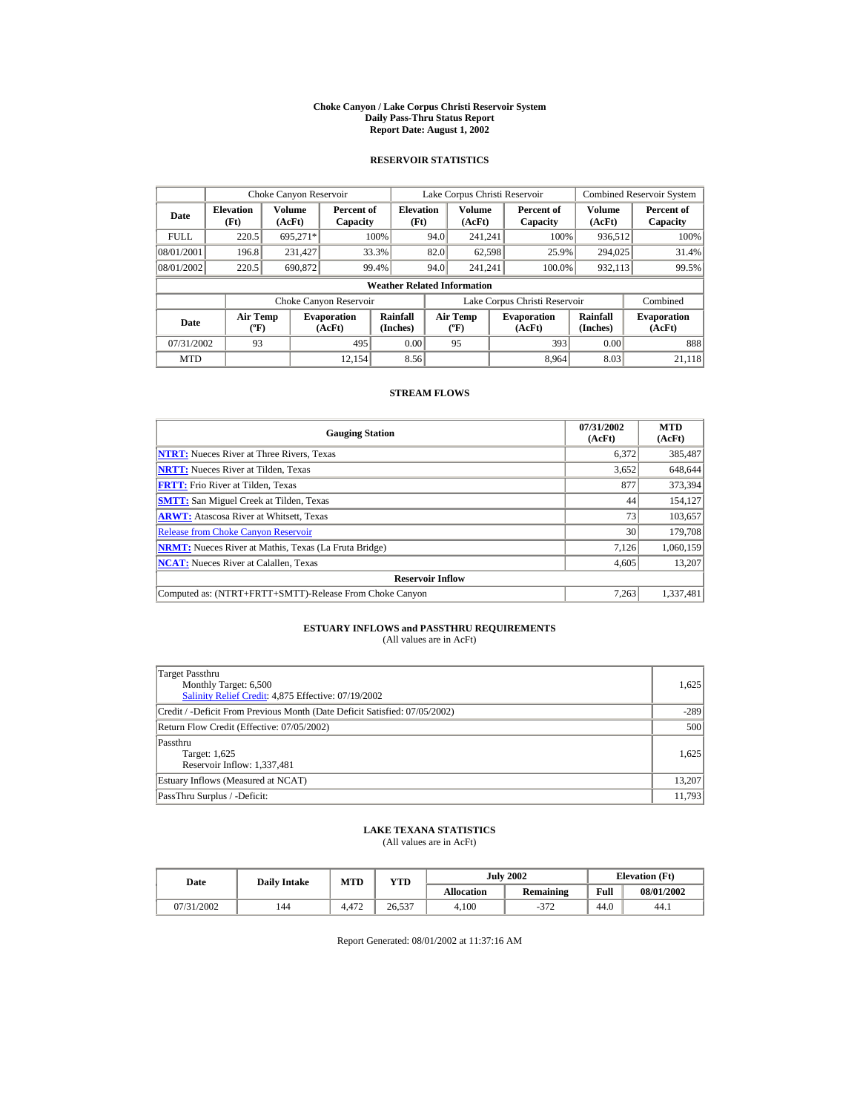#### **Choke Canyon / Lake Corpus Christi Reservoir System Daily Pass-Thru Status Report Report Date: August 1, 2002**

## **RESERVOIR STATISTICS**

|                                  | Choke Canyon Reservoir                      |                  |                              |                             |                               | Lake Corpus Christi Reservoir           |  |                              |                         | <b>Combined Reservoir System</b> |
|----------------------------------|---------------------------------------------|------------------|------------------------------|-----------------------------|-------------------------------|-----------------------------------------|--|------------------------------|-------------------------|----------------------------------|
| <b>Elevation</b><br>Date<br>(Ft) |                                             | Volume<br>(AcFt) | Percent of<br>Capacity       | <b>Elevation</b><br>(Ft)    |                               | Volume<br>(AcFt)                        |  | Percent of<br>Capacity       | <b>Volume</b><br>(AcFt) | Percent of<br>Capacity           |
| <b>FULL</b>                      | 220.5                                       | 695.271*         |                              | 100%                        | 94.0                          | 241.241                                 |  | 100%                         | 936,512                 | 100%                             |
| 08/01/2001                       | 196.8                                       | 231,427          |                              | 33.3%                       | 82.0                          | 62,598                                  |  | 25.9%                        | 294,025                 | 31.4%                            |
| 08/01/2002                       | 220.5                                       | 690,872          |                              | 99.4%                       | 94.0                          | 241.241                                 |  | 100.0%                       | 932,113                 | 99.5%                            |
|                                  | <b>Weather Related Information</b>          |                  |                              |                             |                               |                                         |  |                              |                         |                                  |
|                                  |                                             |                  | Choke Canyon Reservoir       |                             | Lake Corpus Christi Reservoir |                                         |  |                              | Combined                |                                  |
| Date                             | <b>Air Temp</b><br>$({}^{\circ}\mathrm{F})$ |                  | <b>Evaporation</b><br>(AcFt) | <b>Rainfall</b><br>(Inches) |                               | <b>Air Temp</b><br>$(^{\circ}\text{F})$ |  | <b>Evaporation</b><br>(AcFt) | Rainfall<br>(Inches)    | <b>Evaporation</b><br>(AcFt)     |
| 07/31/2002                       | 93                                          |                  | 495                          | 0.00                        |                               | 95                                      |  | 393                          | 0.00                    | 888                              |
| <b>MTD</b>                       |                                             |                  | 12.154                       | 8.56                        |                               |                                         |  | 8.964                        | 8.03                    | 21.118                           |

## **STREAM FLOWS**

| <b>Gauging Station</b>                                       | 07/31/2002<br>(AcFt) | <b>MTD</b><br>(AcFt) |
|--------------------------------------------------------------|----------------------|----------------------|
| <b>NTRT:</b> Nueces River at Three Rivers, Texas             | 6,372                | 385,487              |
| <b>NRTT:</b> Nueces River at Tilden, Texas                   | 3,652                | 648,644              |
| <b>FRTT:</b> Frio River at Tilden, Texas                     | 877                  | 373,394              |
| <b>SMTT:</b> San Miguel Creek at Tilden, Texas               | 44                   | 154,127              |
| <b>ARWT:</b> Atascosa River at Whitsett, Texas               | 73                   | 103,657              |
| <b>Release from Choke Canyon Reservoir</b>                   | 30                   | 179,708              |
| <b>NRMT:</b> Nueces River at Mathis, Texas (La Fruta Bridge) | 7.126                | 1,060,159            |
| <b>NCAT:</b> Nueces River at Calallen. Texas                 | 4.605                | 13.207               |
| <b>Reservoir Inflow</b>                                      |                      |                      |
| Computed as: (NTRT+FRTT+SMTT)-Release From Choke Canyon      | 7.263                | 1,337,481            |

# **ESTUARY INFLOWS and PASSTHRU REQUIREMENTS**<br>(All values are in AcFt)

| Target Passthru<br>Monthly Target: 6,500<br>Salinity Relief Credit: 4,875 Effective: 07/19/2002 | 1.625  |
|-------------------------------------------------------------------------------------------------|--------|
| Credit / -Deficit From Previous Month (Date Deficit Satisfied: 07/05/2002)                      | $-289$ |
| Return Flow Credit (Effective: 07/05/2002)                                                      | 500    |
| Passthru<br>Target: 1,625<br>Reservoir Inflow: 1,337,481                                        | 1.625  |
| Estuary Inflows (Measured at NCAT)                                                              | 13,207 |
| PassThru Surplus / -Deficit:                                                                    | 11,793 |

## **LAKE TEXANA STATISTICS**

(All values are in AcFt)

| Date       | <b>Daily Intake</b> | <b>MTD</b> | YTD    | <b>July 2002</b>  |           |      | <b>Elevation</b> (Ft) |
|------------|---------------------|------------|--------|-------------------|-----------|------|-----------------------|
|            |                     |            |        | <b>Allocation</b> | Remaining | Full | 08/01/2002            |
| 07/31/2002 | 144                 | 4.472      | 26.537 | 4.100             | $-372$    | 44.0 | 44.1                  |

Report Generated: 08/01/2002 at 11:37:16 AM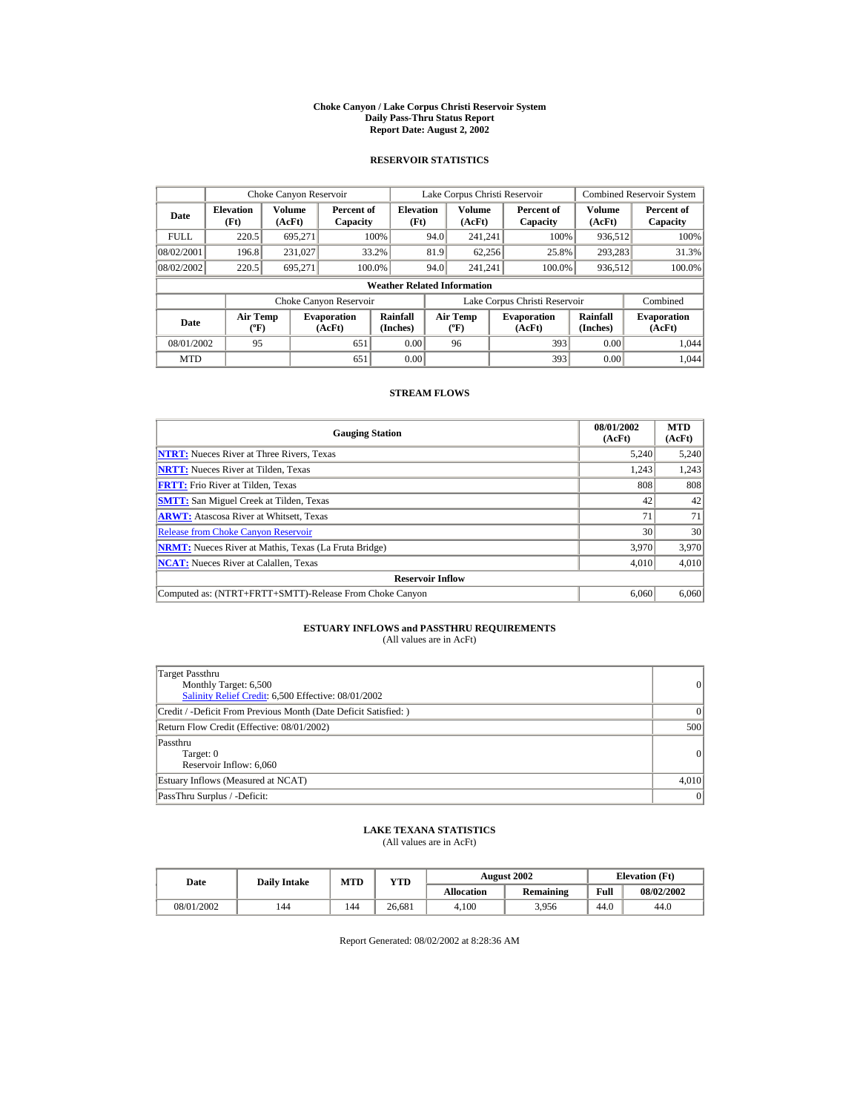#### **Choke Canyon / Lake Corpus Christi Reservoir System Daily Pass-Thru Status Report Report Date: August 2, 2002**

## **RESERVOIR STATISTICS**

|                                  | Choke Canyon Reservoir                      |                  |                              |                          |                               | Lake Corpus Christi Reservoir               |  |                              |                      | <b>Combined Reservoir System</b> |
|----------------------------------|---------------------------------------------|------------------|------------------------------|--------------------------|-------------------------------|---------------------------------------------|--|------------------------------|----------------------|----------------------------------|
| <b>Elevation</b><br>Date<br>(Ft) |                                             | Volume<br>(AcFt) | Percent of<br>Capacity       | <b>Elevation</b><br>(Ft) |                               | Volume<br>(AcFt)                            |  | Percent of<br>Capacity       | Volume<br>(AcFt)     | Percent of<br>Capacity           |
| <b>FULL</b>                      | 220.5                                       | 695.271          |                              | 100%                     | 94.0                          | 241.241                                     |  | 100%                         | 936,512              | 100%                             |
| 08/02/2001                       | 196.8                                       | 231,027          | 33.2%                        |                          | 81.9                          | 62.256                                      |  | 25.8%                        | 293,283              | 31.3%                            |
| 08/02/2002                       | 220.5                                       | 695.271          | 100.0%                       |                          | 94.0                          | 241.241                                     |  | 100.0%                       | 936,512              | 100.0%                           |
|                                  | <b>Weather Related Information</b>          |                  |                              |                          |                               |                                             |  |                              |                      |                                  |
|                                  |                                             |                  | Choke Canyon Reservoir       |                          | Lake Corpus Christi Reservoir |                                             |  |                              | Combined             |                                  |
| Date                             | <b>Air Temp</b><br>$({}^{\circ}\mathrm{F})$ |                  | <b>Evaporation</b><br>(AcFt) | Rainfall<br>(Inches)     |                               | <b>Air Temp</b><br>$({}^{\circ}\mathbf{F})$ |  | <b>Evaporation</b><br>(AcFt) | Rainfall<br>(Inches) | <b>Evaporation</b><br>(AcFt)     |
| 08/01/2002                       | 95                                          |                  | 651                          | 0.00                     |                               | 96                                          |  | 393                          | 0.00                 | 1.044                            |
| <b>MTD</b>                       |                                             |                  | 651                          | 0.00                     |                               |                                             |  | 393                          | 0.00                 | 1.044                            |

## **STREAM FLOWS**

| <b>Gauging Station</b>                                       | 08/01/2002<br>(AcFt) | <b>MTD</b><br>(AcFt) |
|--------------------------------------------------------------|----------------------|----------------------|
| <b>NTRT:</b> Nueces River at Three Rivers, Texas             | 5,240                | 5,240                |
| <b>NRTT:</b> Nueces River at Tilden, Texas                   | 1.243                | 1,243                |
| <b>FRTT:</b> Frio River at Tilden, Texas                     | 808                  | 808                  |
| <b>SMTT:</b> San Miguel Creek at Tilden, Texas               | 42                   | 42                   |
| <b>ARWT:</b> Atascosa River at Whitsett, Texas               | 71                   | 71                   |
| <b>Release from Choke Canyon Reservoir</b>                   | 30                   | 30                   |
| <b>NRMT:</b> Nueces River at Mathis, Texas (La Fruta Bridge) | 3.970                | 3.970                |
| <b>NCAT:</b> Nueces River at Calallen, Texas                 | 4,010                | 4,010                |
| <b>Reservoir Inflow</b>                                      |                      |                      |
| Computed as: (NTRT+FRTT+SMTT)-Release From Choke Canyon      | 6.060                | 6,060                |

# **ESTUARY INFLOWS and PASSTHRU REQUIREMENTS**<br>(All values are in AcFt)

| Target Passthru<br>Monthly Target: 6,500<br>Salinity Relief Credit: 6,500 Effective: 08/01/2002 | 0        |
|-------------------------------------------------------------------------------------------------|----------|
| Credit / -Deficit From Previous Month (Date Deficit Satisfied: )                                | $\Omega$ |
| Return Flow Credit (Effective: 08/01/2002)                                                      | 500      |
| Passthru<br>Target: 0<br>Reservoir Inflow: 6,060                                                | 0        |
| Estuary Inflows (Measured at NCAT)                                                              | 4,010    |
| PassThru Surplus / -Deficit:                                                                    | 0        |

## **LAKE TEXANA STATISTICS**

(All values are in AcFt)

| Date       | <b>MTD</b><br><b>Daily Intake</b> |     | YTD    |                   | <b>August 2002</b> | <b>Elevation</b> (Ft) |            |  |
|------------|-----------------------------------|-----|--------|-------------------|--------------------|-----------------------|------------|--|
|            |                                   |     |        | <b>Allocation</b> | Remaining          | Full                  | 08/02/2002 |  |
| 08/01/2002 | 144                               | 144 | 26.681 | 4.100             | 3.956              | 44.0                  | 44.0       |  |

Report Generated: 08/02/2002 at 8:28:36 AM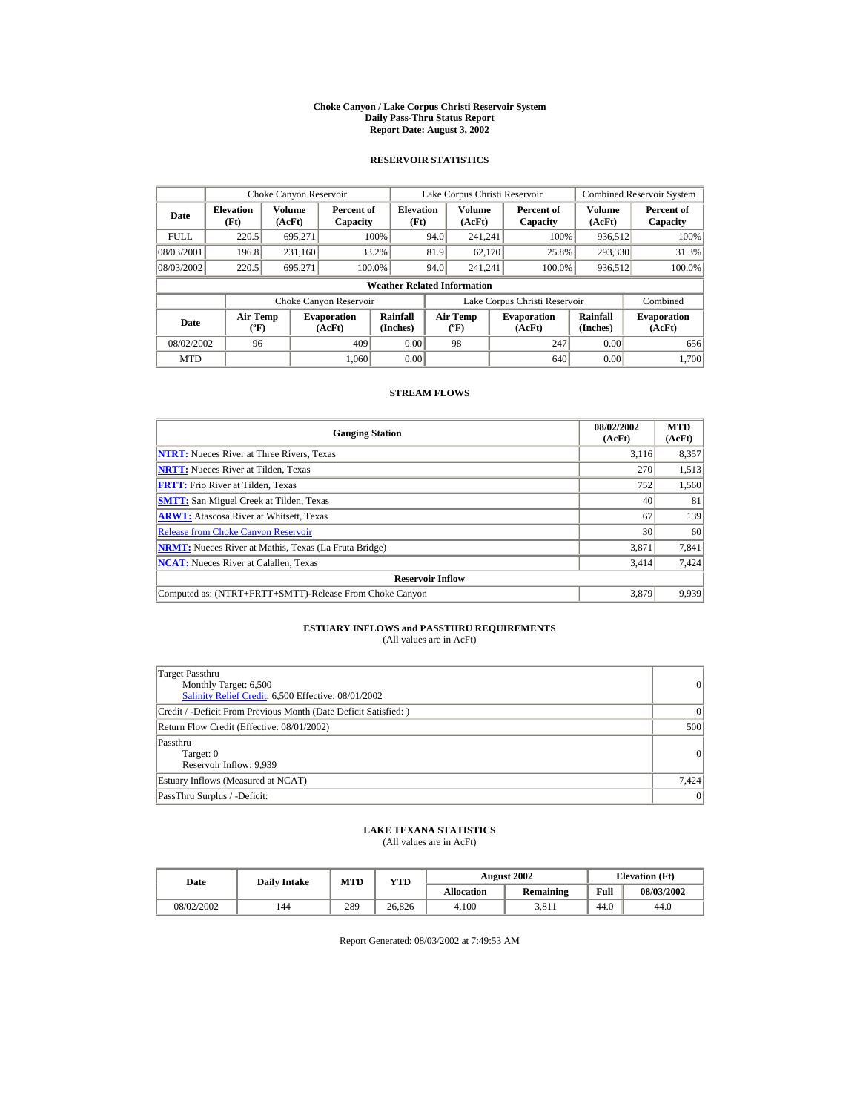#### **Choke Canyon / Lake Corpus Christi Reservoir System Daily Pass-Thru Status Report Report Date: August 3, 2002**

## **RESERVOIR STATISTICS**

|                                  | Choke Canyon Reservoir                      |                  |                              |                          |                               | Lake Corpus Christi Reservoir             |  |                              |                      | <b>Combined Reservoir System</b> |
|----------------------------------|---------------------------------------------|------------------|------------------------------|--------------------------|-------------------------------|-------------------------------------------|--|------------------------------|----------------------|----------------------------------|
| <b>Elevation</b><br>Date<br>(Ft) |                                             | Volume<br>(AcFt) | Percent of<br>Capacity       | <b>Elevation</b><br>(Ft) |                               | Volume<br>(AcFt)                          |  | Percent of<br>Capacity       | Volume<br>(AcFt)     | Percent of<br>Capacity           |
| <b>FULL</b>                      | 220.5                                       | 695.271          |                              | 100%                     | 94.0                          | 241.241                                   |  | 100%                         | 936,512              | 100%                             |
| 08/03/2001                       | 196.8                                       | 231,160          |                              | 33.2%                    | 81.9                          | 62.170                                    |  | 25.8%                        | 293,330              | 31.3%                            |
| 08/03/2002                       | 220.5                                       | 695.271          |                              | 100.0%                   | 94.0                          | 241.241                                   |  | 100.0%                       | 936,512              | 100.0%                           |
|                                  | <b>Weather Related Information</b>          |                  |                              |                          |                               |                                           |  |                              |                      |                                  |
|                                  |                                             |                  | Choke Canyon Reservoir       |                          | Lake Corpus Christi Reservoir |                                           |  |                              | Combined             |                                  |
| Date                             | <b>Air Temp</b><br>$({}^{\circ}\mathrm{F})$ |                  | <b>Evaporation</b><br>(AcFt) | Rainfall<br>(Inches)     |                               | <b>Air Temp</b><br>$({}^{\circ}\text{F})$ |  | <b>Evaporation</b><br>(AcFt) | Rainfall<br>(Inches) | <b>Evaporation</b><br>(AcFt)     |
| 08/02/2002                       | 96                                          |                  | 409                          | 0.00                     |                               | 98                                        |  | 247                          | 0.00                 | 656                              |
| <b>MTD</b>                       |                                             |                  | 1.060                        | 0.00                     |                               |                                           |  | 640                          | 0.00                 | 1.700                            |

## **STREAM FLOWS**

| <b>Gauging Station</b>                                       | 08/02/2002<br>(AcFt) | <b>MTD</b><br>(AcFt) |
|--------------------------------------------------------------|----------------------|----------------------|
| <b>NTRT:</b> Nueces River at Three Rivers, Texas             | 3.116                | 8,357                |
| <b>NRTT:</b> Nueces River at Tilden, Texas                   | 270                  | 1,513                |
| <b>FRTT:</b> Frio River at Tilden, Texas                     | 752                  | 1,560                |
| <b>SMTT:</b> San Miguel Creek at Tilden, Texas               | 40                   | 81                   |
| <b>ARWT:</b> Atascosa River at Whitsett, Texas               | 67                   | 139                  |
| <b>Release from Choke Canyon Reservoir</b>                   | 30                   | 60                   |
| <b>NRMT:</b> Nueces River at Mathis, Texas (La Fruta Bridge) | 3.871                | 7,841                |
| <b>NCAT:</b> Nueces River at Calallen, Texas                 | 3,414                | 7,424                |
| <b>Reservoir Inflow</b>                                      |                      |                      |
| Computed as: (NTRT+FRTT+SMTT)-Release From Choke Canyon      | 3.879                | 9,939                |

# **ESTUARY INFLOWS and PASSTHRU REQUIREMENTS**<br>(All values are in AcFt)

| Target Passthru<br>Monthly Target: 6,500<br>Salinity Relief Credit: 6,500 Effective: 08/01/2002 | 0        |
|-------------------------------------------------------------------------------------------------|----------|
| Credit / -Deficit From Previous Month (Date Deficit Satisfied: )                                | $\Omega$ |
| Return Flow Credit (Effective: 08/01/2002)                                                      | 500      |
| Passthru<br>Target: 0<br>Reservoir Inflow: 9,939                                                | 0        |
| Estuary Inflows (Measured at NCAT)                                                              | 7,424    |
| PassThru Surplus / -Deficit:                                                                    | 0        |

## **LAKE TEXANA STATISTICS**

(All values are in AcFt)

| Date       | <b>Daily Intake</b> | <b>MTD</b> | YTD    |                   | <b>August 2002</b> | <b>Elevation</b> (Ft) |            |  |
|------------|---------------------|------------|--------|-------------------|--------------------|-----------------------|------------|--|
|            |                     |            |        | <b>Allocation</b> | <b>Remaining</b>   | Full                  | 08/03/2002 |  |
| 08/02/2002 | 144                 | 289        | 26.826 | 4.100             | 3.811              | 44.0                  | 44.0       |  |

Report Generated: 08/03/2002 at 7:49:53 AM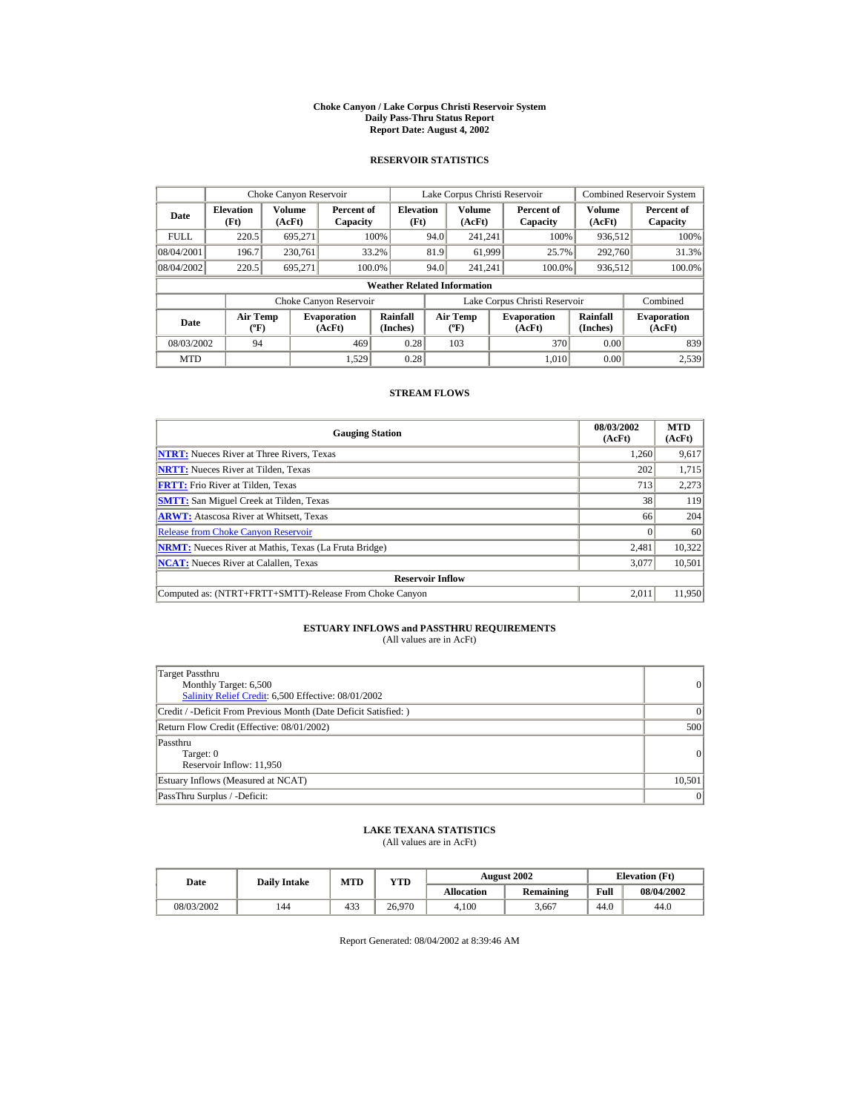#### **Choke Canyon / Lake Corpus Christi Reservoir System Daily Pass-Thru Status Report Report Date: August 4, 2002**

## **RESERVOIR STATISTICS**

|                                  | Choke Canyon Reservoir                      |                  |                              |                          |      | Lake Corpus Christi Reservoir            |  |                               |                      | <b>Combined Reservoir System</b> |  |
|----------------------------------|---------------------------------------------|------------------|------------------------------|--------------------------|------|------------------------------------------|--|-------------------------------|----------------------|----------------------------------|--|
| <b>Elevation</b><br>Date<br>(Ft) |                                             | Volume<br>(AcFt) | Percent of<br>Capacity       | <b>Elevation</b><br>(Ft) |      | <b>Volume</b><br>(AcFt)                  |  | Percent of<br>Capacity        | Volume<br>(AcFt)     | Percent of<br>Capacity           |  |
| <b>FULL</b>                      | 220.5                                       | 695.271          |                              | 100%                     | 94.0 | 241.241                                  |  | 100%                          | 936,512              | 100%                             |  |
| 08/04/2001                       | 196.7                                       | 230,761          |                              | 33.2%                    | 81.9 | 61,999                                   |  | 25.7%                         | 292,760              | 31.3%                            |  |
| 08/04/2002                       | 220.5                                       | 695,271          | 100.0%                       |                          | 94.0 | 241.241                                  |  | 100.0%                        | 936,512              | 100.0%                           |  |
|                                  | <b>Weather Related Information</b>          |                  |                              |                          |      |                                          |  |                               |                      |                                  |  |
| Choke Canyon Reservoir           |                                             |                  |                              |                          |      |                                          |  | Lake Corpus Christi Reservoir |                      | Combined                         |  |
| Date                             | <b>Air Temp</b><br>$({}^{\circ}\mathrm{F})$ |                  | <b>Evaporation</b><br>(AcFt) | Rainfall<br>(Inches)     |      | <b>Air Temp</b><br>$({}^{\circ}{\rm F})$ |  | <b>Evaporation</b><br>(AcFt)  | Rainfall<br>(Inches) | <b>Evaporation</b><br>(AcFt)     |  |
| 08/03/2002                       | 94                                          |                  | 469                          | 0.28                     |      | 103                                      |  | 370                           | 0.00                 | 839                              |  |
| <b>MTD</b>                       |                                             |                  | 1.529                        | 0.28                     |      |                                          |  | 1.010                         | 0.00                 | 2.539                            |  |

## **STREAM FLOWS**

| <b>Gauging Station</b>                                       | 08/03/2002<br>(AcFt) | <b>MTD</b><br>(AcFt) |
|--------------------------------------------------------------|----------------------|----------------------|
| <b>NTRT:</b> Nueces River at Three Rivers, Texas             | 1.260                | 9,617                |
| <b>NRTT:</b> Nueces River at Tilden, Texas                   | 202                  | 1,715                |
| <b>FRTT:</b> Frio River at Tilden, Texas                     | 713                  | 2,273                |
| <b>SMTT:</b> San Miguel Creek at Tilden, Texas               | 38                   | 119                  |
| <b>ARWT:</b> Atascosa River at Whitsett, Texas               | 66                   | 204                  |
| <b>Release from Choke Canvon Reservoir</b>                   |                      | 60                   |
| <b>NRMT:</b> Nueces River at Mathis, Texas (La Fruta Bridge) | 2,481                | 10.322               |
| <b>NCAT:</b> Nueces River at Calallen, Texas                 | 3,077                | 10,501               |
| <b>Reservoir Inflow</b>                                      |                      |                      |
| Computed as: (NTRT+FRTT+SMTT)-Release From Choke Canyon      | 2.011                | 11.950               |

# **ESTUARY INFLOWS and PASSTHRU REQUIREMENTS**<br>(All values are in AcFt)

| Target Passthru<br>Monthly Target: 6,500<br>Salinity Relief Credit: 6,500 Effective: 08/01/2002 | 0               |
|-------------------------------------------------------------------------------------------------|-----------------|
| Credit / -Deficit From Previous Month (Date Deficit Satisfied: )                                | 0               |
| Return Flow Credit (Effective: 08/01/2002)                                                      | 500             |
| Passthru<br>Target: 0<br>Reservoir Inflow: 11,950                                               | 0               |
| Estuary Inflows (Measured at NCAT)                                                              | 10,501          |
| PassThru Surplus / -Deficit:                                                                    | $\vert 0 \vert$ |

## **LAKE TEXANA STATISTICS**

(All values are in AcFt)

| Date       | <b>Daily Intake</b> | <b>MTD</b> | YTD    |                   | <b>August 2002</b> |      | <b>Elevation</b> (Ft) |
|------------|---------------------|------------|--------|-------------------|--------------------|------|-----------------------|
|            |                     |            |        | <b>Allocation</b> | Remaining          | Full | 08/04/2002            |
| 08/03/2002 | 144                 | 433        | 26.970 | 4.100             | 3.667              | 44.0 | 44.0                  |

Report Generated: 08/04/2002 at 8:39:46 AM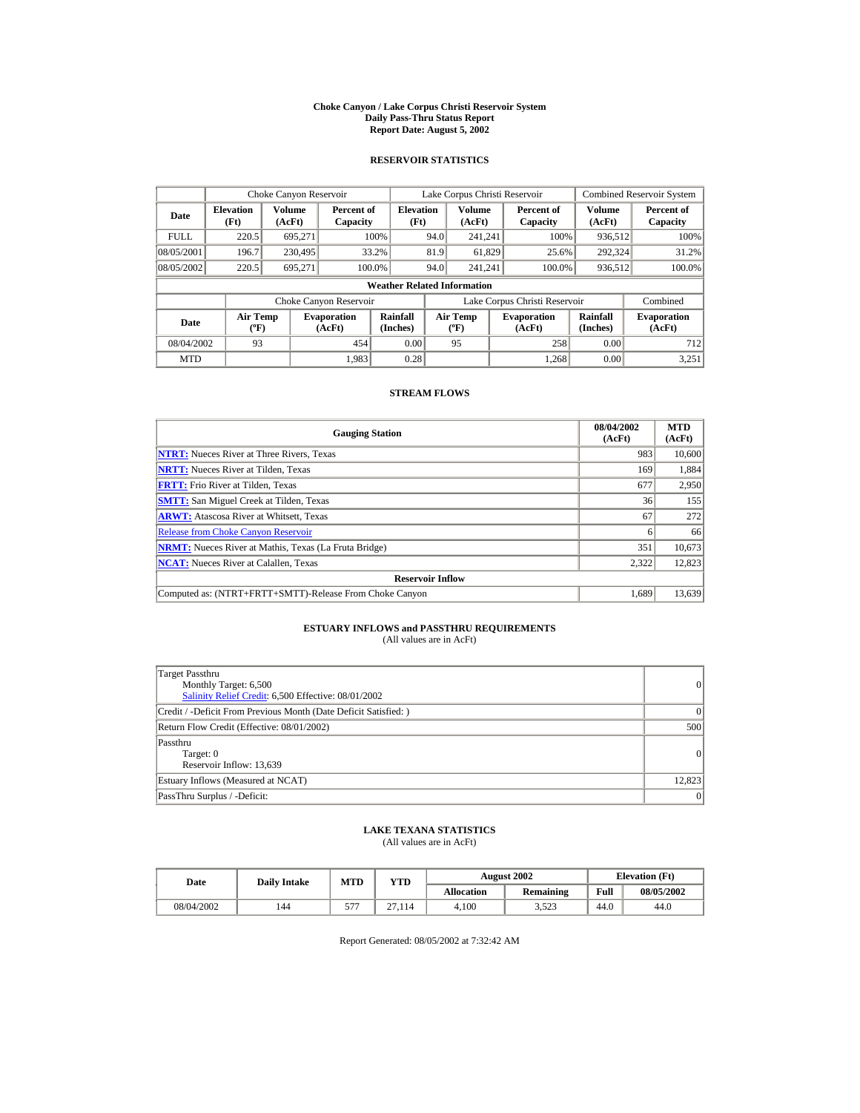#### **Choke Canyon / Lake Corpus Christi Reservoir System Daily Pass-Thru Status Report Report Date: August 5, 2002**

## **RESERVOIR STATISTICS**

|             | Choke Canyon Reservoir                       |         |                              |                          |      | Lake Corpus Christi Reservoir     |  |                               |                         | <b>Combined Reservoir System</b> |  |
|-------------|----------------------------------------------|---------|------------------------------|--------------------------|------|-----------------------------------|--|-------------------------------|-------------------------|----------------------------------|--|
| Date        | Volume<br><b>Elevation</b><br>(Ft)<br>(AcFt) |         | Percent of<br>Capacity       | <b>Elevation</b><br>(Ft) |      | Volume<br>(AcFt)                  |  | Percent of<br>Capacity        | <b>Volume</b><br>(AcFt) | Percent of<br>Capacity           |  |
| <b>FULL</b> | 220.5                                        | 695.271 |                              | 100%                     | 94.0 | 241.241                           |  | 100%                          | 936,512                 | 100%                             |  |
| 08/05/2001  | 196.7                                        | 230,495 |                              | 33.2%                    | 81.9 | 61,829                            |  | 25.6%                         | 292,324                 | 31.2%                            |  |
| 08/05/2002  | 220.5                                        | 695.271 |                              | 100.0%                   | 94.0 | 241.241                           |  | 100.0%                        | 936,512                 | 100.0%                           |  |
|             | <b>Weather Related Information</b>           |         |                              |                          |      |                                   |  |                               |                         |                                  |  |
|             |                                              |         | Choke Canyon Reservoir       |                          |      |                                   |  | Lake Corpus Christi Reservoir |                         | Combined                         |  |
| Date        | Air Temp<br>$({}^o\mathrm{F})$               |         | <b>Evaporation</b><br>(AcFt) | Rainfall<br>(Inches)     |      | Air Temp<br>$({}^{\circ}{\rm F})$ |  | <b>Evaporation</b><br>(AcFt)  | Rainfall<br>(Inches)    | <b>Evaporation</b><br>(AcFt)     |  |
| 08/04/2002  | 93                                           |         | 454                          | 0.00                     |      | 95                                |  | 258                           | 0.00                    | 712                              |  |
| <b>MTD</b>  |                                              |         | 1.983                        | 0.28                     |      |                                   |  | 1.268                         | 0.00                    | 3.251                            |  |

## **STREAM FLOWS**

| <b>Gauging Station</b>                                       | 08/04/2002<br>(AcFt) | <b>MTD</b><br>(AcFt) |
|--------------------------------------------------------------|----------------------|----------------------|
| <b>NTRT:</b> Nueces River at Three Rivers, Texas             | 983                  | 10,600               |
| <b>NRTT:</b> Nueces River at Tilden, Texas                   | 169                  | 1,884                |
| <b>FRTT:</b> Frio River at Tilden, Texas                     | 677                  | 2,950                |
| <b>SMTT:</b> San Miguel Creek at Tilden, Texas               | 36                   | 155                  |
| <b>ARWT:</b> Atascosa River at Whitsett, Texas               | 67                   | 272                  |
| <b>Release from Choke Canyon Reservoir</b>                   |                      | 66                   |
| <b>NRMT:</b> Nueces River at Mathis, Texas (La Fruta Bridge) | 351                  | 10.673               |
| <b>NCAT:</b> Nueces River at Calallen, Texas                 | 2,322                | 12,823               |
| <b>Reservoir Inflow</b>                                      |                      |                      |
| Computed as: (NTRT+FRTT+SMTT)-Release From Choke Canyon      | 1.689                | 13,639               |

# **ESTUARY INFLOWS and PASSTHRU REQUIREMENTS**<br>(All values are in AcFt)

| Target Passthru<br>Monthly Target: 6,500<br>Salinity Relief Credit: 6,500 Effective: 08/01/2002 | 0               |
|-------------------------------------------------------------------------------------------------|-----------------|
| Credit / -Deficit From Previous Month (Date Deficit Satisfied: )                                | $\Omega$        |
| Return Flow Credit (Effective: 08/01/2002)                                                      | 500             |
| Passthru<br>Target: 0<br>Reservoir Inflow: 13,639                                               | 0               |
| Estuary Inflows (Measured at NCAT)                                                              | 12,823          |
| PassThru Surplus / -Deficit:                                                                    | $\vert 0 \vert$ |

## **LAKE TEXANA STATISTICS**

(All values are in AcFt)

| Date       | <b>Daily Intake</b> | <b>MTD</b> | YTD    |                   | <b>August 2002</b> |      | <b>Elevation</b> (Ft) |
|------------|---------------------|------------|--------|-------------------|--------------------|------|-----------------------|
|            |                     |            |        | <b>Allocation</b> | <b>Remaining</b>   | Full | 08/05/2002            |
| 08/04/2002 | 144                 | ---<br>້   | 27,114 | 4.100             | 3.523              | 44.0 | 44.0                  |

Report Generated: 08/05/2002 at 7:32:42 AM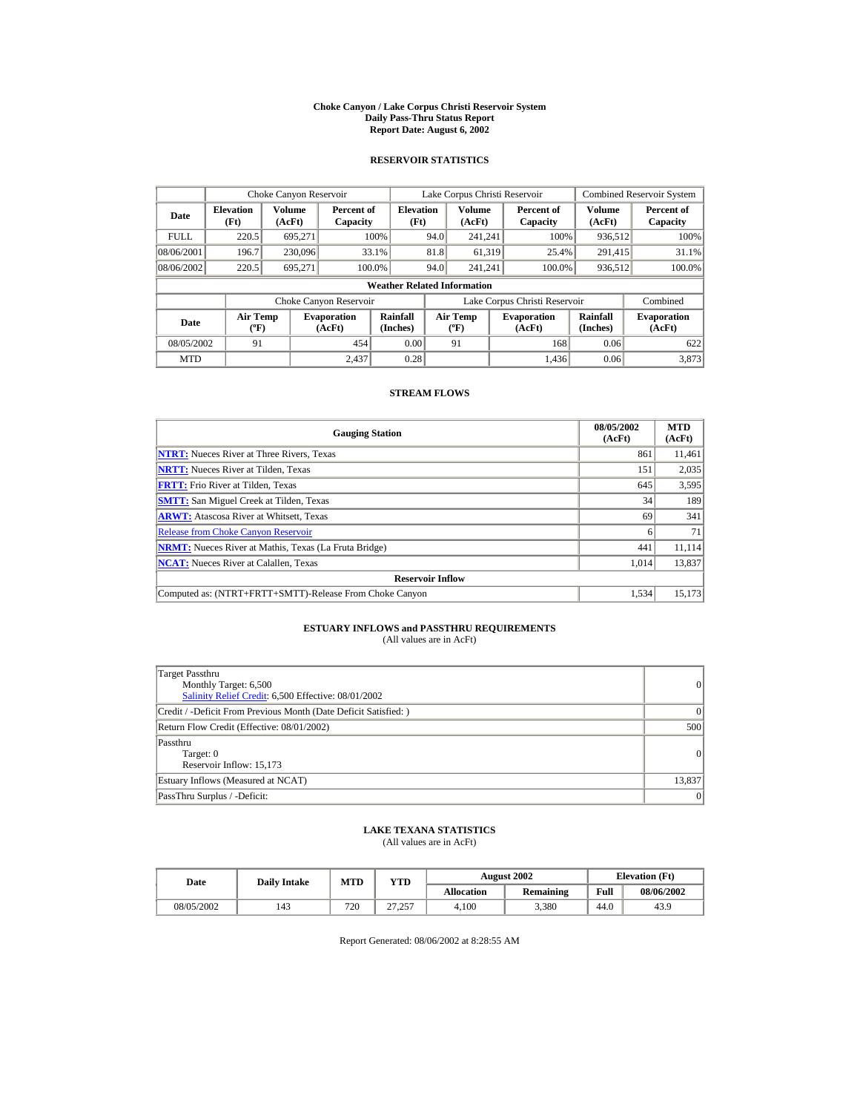#### **Choke Canyon / Lake Corpus Christi Reservoir System Daily Pass-Thru Status Report Report Date: August 6, 2002**

## **RESERVOIR STATISTICS**

|                                  | Choke Canyon Reservoir                                              |                  |                              |                          | Lake Corpus Christi Reservoir |                                          |  |                              |                         | <b>Combined Reservoir System</b> |  |
|----------------------------------|---------------------------------------------------------------------|------------------|------------------------------|--------------------------|-------------------------------|------------------------------------------|--|------------------------------|-------------------------|----------------------------------|--|
| <b>Elevation</b><br>Date<br>(Ft) |                                                                     | Volume<br>(AcFt) | Percent of<br>Capacity       | <b>Elevation</b><br>(Ft) |                               | <b>Volume</b><br>(AcFt)                  |  | Percent of<br>Capacity       | <b>Volume</b><br>(AcFt) | Percent of<br>Capacity           |  |
| <b>FULL</b>                      | 220.5                                                               | 695.271          |                              | 100%                     | 94.0                          | 241.241                                  |  | 100%                         | 936,512                 | 100%                             |  |
| 08/06/2001                       | 196.7                                                               | 230,096          |                              | 33.1%                    | 81.8                          | 61,319                                   |  | 25.4%                        | 291,415                 | 31.1%                            |  |
| 08/06/2002                       | 220.5                                                               | 695.271          |                              | 100.0%                   | 94.0                          | 241.241                                  |  | 100.0%                       | 936,512                 | 100.0%                           |  |
|                                  | <b>Weather Related Information</b>                                  |                  |                              |                          |                               |                                          |  |                              |                         |                                  |  |
|                                  | Lake Corpus Christi Reservoir<br>Choke Canyon Reservoir<br>Combined |                  |                              |                          |                               |                                          |  |                              |                         |                                  |  |
| Date                             | <b>Air Temp</b><br>$({}^o\mathrm{F})$                               |                  | <b>Evaporation</b><br>(AcFt) | Rainfall<br>(Inches)     |                               | <b>Air Temp</b><br>$({}^{\circ}{\rm F})$ |  | <b>Evaporation</b><br>(AcFt) | Rainfall<br>(Inches)    | <b>Evaporation</b><br>(AcFt)     |  |
| 08/05/2002                       | 91                                                                  |                  | 454                          | 0.00                     |                               | 91                                       |  | 168                          | 0.06                    | 622                              |  |
| <b>MTD</b>                       |                                                                     |                  | 2.437                        | 0.28                     |                               |                                          |  | 1.436                        | 0.06                    | 3.873                            |  |

## **STREAM FLOWS**

| <b>Gauging Station</b>                                       | 08/05/2002<br>(AcFt) | <b>MTD</b><br>(AcFt) |
|--------------------------------------------------------------|----------------------|----------------------|
| <b>NTRT:</b> Nueces River at Three Rivers, Texas             | 861                  | 11,461               |
| <b>NRTT:</b> Nueces River at Tilden, Texas                   | 151                  | 2,035                |
| <b>FRTT:</b> Frio River at Tilden, Texas                     | 645                  | 3,595                |
| <b>SMTT:</b> San Miguel Creek at Tilden, Texas               | 34                   | 189                  |
| <b>ARWT:</b> Atascosa River at Whitsett, Texas               | 69                   | 341                  |
| <b>Release from Choke Canyon Reservoir</b>                   |                      | 71                   |
| <b>NRMT:</b> Nueces River at Mathis, Texas (La Fruta Bridge) | 441                  | 11.114               |
| <b>NCAT:</b> Nueces River at Calallen, Texas                 | 1.014                | 13,837               |
| <b>Reservoir Inflow</b>                                      |                      |                      |
| Computed as: (NTRT+FRTT+SMTT)-Release From Choke Canyon      | 1.534                | 15,173               |

# **ESTUARY INFLOWS and PASSTHRU REQUIREMENTS**<br>(All values are in AcFt)

| Target Passthru<br>Monthly Target: 6,500<br>Salinity Relief Credit: 6,500 Effective: 08/01/2002 | 0      |
|-------------------------------------------------------------------------------------------------|--------|
| Credit / -Deficit From Previous Month (Date Deficit Satisfied: )                                | 0      |
| Return Flow Credit (Effective: 08/01/2002)                                                      | 500    |
| Passthru<br>Target: 0<br>Reservoir Inflow: 15,173                                               | 0      |
| Estuary Inflows (Measured at NCAT)                                                              | 13,837 |
| PassThru Surplus / -Deficit:                                                                    | 0      |

## **LAKE TEXANA STATISTICS**

(All values are in AcFt)

| Date       | <b>Daily Intake</b> | MTD | $_{\rm VTD}$      |                   | <b>August 2002</b> |      | <b>Elevation</b> (Ft) |
|------------|---------------------|-----|-------------------|-------------------|--------------------|------|-----------------------|
|            |                     |     |                   | <b>Allocation</b> | <b>Remaining</b>   | Full | 08/06/2002            |
| 08/05/2002 | 143                 | 720 | 77 757<br>رے ، اے | 4.100             | 3.380              | 44.0 | 43.9                  |

Report Generated: 08/06/2002 at 8:28:55 AM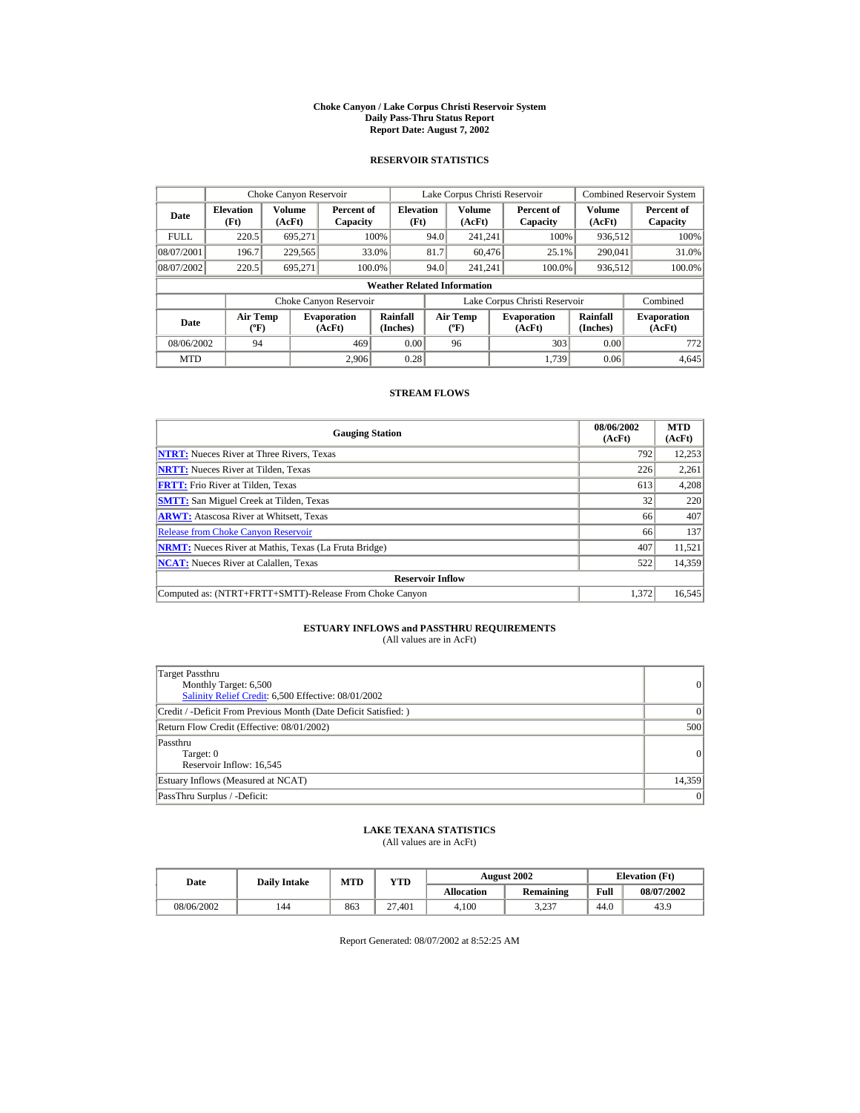#### **Choke Canyon / Lake Corpus Christi Reservoir System Daily Pass-Thru Status Report Report Date: August 7, 2002**

## **RESERVOIR STATISTICS**

|             | Choke Canyon Reservoir             |                  |                              |                          | Lake Corpus Christi Reservoir |                                   |  |                               |                         | <b>Combined Reservoir System</b> |  |  |
|-------------|------------------------------------|------------------|------------------------------|--------------------------|-------------------------------|-----------------------------------|--|-------------------------------|-------------------------|----------------------------------|--|--|
| Date        | <b>Elevation</b><br>(Ft)           | Volume<br>(AcFt) | Percent of<br>Capacity       | <b>Elevation</b><br>(Ft) |                               | Volume<br>(AcFt)                  |  | Percent of<br>Capacity        | <b>Volume</b><br>(AcFt) | Percent of<br>Capacity           |  |  |
| <b>FULL</b> | 220.5                              | 695.271          |                              | 100%                     | 94.0                          | 241.241                           |  | 100%                          | 936,512                 | 100%                             |  |  |
| 08/07/2001  | 196.7                              | 229,565          |                              | 33.0%                    | 81.7                          | 60,476                            |  | 25.1%                         | 290,041                 | 31.0%                            |  |  |
| 08/07/2002  | 220.5                              | 695.271          |                              | 100.0%                   | 94.0                          | 241.241                           |  | 100.0%                        | 936,512                 | 100.0%                           |  |  |
|             | <b>Weather Related Information</b> |                  |                              |                          |                               |                                   |  |                               |                         |                                  |  |  |
|             |                                    |                  | Choke Canyon Reservoir       |                          |                               |                                   |  | Lake Corpus Christi Reservoir |                         | Combined                         |  |  |
| Date        | Air Temp<br>$({}^o\mathrm{F})$     |                  | <b>Evaporation</b><br>(AcFt) | Rainfall<br>(Inches)     |                               | Air Temp<br>$({}^{\circ}{\rm F})$ |  | <b>Evaporation</b><br>(AcFt)  | Rainfall<br>(Inches)    | <b>Evaporation</b><br>(AcFt)     |  |  |
| 08/06/2002  | 94                                 |                  | 469                          | 0.00                     |                               | 96                                |  | 303                           | 0.00                    | 772                              |  |  |
| <b>MTD</b>  |                                    |                  | 2.906                        | 0.28                     |                               |                                   |  | 1.739                         | 0.06                    | 4,645                            |  |  |

## **STREAM FLOWS**

| <b>Gauging Station</b>                                       | 08/06/2002<br>(AcFt) | <b>MTD</b><br>(AcFt) |
|--------------------------------------------------------------|----------------------|----------------------|
| <b>NTRT:</b> Nueces River at Three Rivers, Texas             | 792                  | 12,253               |
| <b>NRTT:</b> Nueces River at Tilden, Texas                   | 226                  | 2,261                |
| <b>FRTT:</b> Frio River at Tilden, Texas                     | 613                  | 4,208                |
| <b>SMTT:</b> San Miguel Creek at Tilden, Texas               | 32                   | 220                  |
| <b>ARWT:</b> Atascosa River at Whitsett, Texas               | 66                   | 407                  |
| <b>Release from Choke Canyon Reservoir</b>                   | 66                   | 137                  |
| <b>NRMT:</b> Nueces River at Mathis, Texas (La Fruta Bridge) | 407                  | 11.521               |
| <b>NCAT:</b> Nueces River at Calallen, Texas                 | 522                  | 14,359               |
| <b>Reservoir Inflow</b>                                      |                      |                      |
| Computed as: (NTRT+FRTT+SMTT)-Release From Choke Canyon      | 1.372                | 16,545               |

# **ESTUARY INFLOWS and PASSTHRU REQUIREMENTS**<br>(All values are in AcFt)

| Target Passthru<br>Monthly Target: 6,500<br>Salinity Relief Credit: 6,500 Effective: 08/01/2002 | $\overline{0}$ |
|-------------------------------------------------------------------------------------------------|----------------|
| Credit / -Deficit From Previous Month (Date Deficit Satisfied: )                                | $\Omega$       |
| Return Flow Credit (Effective: 08/01/2002)                                                      | 500            |
| Passthru<br>Target: 0<br>Reservoir Inflow: 16,545                                               | 0              |
| Estuary Inflows (Measured at NCAT)                                                              | 14,359         |
| PassThru Surplus / -Deficit:                                                                    | 0              |

## **LAKE TEXANA STATISTICS**

(All values are in AcFt)

| Date       | <b>Daily Intake</b> | <b>MTD</b> | YTD    |                   | <b>August 2002</b> |      | <b>Elevation</b> (Ft) |
|------------|---------------------|------------|--------|-------------------|--------------------|------|-----------------------|
|            |                     |            |        | <b>Allocation</b> | <b>Remaining</b>   | Full | 08/07/2002            |
| 08/06/2002 | 144                 | 863        | 27.401 | 4.100             | 3.237              | 44.0 | 43.9                  |

Report Generated: 08/07/2002 at 8:52:25 AM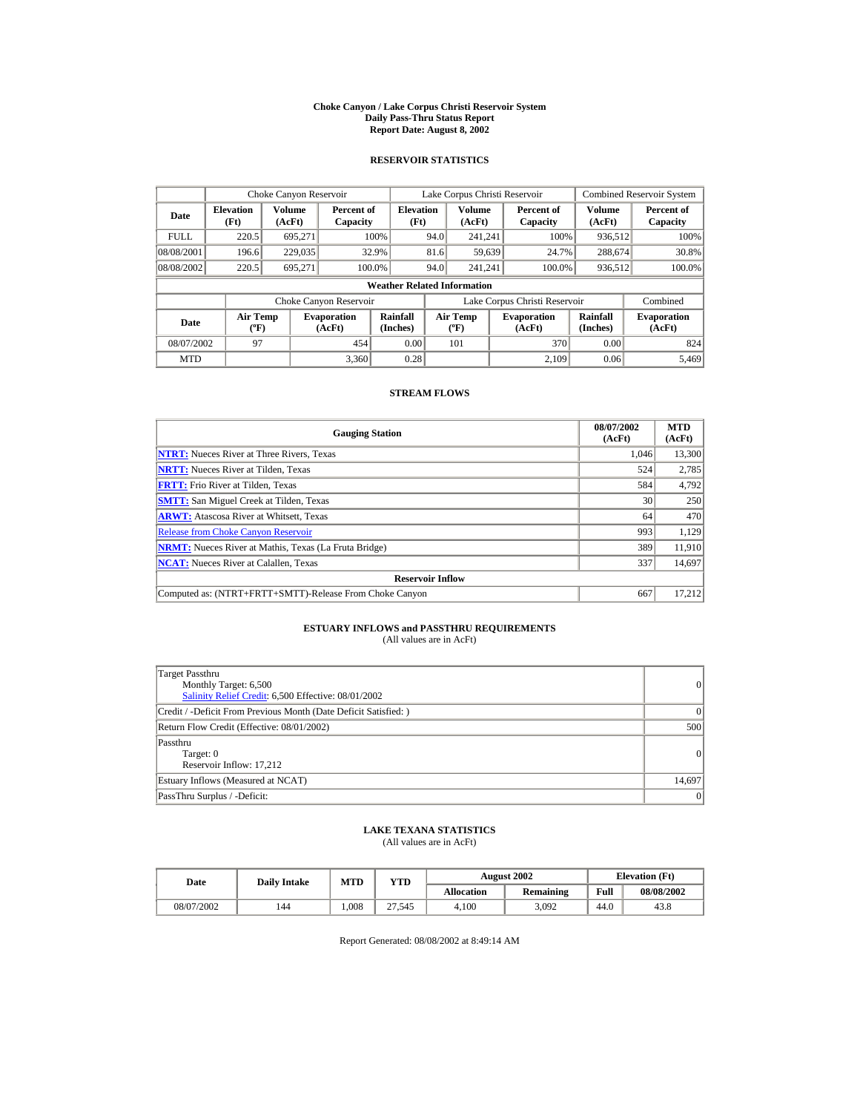#### **Choke Canyon / Lake Corpus Christi Reservoir System Daily Pass-Thru Status Report Report Date: August 8, 2002**

## **RESERVOIR STATISTICS**

|             | Choke Canyon Reservoir             |                  |                              |                          | Lake Corpus Christi Reservoir |                                   |  |                               |                         | <b>Combined Reservoir System</b> |  |  |
|-------------|------------------------------------|------------------|------------------------------|--------------------------|-------------------------------|-----------------------------------|--|-------------------------------|-------------------------|----------------------------------|--|--|
| Date        | <b>Elevation</b><br>(Ft)           | Volume<br>(AcFt) | Percent of<br>Capacity       | <b>Elevation</b><br>(Ft) |                               | <b>Volume</b><br>(AcFt)           |  | Percent of<br>Capacity        | <b>Volume</b><br>(AcFt) | Percent of<br>Capacity           |  |  |
| <b>FULL</b> | 220.5                              | 695.271          |                              | 100%                     | 94.0                          | 241.241                           |  | 100%                          | 936,512                 | 100%                             |  |  |
| 08/08/2001  | 196.6                              | 229,035          |                              | 32.9%                    | 81.6                          | 59,639                            |  | 24.7%                         | 288,674                 | 30.8%                            |  |  |
| 08/08/2002  | 220.5                              | 695.271          |                              | 100.0%                   | 94.0                          | 241.241                           |  | 100.0%                        | 936,512                 | 100.0%                           |  |  |
|             | <b>Weather Related Information</b> |                  |                              |                          |                               |                                   |  |                               |                         |                                  |  |  |
|             |                                    |                  | Choke Canyon Reservoir       |                          |                               |                                   |  | Lake Corpus Christi Reservoir |                         | Combined                         |  |  |
| Date        | Air Temp<br>$({}^o\mathrm{F})$     |                  | <b>Evaporation</b><br>(AcFt) | Rainfall<br>(Inches)     |                               | Air Temp<br>$({}^{\circ}{\rm F})$ |  | <b>Evaporation</b><br>(AcFt)  | Rainfall<br>(Inches)    | <b>Evaporation</b><br>(AcFt)     |  |  |
| 08/07/2002  | 97                                 |                  | 454                          | 0.00                     |                               | 101                               |  | 370                           | 0.00                    | 824                              |  |  |
| <b>MTD</b>  |                                    |                  | 3,360                        | 0.28                     |                               |                                   |  | 2.109                         | 0.06                    | 5.469                            |  |  |

## **STREAM FLOWS**

| <b>Gauging Station</b>                                       | 08/07/2002<br>(AcFt) | <b>MTD</b><br>(AcFt) |
|--------------------------------------------------------------|----------------------|----------------------|
| <b>NTRT:</b> Nueces River at Three Rivers, Texas             | 1.046                | 13,300               |
| <b>NRTT:</b> Nueces River at Tilden, Texas                   | 524                  | 2,785                |
| <b>FRTT:</b> Frio River at Tilden, Texas                     | 584                  | 4,792                |
| <b>SMTT:</b> San Miguel Creek at Tilden, Texas               | 30                   | 250                  |
| <b>ARWT:</b> Atascosa River at Whitsett, Texas               | 64                   | 470                  |
| <b>Release from Choke Canyon Reservoir</b>                   | 993                  | 1,129                |
| <b>NRMT:</b> Nueces River at Mathis, Texas (La Fruta Bridge) | 389                  | 11.910               |
| <b>NCAT:</b> Nueces River at Calallen, Texas                 | 337                  | 14,697               |
| <b>Reservoir Inflow</b>                                      |                      |                      |
| Computed as: (NTRT+FRTT+SMTT)-Release From Choke Canyon      | 667                  | 17,212               |

# **ESTUARY INFLOWS and PASSTHRU REQUIREMENTS**<br>(All values are in AcFt)

| Target Passthru<br>Monthly Target: 6,500<br>Salinity Relief Credit: 6,500 Effective: 08/01/2002 | 0               |
|-------------------------------------------------------------------------------------------------|-----------------|
| Credit / -Deficit From Previous Month (Date Deficit Satisfied: )                                | $\vert$ 0       |
| Return Flow Credit (Effective: 08/01/2002)                                                      | 500             |
| Passthru<br>Target: 0<br>Reservoir Inflow: 17.212                                               | 0               |
| Estuary Inflows (Measured at NCAT)                                                              | 14,697          |
| PassThru Surplus / -Deficit:                                                                    | $\vert 0 \vert$ |

## **LAKE TEXANA STATISTICS**

(All values are in AcFt)

| Date       | <b>Daily Intake</b> | <b>MTD</b> | YTD    |                   | <b>August 2002</b> |      | <b>Elevation</b> (Ft) |
|------------|---------------------|------------|--------|-------------------|--------------------|------|-----------------------|
|            |                     |            |        | <b>Allocation</b> | <b>Remaining</b>   | Full | 08/08/2002            |
| 08/07/2002 | 144                 | .008       | 27.545 | 4.100             | 3,092              | 44.0 | 43.8                  |

Report Generated: 08/08/2002 at 8:49:14 AM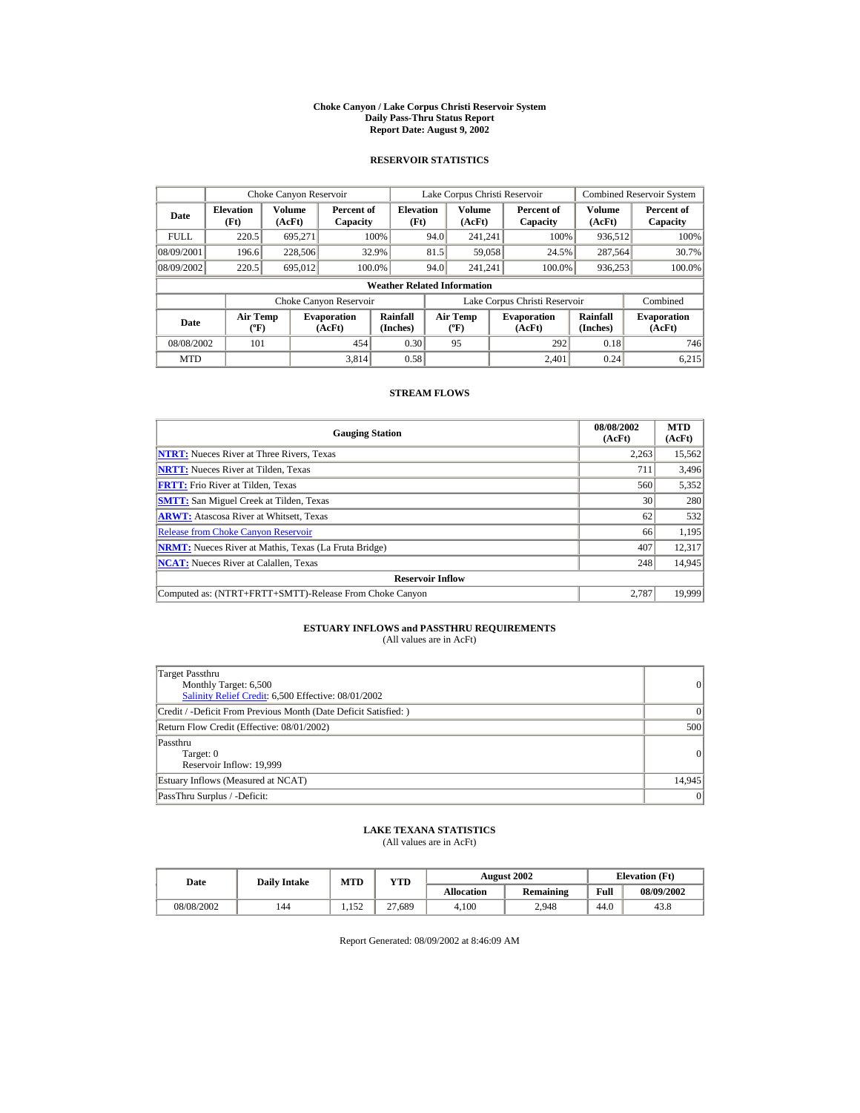#### **Choke Canyon / Lake Corpus Christi Reservoir System Daily Pass-Thru Status Report Report Date: August 9, 2002**

## **RESERVOIR STATISTICS**

|             | Choke Canyon Reservoir                      |                  |                              |                          | Lake Corpus Christi Reservoir    |                  |  |                               |                      | <b>Combined Reservoir System</b> |  |  |
|-------------|---------------------------------------------|------------------|------------------------------|--------------------------|----------------------------------|------------------|--|-------------------------------|----------------------|----------------------------------|--|--|
| Date        | <b>Elevation</b><br>(Ft)                    | Volume<br>(AcFt) | Percent of<br>Capacity       | <b>Elevation</b><br>(Ft) |                                  | Volume<br>(AcFt) |  | Percent of<br>Capacity        | Volume<br>(AcFt)     | Percent of<br>Capacity           |  |  |
| <b>FULL</b> | 220.5                                       | 695.271          |                              | 100%                     | 94.0                             | 241.241          |  | 100%                          | 936,512              | 100%                             |  |  |
| 08/09/2001  | 196.6                                       | 228,506          |                              | 32.9%                    | 81.5                             | 59,058           |  | 24.5%                         | 287,564              | 30.7%                            |  |  |
| 08/09/2002  | 220.5                                       | 695,012          |                              | 100.0%                   | 94.0                             | 241.241          |  | 100.0%                        | 936,253              | 100.0%                           |  |  |
|             | <b>Weather Related Information</b>          |                  |                              |                          |                                  |                  |  |                               |                      |                                  |  |  |
|             |                                             |                  | Choke Canyon Reservoir       |                          |                                  |                  |  | Lake Corpus Christi Reservoir |                      | Combined                         |  |  |
| Date        | <b>Air Temp</b><br>$({}^{\circ}\mathrm{F})$ |                  | <b>Evaporation</b><br>(AcFt) | Rainfall<br>(Inches)     | <b>Air Temp</b><br>$(^{\circ}F)$ |                  |  | <b>Evaporation</b><br>(AcFt)  | Rainfall<br>(Inches) | <b>Evaporation</b><br>(AcFt)     |  |  |
| 08/08/2002  | 101                                         |                  | 454                          | 0.30                     |                                  | 95               |  | 292                           | 0.18                 | 746                              |  |  |
| <b>MTD</b>  |                                             |                  | 3.814                        | 0.58                     |                                  |                  |  | 2.401                         | 0.24                 | 6,215                            |  |  |

## **STREAM FLOWS**

| <b>Gauging Station</b>                                       | 08/08/2002<br>(AcFt) | <b>MTD</b><br>(AcFt) |
|--------------------------------------------------------------|----------------------|----------------------|
| <b>NTRT:</b> Nueces River at Three Rivers, Texas             | 2.263                | 15,562               |
| <b>NRTT:</b> Nueces River at Tilden, Texas                   | 711                  | 3,496                |
| <b>FRTT:</b> Frio River at Tilden, Texas                     | 560                  | 5,352                |
| <b>SMTT:</b> San Miguel Creek at Tilden, Texas               | 30                   | 280                  |
| <b>ARWT:</b> Atascosa River at Whitsett, Texas               | 62                   | 532                  |
| <b>Release from Choke Canyon Reservoir</b>                   | 66                   | 1,195                |
| <b>NRMT:</b> Nueces River at Mathis, Texas (La Fruta Bridge) | 407                  | 12.317               |
| <b>NCAT:</b> Nueces River at Calallen, Texas                 | 248                  | 14,945               |
| <b>Reservoir Inflow</b>                                      |                      |                      |
| Computed as: (NTRT+FRTT+SMTT)-Release From Choke Canyon      | 2.787                | 19.999               |

# **ESTUARY INFLOWS and PASSTHRU REQUIREMENTS**<br>(All values are in AcFt)

| Target Passthru<br>Monthly Target: 6,500<br>Salinity Relief Credit: 6,500 Effective: 08/01/2002 | $\overline{0}$ |
|-------------------------------------------------------------------------------------------------|----------------|
| Credit / -Deficit From Previous Month (Date Deficit Satisfied: )                                | $\Omega$       |
| Return Flow Credit (Effective: 08/01/2002)                                                      | 500            |
| Passthru<br>Target: 0<br>Reservoir Inflow: 19,999                                               | 0              |
| Estuary Inflows (Measured at NCAT)                                                              | 14,945         |
| PassThru Surplus / -Deficit:                                                                    | 0              |

## **LAKE TEXANA STATISTICS**

(All values are in AcFt)

| Date       | <b>Daily Intake</b> | <b>MTD</b> | YTD    |                   | <b>August 2002</b> | <b>Elevation</b> (Ft) |            |
|------------|---------------------|------------|--------|-------------------|--------------------|-----------------------|------------|
|            |                     |            |        | <b>Allocation</b> | <b>Remaining</b>   | Full                  | 08/09/2002 |
| 08/08/2002 | 144                 | 1.152      | 27.689 | 4.100             | 2.948              | 44.0                  | 43.8       |

Report Generated: 08/09/2002 at 8:46:09 AM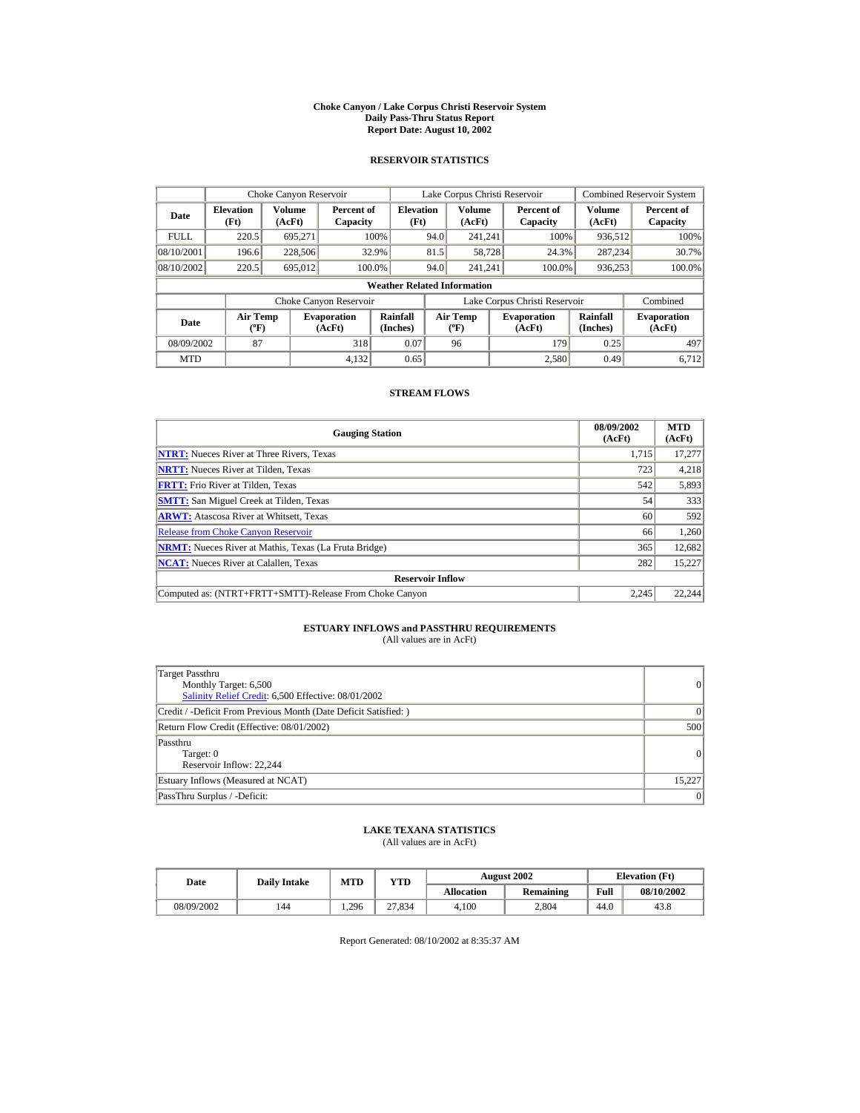#### **Choke Canyon / Lake Corpus Christi Reservoir System Daily Pass-Thru Status Report Report Date: August 10, 2002**

## **RESERVOIR STATISTICS**

|             | Choke Canyon Reservoir                      |                  |                              |                          | Lake Corpus Christi Reservoir |                                                                  |  |                               |                              | <b>Combined Reservoir System</b> |  |  |
|-------------|---------------------------------------------|------------------|------------------------------|--------------------------|-------------------------------|------------------------------------------------------------------|--|-------------------------------|------------------------------|----------------------------------|--|--|
| Date        | <b>Elevation</b><br>(Ft)                    | Volume<br>(AcFt) | Percent of<br>Capacity       | <b>Elevation</b><br>(Ft) |                               | Volume<br>(AcFt)                                                 |  | Percent of<br>Capacity        | Volume<br>(AcFt)             | Percent of<br>Capacity           |  |  |
| <b>FULL</b> | 220.5                                       | 695.271          |                              | 100%                     | 94.0                          | 241.241                                                          |  | 100%                          | 936,512                      | 100%                             |  |  |
| 08/10/2001  | 196.6                                       | 228,506          |                              | 32.9%                    | 81.5                          | 58,728                                                           |  | 24.3%                         | 287.234                      | 30.7%                            |  |  |
| 08/10/2002  | 220.5                                       | 695,012          |                              | 100.0%                   | 94.0                          | 241.241                                                          |  | 100.0%                        | 936,253                      | 100.0%                           |  |  |
|             | <b>Weather Related Information</b>          |                  |                              |                          |                               |                                                                  |  |                               |                              |                                  |  |  |
|             |                                             |                  | Choke Canyon Reservoir       |                          |                               |                                                                  |  | Lake Corpus Christi Reservoir |                              | Combined                         |  |  |
| Date        | <b>Air Temp</b><br>$({}^{\circ}\mathrm{F})$ |                  | <b>Evaporation</b><br>(AcFt) | Rainfall<br>(Inches)     |                               | <b>Air Temp</b><br><b>Evaporation</b><br>$(^{\circ}F)$<br>(AcFt) |  | Rainfall<br>(Inches)          | <b>Evaporation</b><br>(AcFt) |                                  |  |  |
| 08/09/2002  | 87                                          |                  | 318                          | 0.07                     |                               | 96                                                               |  | 179                           | 0.25                         | 497                              |  |  |
| <b>MTD</b>  |                                             |                  | 4.132                        | 0.65                     |                               |                                                                  |  | 2.580                         | 0.49                         | 6.712                            |  |  |

## **STREAM FLOWS**

| <b>Gauging Station</b>                                       | 08/09/2002<br>(AcFt) | <b>MTD</b><br>(AcFt) |
|--------------------------------------------------------------|----------------------|----------------------|
| <b>NTRT:</b> Nueces River at Three Rivers, Texas             | 1.715                | 17,277               |
| <b>NRTT:</b> Nueces River at Tilden, Texas                   | 723                  | 4,218                |
| <b>FRTT:</b> Frio River at Tilden, Texas                     | 542                  | 5,893                |
| <b>SMTT:</b> San Miguel Creek at Tilden, Texas               | 54                   | 333                  |
| <b>ARWT:</b> Atascosa River at Whitsett, Texas               | 60                   | 592                  |
| <b>Release from Choke Canyon Reservoir</b>                   | 66                   | 1,260                |
| <b>NRMT:</b> Nueces River at Mathis, Texas (La Fruta Bridge) | 365                  | 12,682               |
| <b>NCAT:</b> Nueces River at Calallen, Texas                 | 282                  | 15,227               |
| <b>Reservoir Inflow</b>                                      |                      |                      |
| Computed as: (NTRT+FRTT+SMTT)-Release From Choke Canyon      | 2.245                | 22.244               |

# **ESTUARY INFLOWS and PASSTHRU REQUIREMENTS**<br>(All values are in AcFt)

| Target Passthru<br>Monthly Target: 6,500<br>Salinity Relief Credit: 6,500 Effective: 08/01/2002 | $\overline{0}$ |
|-------------------------------------------------------------------------------------------------|----------------|
| Credit / -Deficit From Previous Month (Date Deficit Satisfied: )                                | $\Omega$       |
| Return Flow Credit (Effective: 08/01/2002)                                                      | 500            |
| Passthru<br>Target: 0<br>Reservoir Inflow: 22,244                                               | $\Omega$       |
| Estuary Inflows (Measured at NCAT)                                                              | 15.227         |
| PassThru Surplus / -Deficit:                                                                    | 0              |

## **LAKE TEXANA STATISTICS**

(All values are in AcFt)

| Date       | <b>Daily Intake</b> | <b>MTD</b> | YTD    |                   | <b>August 2002</b> | <b>Elevation</b> (Ft) |            |
|------------|---------------------|------------|--------|-------------------|--------------------|-----------------------|------------|
|            |                     |            |        | <b>Allocation</b> | <b>Remaining</b>   | Full                  | 08/10/2002 |
| 08/09/2002 | 144                 | 1.296      | 27.834 | 4.100             | 2.804              | 44.0                  | 43.8       |

Report Generated: 08/10/2002 at 8:35:37 AM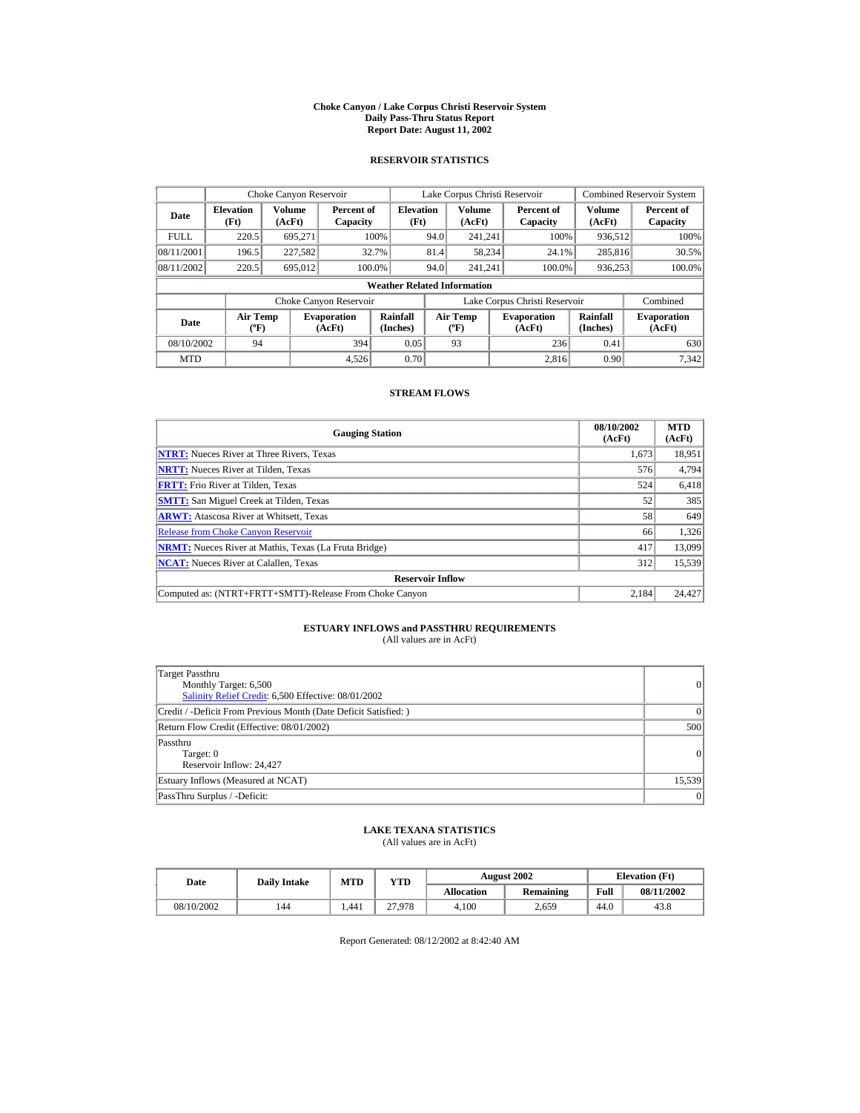#### **Choke Canyon / Lake Corpus Christi Reservoir System Daily Pass-Thru Status Report Report Date: August 11, 2002**

## **RESERVOIR STATISTICS**

|             | Choke Canyon Reservoir                      |                  |                              |                          | Lake Corpus Christi Reservoir                                    |                  |                      |                               |                  | <b>Combined Reservoir System</b> |  |  |
|-------------|---------------------------------------------|------------------|------------------------------|--------------------------|------------------------------------------------------------------|------------------|----------------------|-------------------------------|------------------|----------------------------------|--|--|
| Date        | <b>Elevation</b><br>(Ft)                    | Volume<br>(AcFt) | Percent of<br>Capacity       | <b>Elevation</b><br>(Ft) |                                                                  | Volume<br>(AcFt) |                      | Percent of<br>Capacity        | Volume<br>(AcFt) | Percent of<br>Capacity           |  |  |
| <b>FULL</b> | 220.5                                       | 695.271          |                              | 100%                     | 94.0                                                             | 241.241          |                      | 100%                          | 936,512          | 100%                             |  |  |
| 08/11/2001  | 196.5                                       | 227,582          |                              | 32.7%                    | 81.4                                                             | 58,234           |                      | 24.1%                         | 285,816          | 30.5%                            |  |  |
| 08/11/2002  | 220.5                                       | 695,012          |                              | 100.0%                   | 94.0                                                             | 241.241          |                      | 100.0%                        | 936,253          | 100.0%                           |  |  |
|             | <b>Weather Related Information</b>          |                  |                              |                          |                                                                  |                  |                      |                               |                  |                                  |  |  |
|             |                                             |                  | Choke Canyon Reservoir       |                          |                                                                  |                  |                      | Lake Corpus Christi Reservoir |                  | Combined                         |  |  |
| Date        | <b>Air Temp</b><br>$({}^{\circ}\mathrm{F})$ |                  | <b>Evaporation</b><br>(AcFt) | Rainfall<br>(Inches)     | <b>Air Temp</b><br><b>Evaporation</b><br>$(^{\circ}F)$<br>(AcFt) |                  | Rainfall<br>(Inches) | <b>Evaporation</b><br>(AcFt)  |                  |                                  |  |  |
| 08/10/2002  | 94                                          |                  | 394                          | 0.05                     |                                                                  | 93               |                      | 236                           | 0.41             | 630                              |  |  |
| <b>MTD</b>  |                                             |                  | 4.526                        | 0.70                     |                                                                  |                  |                      | 2.816                         | 0.90             | 7.342                            |  |  |

## **STREAM FLOWS**

| <b>Gauging Station</b>                                       | 08/10/2002<br>(AcFt) | <b>MTD</b><br>(AcFt) |
|--------------------------------------------------------------|----------------------|----------------------|
| <b>NTRT:</b> Nueces River at Three Rivers, Texas             | 1.673                | 18,951               |
| <b>NRTT:</b> Nueces River at Tilden, Texas                   | 576                  | 4,794                |
| <b>FRTT:</b> Frio River at Tilden, Texas                     | 524                  | 6,418                |
| <b>SMTT:</b> San Miguel Creek at Tilden, Texas               | 52                   | 385                  |
| <b>ARWT:</b> Atascosa River at Whitsett, Texas               | 58                   | 649                  |
| <b>Release from Choke Canvon Reservoir</b>                   | 66                   | 1,326                |
| <b>NRMT:</b> Nueces River at Mathis, Texas (La Fruta Bridge) | 417                  | 13,099               |
| <b>NCAT:</b> Nueces River at Calallen, Texas                 | 312                  | 15,539               |
| <b>Reservoir Inflow</b>                                      |                      |                      |
| Computed as: (NTRT+FRTT+SMTT)-Release From Choke Canyon      | 2.184                | 24.427               |

## **ESTUARY INFLOWS and PASSTHRU REQUIREMENTS**<br>(All values are in AcFt)

| Target Passthru<br>Monthly Target: 6,500<br>Salinity Relief Credit: 6,500 Effective: 08/01/2002 | 0               |
|-------------------------------------------------------------------------------------------------|-----------------|
| Credit / -Deficit From Previous Month (Date Deficit Satisfied: )                                | $\vert$ 0       |
| Return Flow Credit (Effective: 08/01/2002)                                                      | 500             |
| Passthru<br>Target: 0<br>Reservoir Inflow: 24,427                                               | 0               |
| Estuary Inflows (Measured at NCAT)                                                              | 15,539          |
| PassThru Surplus / -Deficit:                                                                    | $\vert 0 \vert$ |

## **LAKE TEXANA STATISTICS**

(All values are in AcFt)

| Date       | <b>Daily Intake</b> | <b>MTD</b> | YTD    |                   | <b>August 2002</b> | <b>Elevation</b> (Ft) |            |
|------------|---------------------|------------|--------|-------------------|--------------------|-----------------------|------------|
|            |                     |            |        | <b>Allocation</b> | Remaining          | Full                  | 08/11/2002 |
| 08/10/2002 | 144                 | .441       | 27.978 | 4.100             | 2.659              | 44.0                  | 43.8       |

Report Generated: 08/12/2002 at 8:42:40 AM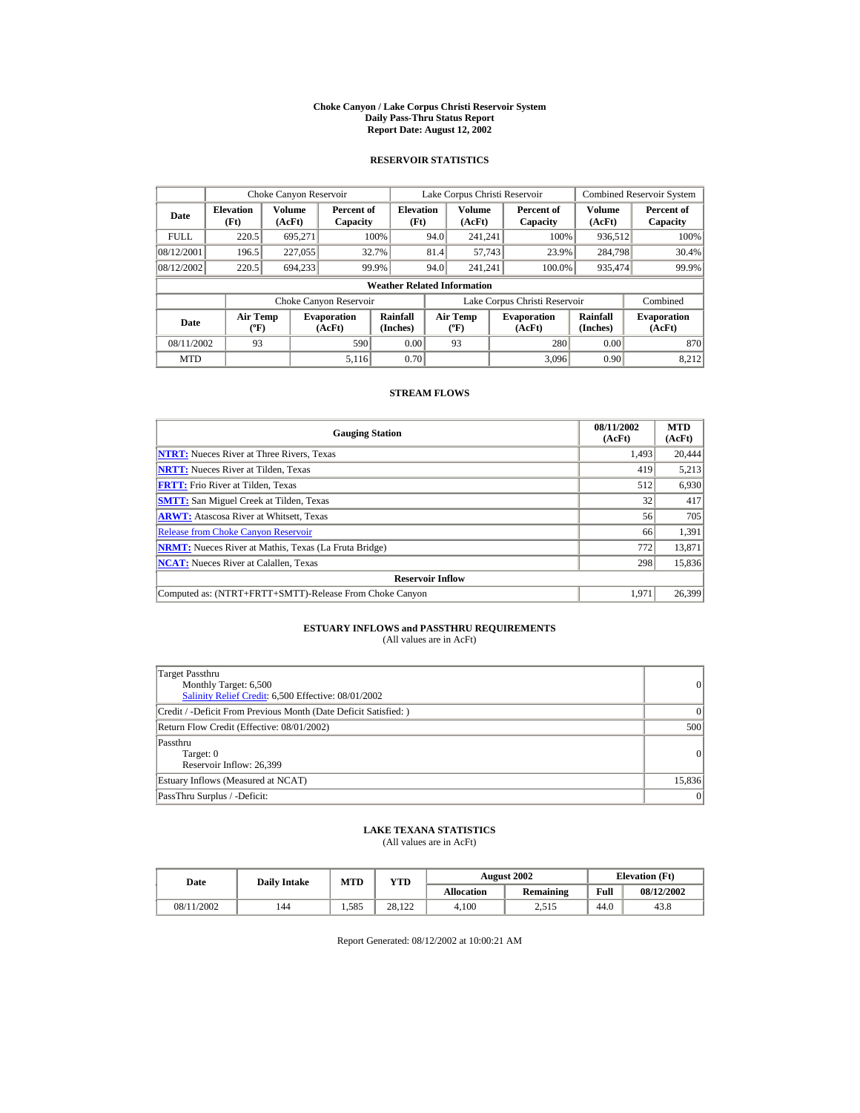#### **Choke Canyon / Lake Corpus Christi Reservoir System Daily Pass-Thru Status Report Report Date: August 12, 2002**

## **RESERVOIR STATISTICS**

|             | Choke Canyon Reservoir                      |                  |                              |                          | Lake Corpus Christi Reservoir |                                                                         |  |                               |                              | <b>Combined Reservoir System</b> |  |  |
|-------------|---------------------------------------------|------------------|------------------------------|--------------------------|-------------------------------|-------------------------------------------------------------------------|--|-------------------------------|------------------------------|----------------------------------|--|--|
| Date        | <b>Elevation</b><br>(Ft)                    | Volume<br>(AcFt) | Percent of<br>Capacity       | <b>Elevation</b><br>(Ft) |                               | <b>Volume</b><br>(AcFt)                                                 |  | Percent of<br>Capacity        | Volume<br>(AcFt)             | Percent of<br>Capacity           |  |  |
| <b>FULL</b> | 220.5                                       | 695.271          |                              | 100%                     | 94.0                          | 241.241                                                                 |  | 100%                          | 936,512                      | 100%                             |  |  |
| 08/12/2001  | 196.5                                       | 227,055          |                              | 32.7%                    | 81.4                          | 57,743                                                                  |  | 23.9%                         | 284,798                      | 30.4%                            |  |  |
| 08/12/2002  | 220.5                                       | 694,233          |                              | 99.9%                    | 94.0                          | 241.241                                                                 |  | 100.0%                        | 935,474                      | 99.9%                            |  |  |
|             | <b>Weather Related Information</b>          |                  |                              |                          |                               |                                                                         |  |                               |                              |                                  |  |  |
|             |                                             |                  | Choke Canyon Reservoir       |                          |                               |                                                                         |  | Lake Corpus Christi Reservoir |                              | Combined                         |  |  |
| <b>Date</b> | <b>Air Temp</b><br>$({}^{\circ}\mathrm{F})$ |                  | <b>Evaporation</b><br>(AcFt) | Rainfall<br>(Inches)     |                               | <b>Air Temp</b><br><b>Evaporation</b><br>(AcFt)<br>$(^{\circ}\text{F})$ |  | Rainfall<br>(Inches)          | <b>Evaporation</b><br>(AcFt) |                                  |  |  |
| 08/11/2002  | 93                                          |                  | 590                          | 0.00                     |                               | 93                                                                      |  | 280                           | 0.00                         | 870                              |  |  |
| <b>MTD</b>  |                                             |                  | 5.116                        | 0.70                     |                               |                                                                         |  | 3.096                         | 0.90                         | 8.212                            |  |  |

## **STREAM FLOWS**

| <b>Gauging Station</b>                                       | 08/11/2002<br>(AcFt) | <b>MTD</b><br>(AcFt) |
|--------------------------------------------------------------|----------------------|----------------------|
| <b>NTRT:</b> Nueces River at Three Rivers, Texas             | 1.493                | 20,444               |
| <b>NRTT:</b> Nueces River at Tilden, Texas                   | 419                  | 5,213                |
| <b>FRTT:</b> Frio River at Tilden, Texas                     | 512                  | 6,930                |
| <b>SMTT:</b> San Miguel Creek at Tilden, Texas               | 32                   | 417                  |
| <b>ARWT:</b> Atascosa River at Whitsett, Texas               | 56                   | 705                  |
| <b>Release from Choke Canyon Reservoir</b>                   | 66                   | 1,391                |
| <b>NRMT:</b> Nueces River at Mathis, Texas (La Fruta Bridge) | 772                  | 13.871               |
| <b>NCAT:</b> Nueces River at Calallen, Texas                 | 298                  | 15,836               |
| <b>Reservoir Inflow</b>                                      |                      |                      |
| Computed as: (NTRT+FRTT+SMTT)-Release From Choke Canyon      | 1.971                | 26,399               |

# **ESTUARY INFLOWS and PASSTHRU REQUIREMENTS**<br>(All values are in AcFt)

| Target Passthru<br>Monthly Target: 6,500<br>Salinity Relief Credit: 6,500 Effective: 08/01/2002 | $\overline{0}$ |
|-------------------------------------------------------------------------------------------------|----------------|
| Credit / -Deficit From Previous Month (Date Deficit Satisfied: )                                | $\Omega$       |
| Return Flow Credit (Effective: 08/01/2002)                                                      | 500            |
| Passthru<br>Target: 0<br>Reservoir Inflow: 26,399                                               | 0              |
| Estuary Inflows (Measured at NCAT)                                                              | 15,836         |
| PassThru Surplus / -Deficit:                                                                    | 0              |

## **LAKE TEXANA STATISTICS**

(All values are in AcFt)

| Date       | <b>Daily Intake</b> | <b>MTD</b> | YTD    |                   | <b>August 2002</b> | <b>Elevation</b> (Ft) |            |
|------------|---------------------|------------|--------|-------------------|--------------------|-----------------------|------------|
|            |                     |            |        | <b>Allocation</b> | Remaining          | Full                  | 08/12/2002 |
| 08/11/2002 | 144                 | 1.585      | 28.122 | 4.100             | 2.515              | 44.0                  | 43.8       |

Report Generated: 08/12/2002 at 10:00:21 AM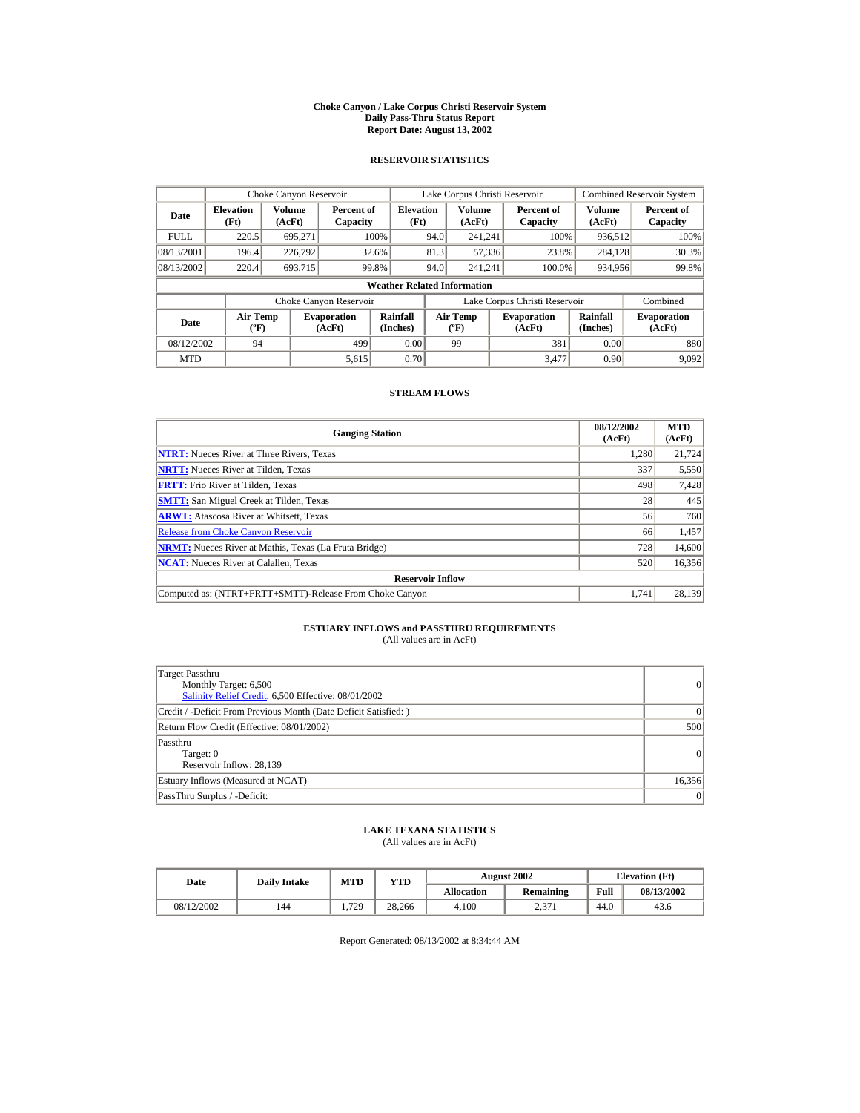#### **Choke Canyon / Lake Corpus Christi Reservoir System Daily Pass-Thru Status Report Report Date: August 13, 2002**

## **RESERVOIR STATISTICS**

|             | Choke Canyon Reservoir                      |                  |                              |                          | Lake Corpus Christi Reservoir |                                  |  |                               |                      | Combined Reservoir System    |  |  |
|-------------|---------------------------------------------|------------------|------------------------------|--------------------------|-------------------------------|----------------------------------|--|-------------------------------|----------------------|------------------------------|--|--|
| Date        | <b>Elevation</b><br>(Ft)                    | Volume<br>(AcFt) | Percent of<br>Capacity       | <b>Elevation</b><br>(Ft) |                               | Volume<br>(AcFt)                 |  | Percent of<br>Capacity        | Volume<br>(AcFt)     | Percent of<br>Capacity       |  |  |
| <b>FULL</b> | 220.5                                       | 695.271          |                              | 100%                     | 94.0                          | 241.241                          |  | 100%                          | 936,512              | 100%                         |  |  |
| 08/13/2001  | 196.4                                       | 226,792          |                              | 32.6%                    | 81.3                          | 57,336                           |  | 23.8%                         | 284,128              | 30.3%                        |  |  |
| 08/13/2002  | 220.4                                       | 693.715          |                              | 99.8%                    | 94.0                          | 241.241                          |  | 100.0%                        | 934,956              | 99.8%                        |  |  |
|             | <b>Weather Related Information</b>          |                  |                              |                          |                               |                                  |  |                               |                      |                              |  |  |
|             |                                             |                  | Choke Canyon Reservoir       |                          |                               |                                  |  | Lake Corpus Christi Reservoir |                      | Combined                     |  |  |
| Date        | <b>Air Temp</b><br>$({}^{\circ}\mathrm{F})$ |                  | <b>Evaporation</b><br>(AcFt) | Rainfall<br>(Inches)     |                               | <b>Air Temp</b><br>$(^{\circ}F)$ |  | <b>Evaporation</b><br>(AcFt)  | Rainfall<br>(Inches) | <b>Evaporation</b><br>(AcFt) |  |  |
| 08/12/2002  | 94                                          |                  | 499                          | 0.00                     |                               | 99                               |  | 381                           | 0.00                 | 880                          |  |  |
| <b>MTD</b>  |                                             |                  | 5,615                        | 0.70                     |                               |                                  |  | 3.477                         | 0.90                 | 9.092                        |  |  |

## **STREAM FLOWS**

| <b>Gauging Station</b>                                       | 08/12/2002<br>(AcFt) | <b>MTD</b><br>(AcFt) |
|--------------------------------------------------------------|----------------------|----------------------|
| <b>NTRT:</b> Nueces River at Three Rivers, Texas             | 1,280                | 21,724               |
| <b>NRTT:</b> Nueces River at Tilden, Texas                   | 337                  | 5,550                |
| <b>FRTT:</b> Frio River at Tilden, Texas                     | 498                  | 7,428                |
| <b>SMTT:</b> San Miguel Creek at Tilden, Texas               | 28                   | 445                  |
| <b>ARWT:</b> Atascosa River at Whitsett, Texas               | 56                   | 760                  |
| <b>Release from Choke Canyon Reservoir</b>                   | 66                   | 1,457                |
| <b>NRMT:</b> Nueces River at Mathis, Texas (La Fruta Bridge) | 728                  | 14,600               |
| <b>NCAT:</b> Nueces River at Calallen, Texas                 | 520                  | 16,356               |
| <b>Reservoir Inflow</b>                                      |                      |                      |
| Computed as: (NTRT+FRTT+SMTT)-Release From Choke Canyon      | 1.741                | 28,139               |

# **ESTUARY INFLOWS and PASSTHRU REQUIREMENTS**<br>(All values are in AcFt)

| Target Passthru<br>Monthly Target: 6,500<br>Salinity Relief Credit: 6,500 Effective: 08/01/2002 | $\overline{0}$ |
|-------------------------------------------------------------------------------------------------|----------------|
| Credit / -Deficit From Previous Month (Date Deficit Satisfied: )                                | $\Omega$       |
| Return Flow Credit (Effective: 08/01/2002)                                                      | 500            |
| Passthru<br>Target: 0<br>Reservoir Inflow: 28,139                                               | 0              |
| Estuary Inflows (Measured at NCAT)                                                              | 16,356         |
| PassThru Surplus / -Deficit:                                                                    | 0              |

## **LAKE TEXANA STATISTICS**

(All values are in AcFt)

| Date       | <b>Daily Intake</b> | <b>MTD</b> | YTD    |                   | <b>August 2002</b> | <b>Elevation</b> (Ft) |            |
|------------|---------------------|------------|--------|-------------------|--------------------|-----------------------|------------|
|            |                     |            |        | <b>Allocation</b> | Remaining          | Full                  | 08/13/2002 |
| 08/12/2002 | 144                 | 1.729      | 28.266 | 4.100             | n 271<br>2.011     | 44.0                  | 43.6       |

Report Generated: 08/13/2002 at 8:34:44 AM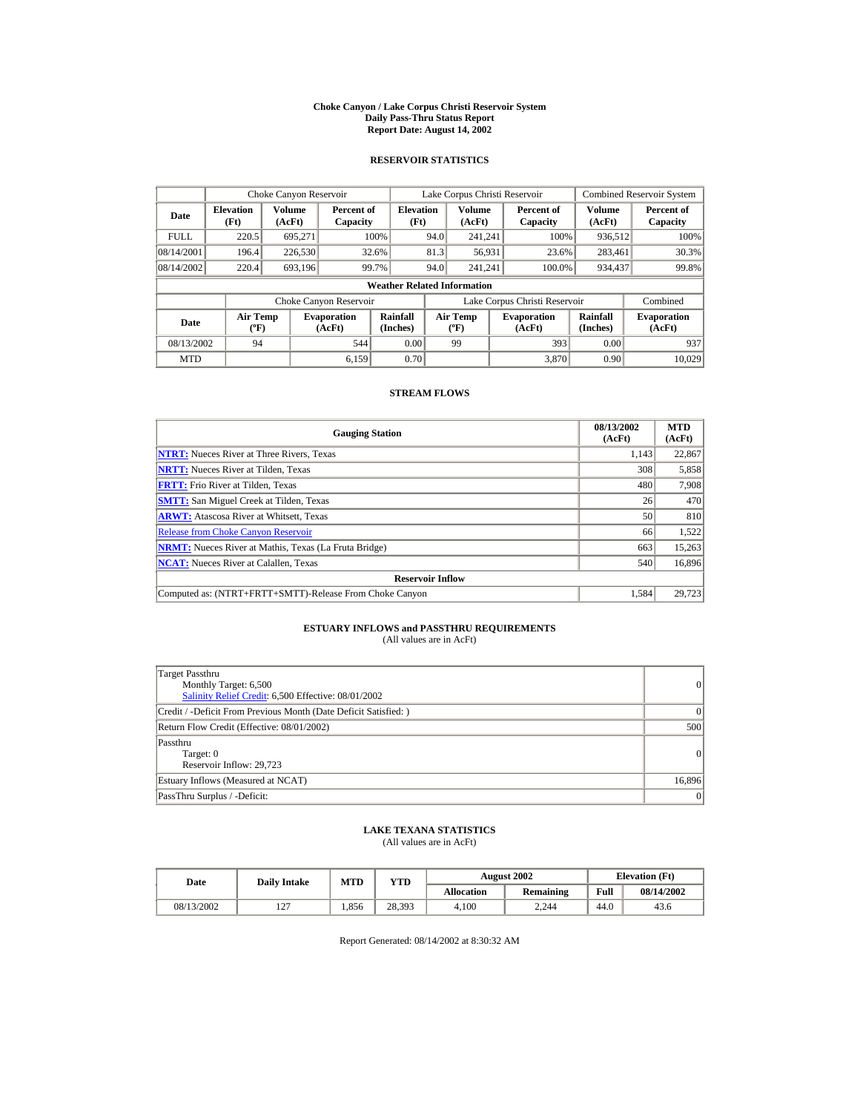#### **Choke Canyon / Lake Corpus Christi Reservoir System Daily Pass-Thru Status Report Report Date: August 14, 2002**

## **RESERVOIR STATISTICS**

|             | Choke Canyon Reservoir                      |                  |                              |                          | Lake Corpus Christi Reservoir |                                  |  |                               |                      | Combined Reservoir System    |  |  |
|-------------|---------------------------------------------|------------------|------------------------------|--------------------------|-------------------------------|----------------------------------|--|-------------------------------|----------------------|------------------------------|--|--|
| Date        | <b>Elevation</b><br>(Ft)                    | Volume<br>(AcFt) | Percent of<br>Capacity       | <b>Elevation</b><br>(Ft) |                               | Volume<br>(AcFt)                 |  | Percent of<br>Capacity        | Volume<br>(AcFt)     | Percent of<br>Capacity       |  |  |
| <b>FULL</b> | 220.5                                       | 695.271          |                              | 100%                     | 94.0                          | 241.241                          |  | 100%                          | 936,512              | 100%                         |  |  |
| 08/14/2001  | 196.4                                       | 226,530          |                              | 32.6%                    | 81.3                          | 56,931                           |  | 23.6%                         | 283,461              | 30.3%                        |  |  |
| 08/14/2002  | 220.4                                       | 693,196          |                              | 99.7%                    | 94.0                          | 241.241                          |  | 100.0%                        | 934,437              | 99.8%                        |  |  |
|             | <b>Weather Related Information</b>          |                  |                              |                          |                               |                                  |  |                               |                      |                              |  |  |
|             |                                             |                  | Choke Canyon Reservoir       |                          |                               |                                  |  | Lake Corpus Christi Reservoir |                      | Combined                     |  |  |
| Date        | <b>Air Temp</b><br>$({}^{\circ}\mathrm{F})$ |                  | <b>Evaporation</b><br>(AcFt) | Rainfall<br>(Inches)     |                               | <b>Air Temp</b><br>$(^{\circ}F)$ |  | <b>Evaporation</b><br>(AcFt)  | Rainfall<br>(Inches) | <b>Evaporation</b><br>(AcFt) |  |  |
| 08/13/2002  | 94                                          |                  | 544                          | 0.00                     |                               | 99                               |  | 393                           | 0.00                 | 937                          |  |  |
| <b>MTD</b>  |                                             |                  | 6.159                        | 0.70                     |                               |                                  |  | 3.870                         | 0.90                 | 10.029                       |  |  |

## **STREAM FLOWS**

| <b>Gauging Station</b>                                       | 08/13/2002<br>(AcFt) | <b>MTD</b><br>(AcFt) |
|--------------------------------------------------------------|----------------------|----------------------|
| <b>NTRT:</b> Nueces River at Three Rivers, Texas             | 1.143                | 22,867               |
| <b>NRTT:</b> Nueces River at Tilden, Texas                   | 308                  | 5,858                |
| <b>FRTT:</b> Frio River at Tilden, Texas                     | 480                  | 7,908                |
| <b>SMTT:</b> San Miguel Creek at Tilden, Texas               | 26                   | 470                  |
| <b>ARWT:</b> Atascosa River at Whitsett, Texas               | 50                   | 810                  |
| <b>Release from Choke Canyon Reservoir</b>                   | 66                   | 1,522                |
| <b>NRMT:</b> Nueces River at Mathis, Texas (La Fruta Bridge) | 663                  | 15,263               |
| <b>NCAT:</b> Nueces River at Calallen, Texas                 | 540                  | 16,896               |
| <b>Reservoir Inflow</b>                                      |                      |                      |
| Computed as: (NTRT+FRTT+SMTT)-Release From Choke Canyon      | 1.584                | 29,723               |

# **ESTUARY INFLOWS and PASSTHRU REQUIREMENTS**<br>(All values are in AcFt)

| Target Passthru<br>Monthly Target: 6,500<br>Salinity Relief Credit: 6,500 Effective: 08/01/2002 | 0               |
|-------------------------------------------------------------------------------------------------|-----------------|
| Credit / -Deficit From Previous Month (Date Deficit Satisfied: )                                | 0               |
| Return Flow Credit (Effective: 08/01/2002)                                                      | 500             |
| Passthru<br>Target: 0<br>Reservoir Inflow: 29.723                                               | 0               |
| Estuary Inflows (Measured at NCAT)                                                              | 16,896          |
| PassThru Surplus / -Deficit:                                                                    | $\vert 0 \vert$ |

## **LAKE TEXANA STATISTICS**

(All values are in AcFt)

| Date       | <b>Daily Intake</b>      | <b>MTD</b> | YTD    |                   | <b>August 2002</b> | <b>Elevation</b> (Ft) |            |
|------------|--------------------------|------------|--------|-------------------|--------------------|-----------------------|------------|
|            |                          |            |        | <b>Allocation</b> | Remaining          | Full                  | 08/14/2002 |
| 08/13/2002 | $\sim$<br>$\overline{ }$ | 1.856      | 28.393 | 4.100             | 2.244              | 44.0                  | 43.6       |

Report Generated: 08/14/2002 at 8:30:32 AM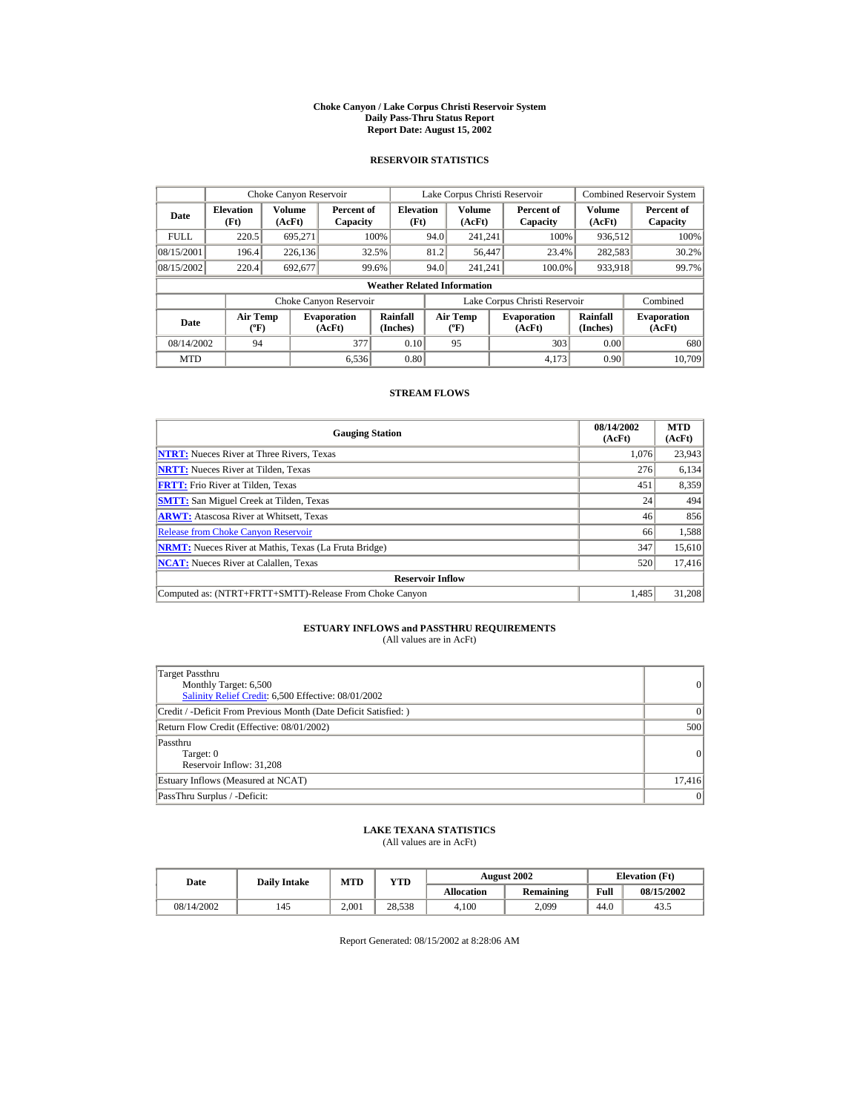#### **Choke Canyon / Lake Corpus Christi Reservoir System Daily Pass-Thru Status Report Report Date: August 15, 2002**

## **RESERVOIR STATISTICS**

|             | Choke Canyon Reservoir             |                  |                              |                          | Lake Corpus Christi Reservoir |                                   |  |                               |                         | Combined Reservoir System    |  |  |
|-------------|------------------------------------|------------------|------------------------------|--------------------------|-------------------------------|-----------------------------------|--|-------------------------------|-------------------------|------------------------------|--|--|
| Date        | <b>Elevation</b><br>(Ft)           | Volume<br>(AcFt) | Percent of<br>Capacity       | <b>Elevation</b><br>(Ft) |                               | <b>Volume</b><br>(AcFt)           |  | Percent of<br>Capacity        | <b>Volume</b><br>(AcFt) | Percent of<br>Capacity       |  |  |
| <b>FULL</b> | 220.5                              | 695.271          |                              | 100%                     | 94.0                          | 241.241                           |  | 100%                          | 936,512                 | 100%                         |  |  |
| 08/15/2001  | 196.4                              | 226.136          |                              | 32.5%                    | 81.2                          | 56,447                            |  | 23.4%                         | 282,583                 | 30.2%                        |  |  |
| 08/15/2002  | 220.4                              | 692.677          |                              | 99.6%                    | 94.0                          | 241.241                           |  | 100.0%                        | 933,918                 | 99.7%                        |  |  |
|             | <b>Weather Related Information</b> |                  |                              |                          |                               |                                   |  |                               |                         |                              |  |  |
|             |                                    |                  | Choke Canyon Reservoir       |                          |                               |                                   |  | Lake Corpus Christi Reservoir |                         | Combined                     |  |  |
| Date        | Air Temp<br>$({}^o\mathrm{F})$     |                  | <b>Evaporation</b><br>(AcFt) | Rainfall<br>(Inches)     |                               | Air Temp<br>$({}^{\circ}{\rm F})$ |  | <b>Evaporation</b><br>(AcFt)  | Rainfall<br>(Inches)    | <b>Evaporation</b><br>(AcFt) |  |  |
| 08/14/2002  | 94                                 |                  | 377                          | 0.10                     |                               | 95                                |  | 303                           | 0.00                    | 680                          |  |  |
| <b>MTD</b>  |                                    |                  | 6,536                        | 0.80                     |                               |                                   |  | 4.173                         | 0.90                    | 10.709                       |  |  |

## **STREAM FLOWS**

| <b>Gauging Station</b>                                       | 08/14/2002<br>(AcFt) | <b>MTD</b><br>(AcFt) |
|--------------------------------------------------------------|----------------------|----------------------|
| <b>NTRT:</b> Nueces River at Three Rivers, Texas             | 1.076                | 23,943               |
| <b>NRTT:</b> Nueces River at Tilden, Texas                   | 276                  | 6,134                |
| <b>FRTT:</b> Frio River at Tilden, Texas                     | 451                  | 8,359                |
| <b>SMTT:</b> San Miguel Creek at Tilden, Texas               | 24                   | 494                  |
| <b>ARWT:</b> Atascosa River at Whitsett, Texas               | 46                   | 856                  |
| <b>Release from Choke Canyon Reservoir</b>                   | 66                   | 1,588                |
| <b>NRMT:</b> Nueces River at Mathis, Texas (La Fruta Bridge) | 347                  | 15.610               |
| <b>NCAT:</b> Nueces River at Calallen, Texas                 | 520                  | 17,416               |
| <b>Reservoir Inflow</b>                                      |                      |                      |
| Computed as: (NTRT+FRTT+SMTT)-Release From Choke Canyon      | 1.485                | 31,208               |

# **ESTUARY INFLOWS and PASSTHRU REQUIREMENTS**<br>(All values are in AcFt)

| Target Passthru<br>Monthly Target: 6,500<br>Salinity Relief Credit: 6,500 Effective: 08/01/2002 | $\overline{0}$ |
|-------------------------------------------------------------------------------------------------|----------------|
| Credit / -Deficit From Previous Month (Date Deficit Satisfied: )                                | $\Omega$       |
| Return Flow Credit (Effective: 08/01/2002)                                                      | 500            |
| Passthru<br>Target: 0<br>Reservoir Inflow: 31,208                                               | 0              |
| Estuary Inflows (Measured at NCAT)                                                              | 17,416         |
| PassThru Surplus / -Deficit:                                                                    | 0              |

## **LAKE TEXANA STATISTICS**

(All values are in AcFt)

| Date       | <b>Daily Intake</b> | <b>MTD</b> | YTD    |                   | <b>August 2002</b> | <b>Elevation</b> (Ft) |            |
|------------|---------------------|------------|--------|-------------------|--------------------|-----------------------|------------|
|            |                     |            |        | <b>Allocation</b> | Remaining          | Full                  | 08/15/2002 |
| 08/14/2002 | 145                 | 2.001      | 28.538 | 4.100             | 2,099              | 44.0                  | 43         |

Report Generated: 08/15/2002 at 8:28:06 AM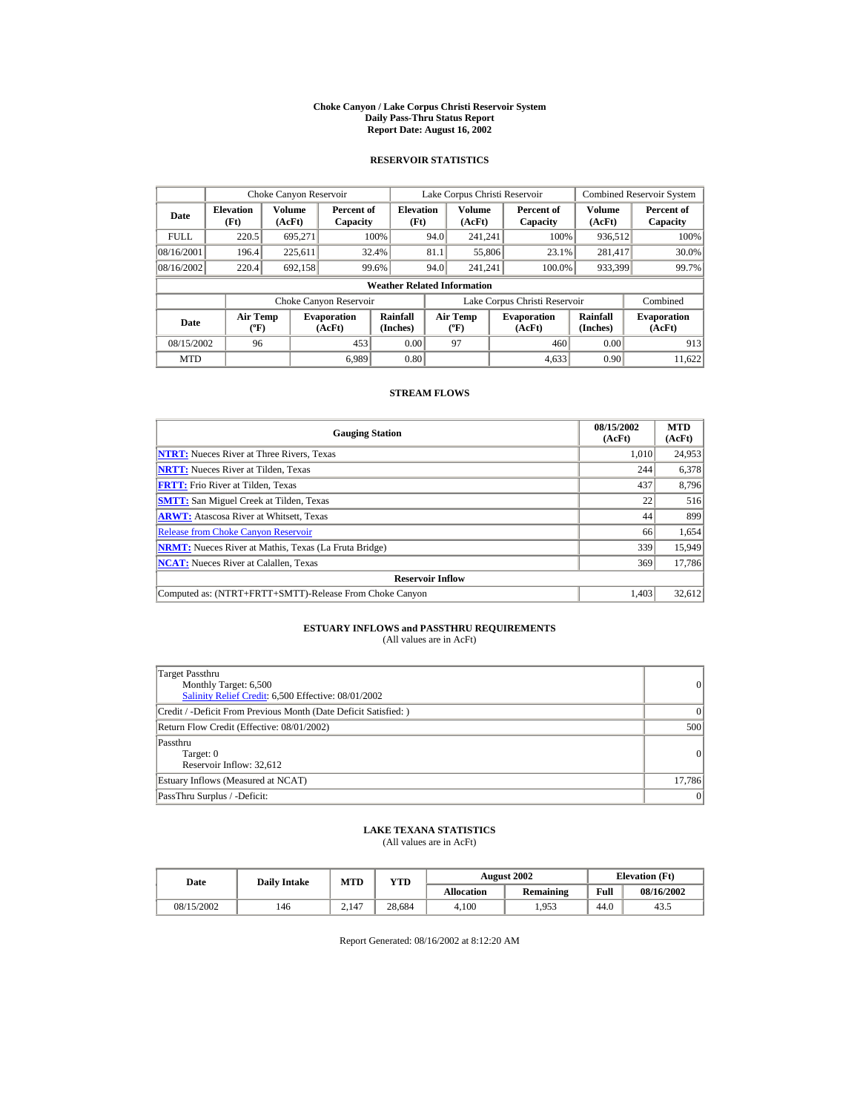#### **Choke Canyon / Lake Corpus Christi Reservoir System Daily Pass-Thru Status Report Report Date: August 16, 2002**

## **RESERVOIR STATISTICS**

|             | Choke Canyon Reservoir                      |                  |                              |                          | Lake Corpus Christi Reservoir |                                  |  |                               |                      | <b>Combined Reservoir System</b> |  |  |
|-------------|---------------------------------------------|------------------|------------------------------|--------------------------|-------------------------------|----------------------------------|--|-------------------------------|----------------------|----------------------------------|--|--|
| Date        | <b>Elevation</b><br>(Ft)                    | Volume<br>(AcFt) | Percent of<br>Capacity       | <b>Elevation</b><br>(Ft) |                               | Volume<br>(AcFt)                 |  | Percent of<br>Capacity        | Volume<br>(AcFt)     | Percent of<br>Capacity           |  |  |
| <b>FULL</b> | 220.5                                       | 695.271          |                              | 100%                     | 94.0                          | 241.241                          |  | 100%                          | 936,512              | 100%                             |  |  |
| 08/16/2001  | 196.4                                       | 225,611          |                              | 32.4%                    | 81.1                          | 55,806                           |  | 23.1%                         | 281.417              | 30.0%                            |  |  |
| 08/16/2002  | 220.4                                       | 692.158          |                              | 99.6%                    | 94.0                          | 241.241                          |  | 100.0%                        | 933,399              | 99.7%                            |  |  |
|             | <b>Weather Related Information</b>          |                  |                              |                          |                               |                                  |  |                               |                      |                                  |  |  |
|             |                                             |                  | Choke Canyon Reservoir       |                          |                               |                                  |  | Lake Corpus Christi Reservoir |                      | Combined                         |  |  |
| Date        | <b>Air Temp</b><br>$({}^{\circ}\mathrm{F})$ |                  | <b>Evaporation</b><br>(AcFt) | Rainfall<br>(Inches)     |                               | <b>Air Temp</b><br>$(^{\circ}F)$ |  | <b>Evaporation</b><br>(AcFt)  | Rainfall<br>(Inches) | <b>Evaporation</b><br>(AcFt)     |  |  |
| 08/15/2002  | 96                                          |                  | 453                          | 0.00                     |                               | 97                               |  | 460                           | 0.00                 | 913                              |  |  |
| <b>MTD</b>  |                                             |                  | 6.989                        | 0.80                     |                               |                                  |  | 4,633                         | 0.90                 | 11.622                           |  |  |

## **STREAM FLOWS**

| <b>Gauging Station</b>                                       | 08/15/2002<br>(AcFt) | <b>MTD</b><br>(AcFt) |
|--------------------------------------------------------------|----------------------|----------------------|
| <b>NTRT:</b> Nueces River at Three Rivers, Texas             | 1.010                | 24,953               |
| <b>NRTT:</b> Nueces River at Tilden, Texas                   | 244                  | 6,378                |
| <b>FRTT:</b> Frio River at Tilden, Texas                     | 437                  | 8,796                |
| <b>SMTT:</b> San Miguel Creek at Tilden, Texas               | 22                   | 516                  |
| <b>ARWT:</b> Atascosa River at Whitsett, Texas               | 44                   | 899                  |
| <b>Release from Choke Canyon Reservoir</b>                   | 66                   | 1,654                |
| <b>NRMT:</b> Nueces River at Mathis, Texas (La Fruta Bridge) | 339                  | 15.949               |
| <b>NCAT:</b> Nueces River at Calallen, Texas                 | 369                  | 17,786               |
| <b>Reservoir Inflow</b>                                      |                      |                      |
| Computed as: (NTRT+FRTT+SMTT)-Release From Choke Canyon      | 1.403                | 32,612               |

# **ESTUARY INFLOWS and PASSTHRU REQUIREMENTS**<br>(All values are in AcFt)

| Target Passthru<br>Monthly Target: 6,500<br>Salinity Relief Credit: 6,500 Effective: 08/01/2002 | 0               |
|-------------------------------------------------------------------------------------------------|-----------------|
| Credit / -Deficit From Previous Month (Date Deficit Satisfied:)                                 | $\vert$ 0       |
| Return Flow Credit (Effective: 08/01/2002)                                                      | 500             |
| Passthru<br>Target: 0<br>Reservoir Inflow: 32.612                                               | 0               |
| Estuary Inflows (Measured at NCAT)                                                              | 17,786          |
| PassThru Surplus / -Deficit:                                                                    | $\vert 0 \vert$ |

## **LAKE TEXANA STATISTICS**

(All values are in AcFt)

| Date       | <b>Daily Intake</b> | <b>MTD</b> | YTD    |                   | <b>August 2002</b> | <b>Elevation</b> (Ft) |            |
|------------|---------------------|------------|--------|-------------------|--------------------|-----------------------|------------|
|            |                     |            |        | <b>Allocation</b> | Remaining          | Full                  | 08/16/2002 |
| 08/15/2002 | 146                 | 2.147      | 28.684 | 4.100             | 1.953              | 44.0                  | 43.5       |

Report Generated: 08/16/2002 at 8:12:20 AM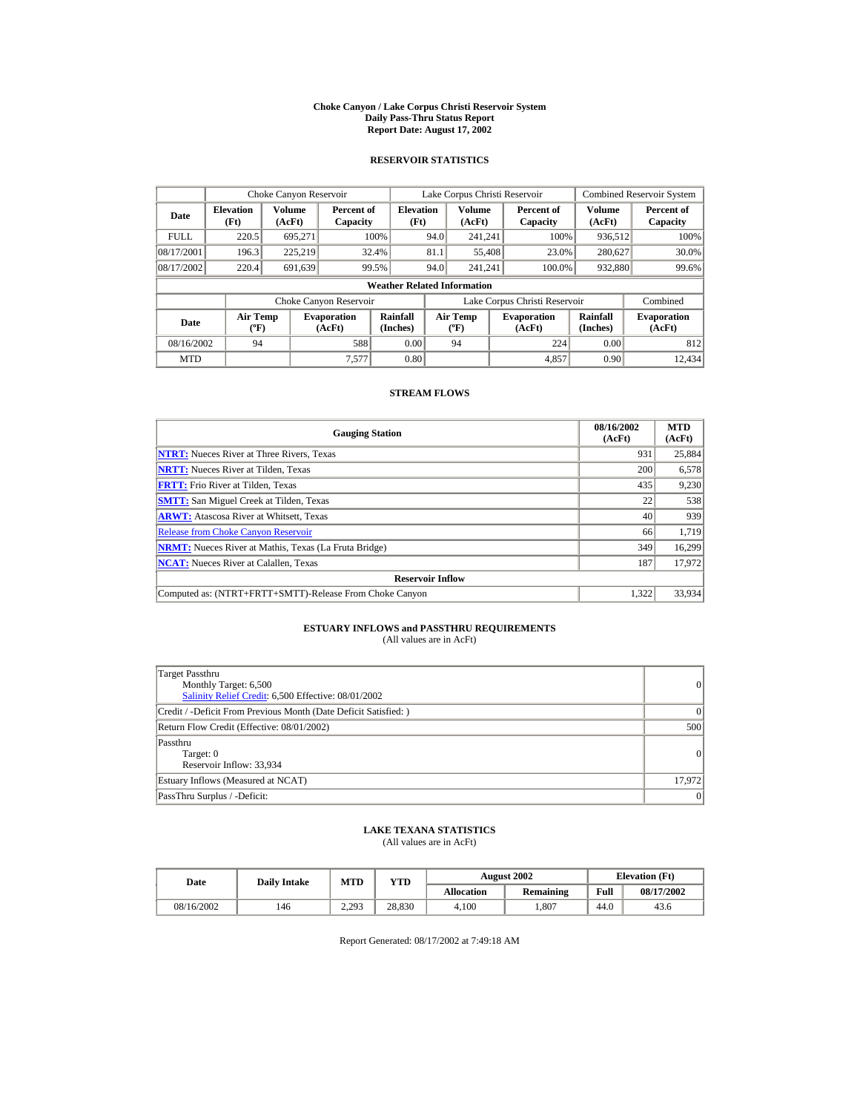#### **Choke Canyon / Lake Corpus Christi Reservoir System Daily Pass-Thru Status Report Report Date: August 17, 2002**

## **RESERVOIR STATISTICS**

|             | Choke Canyon Reservoir                      |                  |                              |                          | Lake Corpus Christi Reservoir |                                             |  |                               |                      | Combined Reservoir System    |  |  |
|-------------|---------------------------------------------|------------------|------------------------------|--------------------------|-------------------------------|---------------------------------------------|--|-------------------------------|----------------------|------------------------------|--|--|
| Date        | <b>Elevation</b><br>(Ft)                    | Volume<br>(AcFt) | Percent of<br>Capacity       | <b>Elevation</b><br>(Ft) |                               | <b>Volume</b><br>(AcFt)                     |  | Percent of<br>Capacity        | Volume<br>(AcFt)     | Percent of<br>Capacity       |  |  |
| <b>FULL</b> | 220.5                                       | 695.271          |                              | 100%                     | 94.0                          | 241.241                                     |  | 100%                          | 936,512              | 100%                         |  |  |
| 08/17/2001  | 196.3                                       | 225,219          |                              | 32.4%                    | 81.1                          | 55,408                                      |  | 23.0%                         | 280,627              | 30.0%                        |  |  |
| 08/17/2002  | 220.4                                       | 691,639          |                              | 99.5%                    | 94.0                          | 241.241                                     |  | 100.0%                        | 932,880              | 99.6%                        |  |  |
|             | <b>Weather Related Information</b>          |                  |                              |                          |                               |                                             |  |                               |                      |                              |  |  |
|             |                                             |                  | Choke Canyon Reservoir       |                          |                               |                                             |  | Lake Corpus Christi Reservoir |                      | Combined                     |  |  |
| Date        | <b>Air Temp</b><br>$({}^{\circ}\mathrm{F})$ |                  | <b>Evaporation</b><br>(AcFt) | Rainfall<br>(Inches)     |                               | <b>Air Temp</b><br>$({}^{\circ}\mathbf{F})$ |  | <b>Evaporation</b><br>(AcFt)  | Rainfall<br>(Inches) | <b>Evaporation</b><br>(AcFt) |  |  |
| 08/16/2002  | 94                                          |                  | 588                          | 0.00                     |                               | 94                                          |  | 224                           | 0.00                 | 812                          |  |  |
| <b>MTD</b>  |                                             |                  | 7.577                        | 0.80                     |                               |                                             |  | 4,857                         | 0.90                 | 12.434                       |  |  |

## **STREAM FLOWS**

| <b>Gauging Station</b>                                       | 08/16/2002<br>(AcFt) | <b>MTD</b><br>(AcFt) |
|--------------------------------------------------------------|----------------------|----------------------|
| <b>NTRT:</b> Nueces River at Three Rivers, Texas             | 931                  | 25,884               |
| <b>NRTT:</b> Nueces River at Tilden, Texas                   | 200                  | 6,578                |
| <b>FRTT:</b> Frio River at Tilden, Texas                     | 435                  | 9,230                |
| <b>SMTT:</b> San Miguel Creek at Tilden, Texas               | 22                   | 538                  |
| <b>ARWT:</b> Atascosa River at Whitsett, Texas               | 40                   | 939                  |
| <b>Release from Choke Canyon Reservoir</b>                   | 66                   | 1.719                |
| <b>NRMT:</b> Nueces River at Mathis, Texas (La Fruta Bridge) | 349                  | 16,299               |
| <b>NCAT:</b> Nueces River at Calallen, Texas                 | 187                  | 17,972               |
| <b>Reservoir Inflow</b>                                      |                      |                      |
| Computed as: (NTRT+FRTT+SMTT)-Release From Choke Canyon      | 1.322                | 33,934               |

# **ESTUARY INFLOWS and PASSTHRU REQUIREMENTS**<br>(All values are in AcFt)

| Target Passthru<br>Monthly Target: 6,500<br>Salinity Relief Credit: 6,500 Effective: 08/01/2002 | 0         |
|-------------------------------------------------------------------------------------------------|-----------|
| Credit / -Deficit From Previous Month (Date Deficit Satisfied:)                                 | $\vert$ 0 |
| Return Flow Credit (Effective: 08/01/2002)                                                      | 500       |
| Passthru<br>Target: 0<br>Reservoir Inflow: 33,934                                               | 0         |
| Estuary Inflows (Measured at NCAT)                                                              | 17,972    |
| PassThru Surplus / -Deficit:                                                                    | 0         |

## **LAKE TEXANA STATISTICS**

(All values are in AcFt)

| Date       | <b>Daily Intake</b> | <b>MTD</b> | YTD    |                   | <b>August 2002</b> | <b>Elevation</b> (Ft) |            |
|------------|---------------------|------------|--------|-------------------|--------------------|-----------------------|------------|
|            |                     |            |        | <b>Allocation</b> | Remaining          | Full                  | 08/17/2002 |
| 08/16/2002 | 146                 | 2.293      | 28.830 | 4.100             | .807               | 44.0                  | 43.6       |

Report Generated: 08/17/2002 at 7:49:18 AM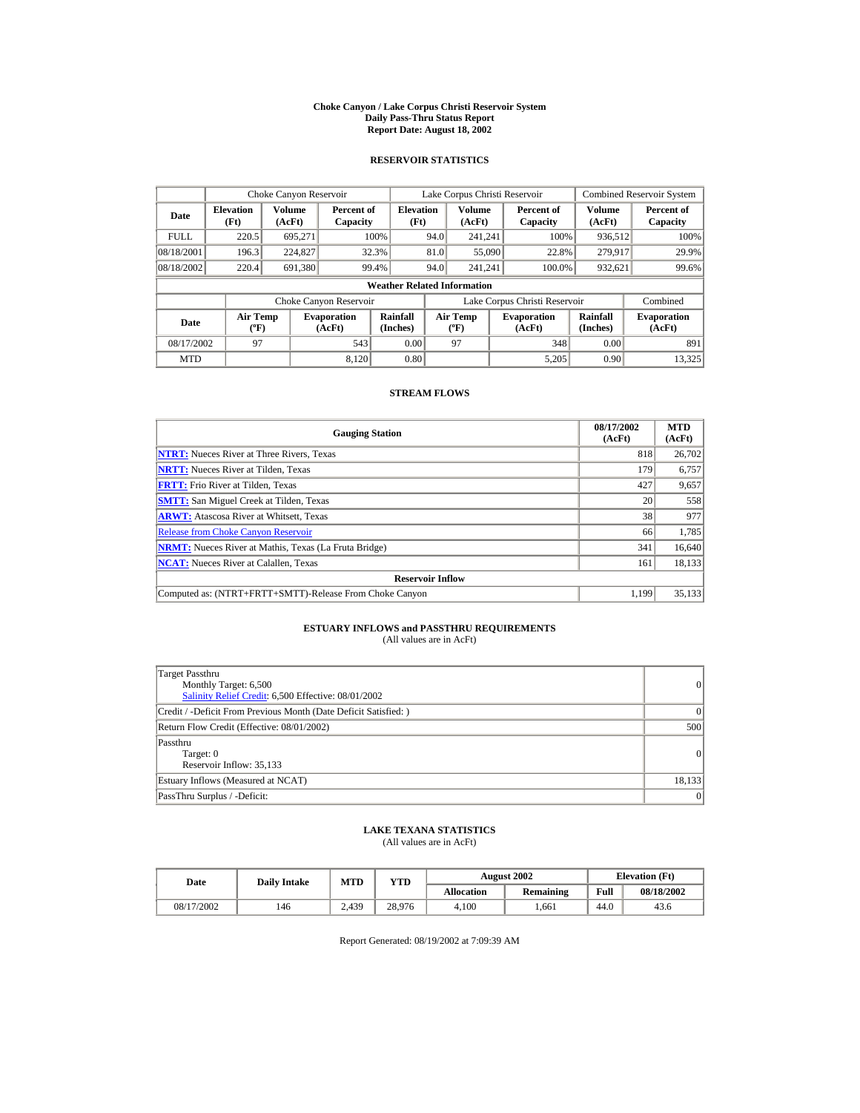#### **Choke Canyon / Lake Corpus Christi Reservoir System Daily Pass-Thru Status Report Report Date: August 18, 2002**

## **RESERVOIR STATISTICS**

|             | Choke Canyon Reservoir                |                  |                              |                          | Lake Corpus Christi Reservoir |                                          |  |                               |                      | <b>Combined Reservoir System</b> |  |  |
|-------------|---------------------------------------|------------------|------------------------------|--------------------------|-------------------------------|------------------------------------------|--|-------------------------------|----------------------|----------------------------------|--|--|
| Date        | <b>Elevation</b><br>(Ft)              | Volume<br>(AcFt) | Percent of<br>Capacity       | <b>Elevation</b><br>(Ft) |                               | <b>Volume</b><br>(AcFt)                  |  | Percent of<br>Capacity        | Volume<br>(AcFt)     | Percent of<br>Capacity           |  |  |
| <b>FULL</b> | 220.5                                 | 695.271          |                              | 100%                     | 94.0                          | 241.241                                  |  | 100%                          | 936,512              | 100%                             |  |  |
| 08/18/2001  | 196.3                                 | 224,827          |                              | 32.3%                    | 81.0                          | 55,090                                   |  | 22.8%                         | 279,917              | 29.9%                            |  |  |
| 08/18/2002  | 220.4                                 | 691,380          |                              | 99.4%                    | 94.0                          | 241.241                                  |  | 100.0%                        | 932,621              | 99.6%                            |  |  |
|             | <b>Weather Related Information</b>    |                  |                              |                          |                               |                                          |  |                               |                      |                                  |  |  |
|             |                                       |                  | Choke Canyon Reservoir       |                          |                               |                                          |  | Lake Corpus Christi Reservoir |                      | Combined                         |  |  |
| Date        | <b>Air Temp</b><br>$({}^o\mathrm{F})$ |                  | <b>Evaporation</b><br>(AcFt) | Rainfall<br>(Inches)     |                               | <b>Air Temp</b><br>$({}^{\circ}{\rm F})$ |  | <b>Evaporation</b><br>(AcFt)  | Rainfall<br>(Inches) | <b>Evaporation</b><br>(AcFt)     |  |  |
| 08/17/2002  | 97                                    |                  | 543                          | 0.00                     |                               | 97                                       |  | 348                           | 0.00                 | 891                              |  |  |
| <b>MTD</b>  |                                       |                  | 8.120                        | 0.80                     |                               |                                          |  | 5.205                         | 0.90                 | 13.325                           |  |  |

## **STREAM FLOWS**

| <b>Gauging Station</b>                                       | 08/17/2002<br>(AcFt) | <b>MTD</b><br>(AcFt) |
|--------------------------------------------------------------|----------------------|----------------------|
| <b>NTRT:</b> Nueces River at Three Rivers, Texas             | 818                  | 26,702               |
| <b>NRTT:</b> Nueces River at Tilden, Texas                   | 179                  | 6,757                |
| <b>FRTT:</b> Frio River at Tilden, Texas                     | 427                  | 9,657                |
| <b>SMTT:</b> San Miguel Creek at Tilden, Texas               | 20                   | 558                  |
| <b>ARWT:</b> Atascosa River at Whitsett, Texas               | 38                   | 977                  |
| <b>Release from Choke Canyon Reservoir</b>                   | 66                   | 1,785                |
| <b>NRMT:</b> Nueces River at Mathis, Texas (La Fruta Bridge) | 341                  | 16.640               |
| <b>NCAT:</b> Nueces River at Calallen, Texas                 | 161                  | 18,133               |
| <b>Reservoir Inflow</b>                                      |                      |                      |
| Computed as: (NTRT+FRTT+SMTT)-Release From Choke Canyon      | 1.199                | 35,133               |

# **ESTUARY INFLOWS and PASSTHRU REQUIREMENTS**<br>(All values are in AcFt)

| Target Passthru<br>Monthly Target: 6,500<br>Salinity Relief Credit: 6,500 Effective: 08/01/2002 | 0               |
|-------------------------------------------------------------------------------------------------|-----------------|
| Credit / -Deficit From Previous Month (Date Deficit Satisfied: )                                | 0               |
| Return Flow Credit (Effective: 08/01/2002)                                                      | 500             |
| Passthru<br>Target: 0<br>Reservoir Inflow: 35,133                                               | 0               |
| Estuary Inflows (Measured at NCAT)                                                              | 18,133          |
| PassThru Surplus / -Deficit:                                                                    | $\vert 0 \vert$ |

## **LAKE TEXANA STATISTICS**

(All values are in AcFt)

| Date       | <b>Daily Intake</b> | MTD   | YTD    |                   | <b>August 2002</b> | <b>Elevation</b> (Ft) |            |
|------------|---------------------|-------|--------|-------------------|--------------------|-----------------------|------------|
|            |                     |       |        | <b>Allocation</b> | <b>Remaining</b>   | Full                  | 08/18/2002 |
| 08/17/2002 | 146                 | 2.439 | 28.976 | 4.100             | .661               | 44.0                  | 43.6       |

Report Generated: 08/19/2002 at 7:09:39 AM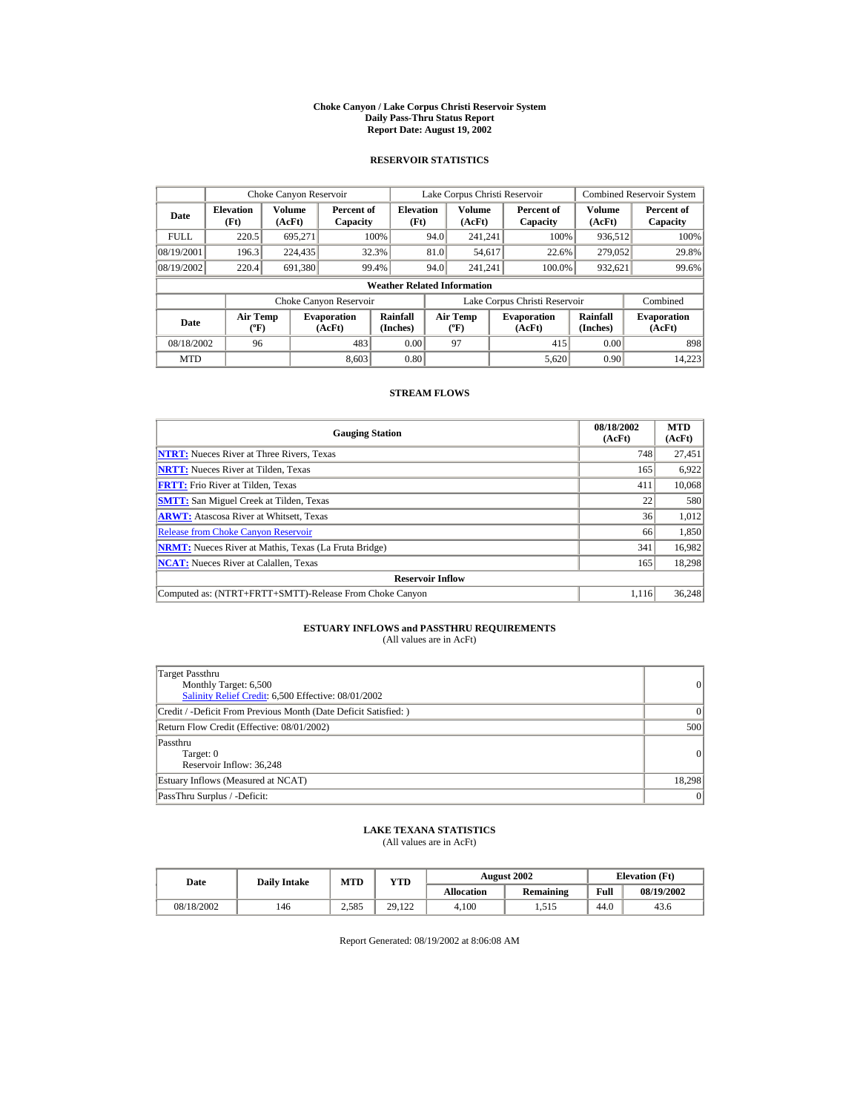#### **Choke Canyon / Lake Corpus Christi Reservoir System Daily Pass-Thru Status Report Report Date: August 19, 2002**

## **RESERVOIR STATISTICS**

|             | Choke Canyon Reservoir                      |                  |                              |                          | Lake Corpus Christi Reservoir |                                             |  |                               |                      | Combined Reservoir System    |  |  |
|-------------|---------------------------------------------|------------------|------------------------------|--------------------------|-------------------------------|---------------------------------------------|--|-------------------------------|----------------------|------------------------------|--|--|
| Date        | <b>Elevation</b><br>(Ft)                    | Volume<br>(AcFt) | Percent of<br>Capacity       | <b>Elevation</b><br>(Ft) |                               | Volume<br>(AcFt)                            |  | Percent of<br>Capacity        | Volume<br>(AcFt)     | Percent of<br>Capacity       |  |  |
| <b>FULL</b> | 220.5                                       | 695.271          |                              | 100%                     | 94.0                          | 241.241                                     |  | 100%                          | 936,512              | 100%                         |  |  |
| 08/19/2001  | 196.3                                       | 224,435          |                              | 32.3%                    | 81.0                          | 54,617                                      |  | 22.6%                         | 279,052              | 29.8%                        |  |  |
| 08/19/2002  | 220.4                                       | 691.380          |                              | 99.4%                    | 94.0                          | 241.241                                     |  | 100.0%                        | 932,621              | 99.6%                        |  |  |
|             | <b>Weather Related Information</b>          |                  |                              |                          |                               |                                             |  |                               |                      |                              |  |  |
|             |                                             |                  | Choke Canyon Reservoir       |                          |                               |                                             |  | Lake Corpus Christi Reservoir |                      | Combined                     |  |  |
| Date        | <b>Air Temp</b><br>$({}^{\circ}\mathrm{F})$ |                  | <b>Evaporation</b><br>(AcFt) | Rainfall<br>(Inches)     |                               | <b>Air Temp</b><br>$({}^{\circ}\mathbf{F})$ |  | <b>Evaporation</b><br>(AcFt)  | Rainfall<br>(Inches) | <b>Evaporation</b><br>(AcFt) |  |  |
| 08/18/2002  | 96                                          |                  | 483                          | 0.00                     |                               | 97                                          |  | 415                           | 0.00                 | 898                          |  |  |
| <b>MTD</b>  |                                             |                  | 8.603                        | 0.80                     |                               |                                             |  | 5,620                         | 0.90                 | 14.223                       |  |  |

## **STREAM FLOWS**

| <b>Gauging Station</b>                                       | 08/18/2002<br>(AcFt) | <b>MTD</b><br>(AcFt) |
|--------------------------------------------------------------|----------------------|----------------------|
| <b>NTRT:</b> Nueces River at Three Rivers, Texas             | 748                  | 27,451               |
| <b>NRTT:</b> Nueces River at Tilden, Texas                   | 165                  | 6,922                |
| <b>FRTT:</b> Frio River at Tilden, Texas                     | 411                  | 10,068               |
| <b>SMTT:</b> San Miguel Creek at Tilden, Texas               | 22                   | 580                  |
| <b>ARWT:</b> Atascosa River at Whitsett, Texas               | 36                   | 1,012                |
| <b>Release from Choke Canyon Reservoir</b>                   | 66                   | 1,850                |
| <b>NRMT:</b> Nueces River at Mathis, Texas (La Fruta Bridge) | 341                  | 16,982               |
| <b>NCAT:</b> Nueces River at Calallen, Texas                 | 165                  | 18,298               |
| <b>Reservoir Inflow</b>                                      |                      |                      |
| Computed as: (NTRT+FRTT+SMTT)-Release From Choke Canyon      | 1.116                | 36,248               |

# **ESTUARY INFLOWS and PASSTHRU REQUIREMENTS**<br>(All values are in AcFt)

| Target Passthru<br>Monthly Target: 6,500<br>Salinity Relief Credit: 6,500 Effective: 08/01/2002 | 0               |
|-------------------------------------------------------------------------------------------------|-----------------|
| Credit / -Deficit From Previous Month (Date Deficit Satisfied: )                                | $\vert$ 0       |
| Return Flow Credit (Effective: 08/01/2002)                                                      | 500             |
| Passthru<br>Target: 0<br>Reservoir Inflow: 36.248                                               | 0               |
| Estuary Inflows (Measured at NCAT)                                                              | 18,298          |
| PassThru Surplus / -Deficit:                                                                    | $\vert 0 \vert$ |

## **LAKE TEXANA STATISTICS**

(All values are in AcFt)

| Date       | <b>Daily Intake</b> | <b>MTD</b> | YTD    |                   | <b>August 2002</b> | <b>Elevation</b> (Ft) |            |
|------------|---------------------|------------|--------|-------------------|--------------------|-----------------------|------------|
|            |                     |            |        | <b>Allocation</b> | Remaining          | Full                  | 08/19/2002 |
| 08/18/2002 | 146                 | 2.585      | 29.122 | 4.100             | 1.515              | 44.0                  | 43.6       |

Report Generated: 08/19/2002 at 8:06:08 AM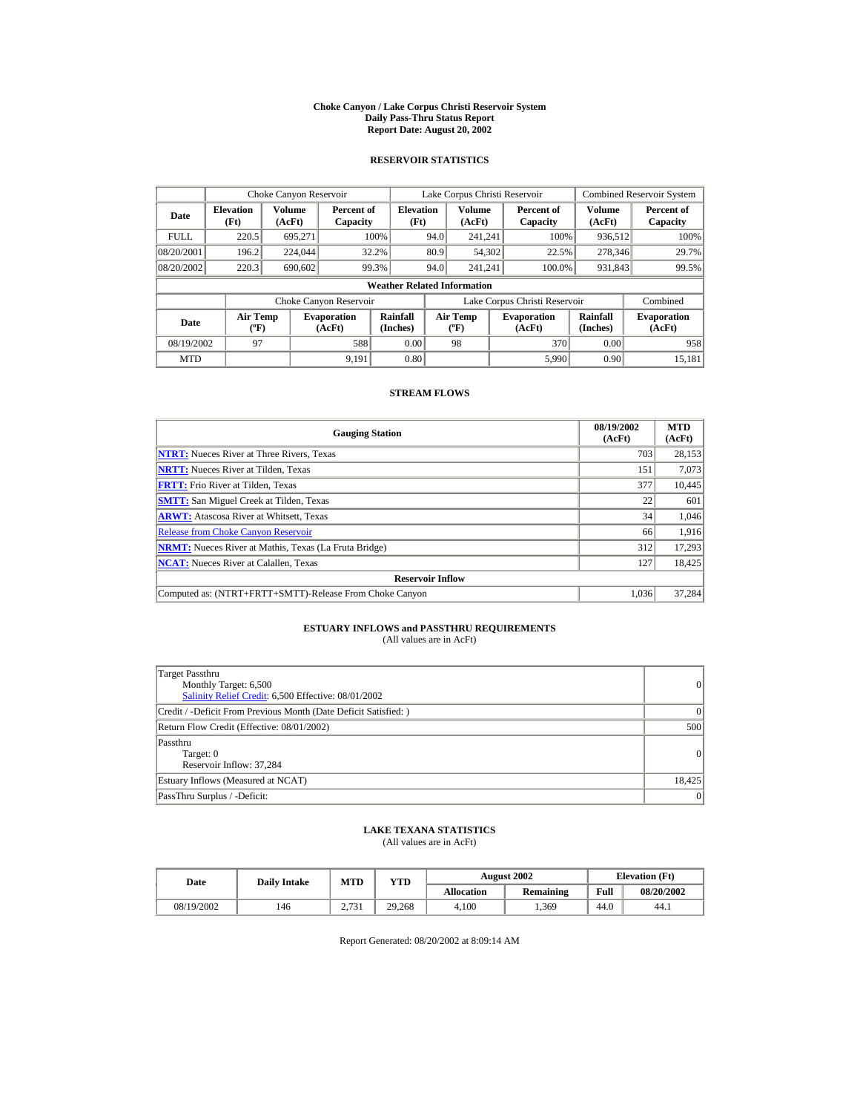#### **Choke Canyon / Lake Corpus Christi Reservoir System Daily Pass-Thru Status Report Report Date: August 20, 2002**

## **RESERVOIR STATISTICS**

|             | Choke Canyon Reservoir             |                  |                              |                          | Lake Corpus Christi Reservoir |                                          |  |                               |                      | <b>Combined Reservoir System</b> |  |  |
|-------------|------------------------------------|------------------|------------------------------|--------------------------|-------------------------------|------------------------------------------|--|-------------------------------|----------------------|----------------------------------|--|--|
| Date        | <b>Elevation</b><br>(Ft)           | Volume<br>(AcFt) | Percent of<br>Capacity       | <b>Elevation</b><br>(Ft) |                               | <b>Volume</b><br>(AcFt)                  |  | Percent of<br>Capacity        | Volume<br>(AcFt)     | Percent of<br>Capacity           |  |  |
| <b>FULL</b> | 220.5                              | 695.271          |                              | 100%                     | 94.0                          | 241.241                                  |  | 100%                          | 936,512              | 100%                             |  |  |
| 08/20/2001  | 196.2                              | 224,044          |                              | 32.2%                    | 80.9                          | 54,302                                   |  | 22.5%                         | 278,346              | 29.7%                            |  |  |
| 08/20/2002  | 220.3                              | 690,602          |                              | 99.3%                    | 94.0                          | 241.241                                  |  | 100.0%                        | 931,843              | 99.5%                            |  |  |
|             | <b>Weather Related Information</b> |                  |                              |                          |                               |                                          |  |                               |                      |                                  |  |  |
|             |                                    |                  | Choke Canyon Reservoir       |                          |                               |                                          |  | Lake Corpus Christi Reservoir |                      | Combined                         |  |  |
| Date        | Air Temp<br>$({}^o\mathrm{F})$     |                  | <b>Evaporation</b><br>(AcFt) | Rainfall<br>(Inches)     |                               | <b>Air Temp</b><br>$({}^{\circ}{\rm F})$ |  | <b>Evaporation</b><br>(AcFt)  | Rainfall<br>(Inches) | <b>Evaporation</b><br>(AcFt)     |  |  |
| 08/19/2002  | 97                                 |                  | 588                          | 0.00                     |                               | 98                                       |  | 370                           | 0.00                 | 958                              |  |  |
| <b>MTD</b>  |                                    |                  | 9.191                        | 0.80                     |                               |                                          |  | 5.990                         | 0.90                 | 15.181                           |  |  |

## **STREAM FLOWS**

| <b>Gauging Station</b>                                       | 08/19/2002<br>(AcFt) | <b>MTD</b><br>(AcFt) |
|--------------------------------------------------------------|----------------------|----------------------|
| <b>NTRT:</b> Nueces River at Three Rivers, Texas             | 703                  | 28,153               |
| <b>NRTT:</b> Nueces River at Tilden, Texas                   | 151                  | 7,073                |
| <b>FRTT:</b> Frio River at Tilden, Texas                     | 377                  | 10,445               |
| <b>SMTT:</b> San Miguel Creek at Tilden, Texas               | 22                   | 601                  |
| <b>ARWT:</b> Atascosa River at Whitsett, Texas               | 34                   | 1,046                |
| <b>Release from Choke Canyon Reservoir</b>                   | 66                   | 1,916                |
| <b>NRMT:</b> Nueces River at Mathis, Texas (La Fruta Bridge) | 312                  | 17.293               |
| <b>NCAT:</b> Nueces River at Calallen, Texas                 | 127                  | 18,425               |
| <b>Reservoir Inflow</b>                                      |                      |                      |
| Computed as: (NTRT+FRTT+SMTT)-Release From Choke Canyon      | 1.036                | 37,284               |

# **ESTUARY INFLOWS and PASSTHRU REQUIREMENTS**<br>(All values are in AcFt)

| Target Passthru<br>Monthly Target: 6,500<br>Salinity Relief Credit: 6,500 Effective: 08/01/2002 | 0               |
|-------------------------------------------------------------------------------------------------|-----------------|
| Credit / -Deficit From Previous Month (Date Deficit Satisfied: )                                | 0               |
| Return Flow Credit (Effective: 08/01/2002)                                                      | 500             |
| Passthru<br>Target: 0<br>Reservoir Inflow: 37,284                                               | 0               |
| Estuary Inflows (Measured at NCAT)                                                              | 18,425          |
| PassThru Surplus / -Deficit:                                                                    | $\vert 0 \vert$ |

## **LAKE TEXANA STATISTICS**

(All values are in AcFt)

| Date       | <b>Daily Intake</b> | <b>MTD</b>             | YTD    |                   | <b>August 2002</b> | <b>Elevation</b> (Ft) |            |
|------------|---------------------|------------------------|--------|-------------------|--------------------|-----------------------|------------|
|            |                     |                        |        | <b>Allocation</b> | Remaining          | Full                  | 08/20/2002 |
| 08/19/2002 | 146                 | 2721<br><u>ے، اپنے</u> | 29.268 | 4.100             | .369               | 44.0                  | 44.1       |

Report Generated: 08/20/2002 at 8:09:14 AM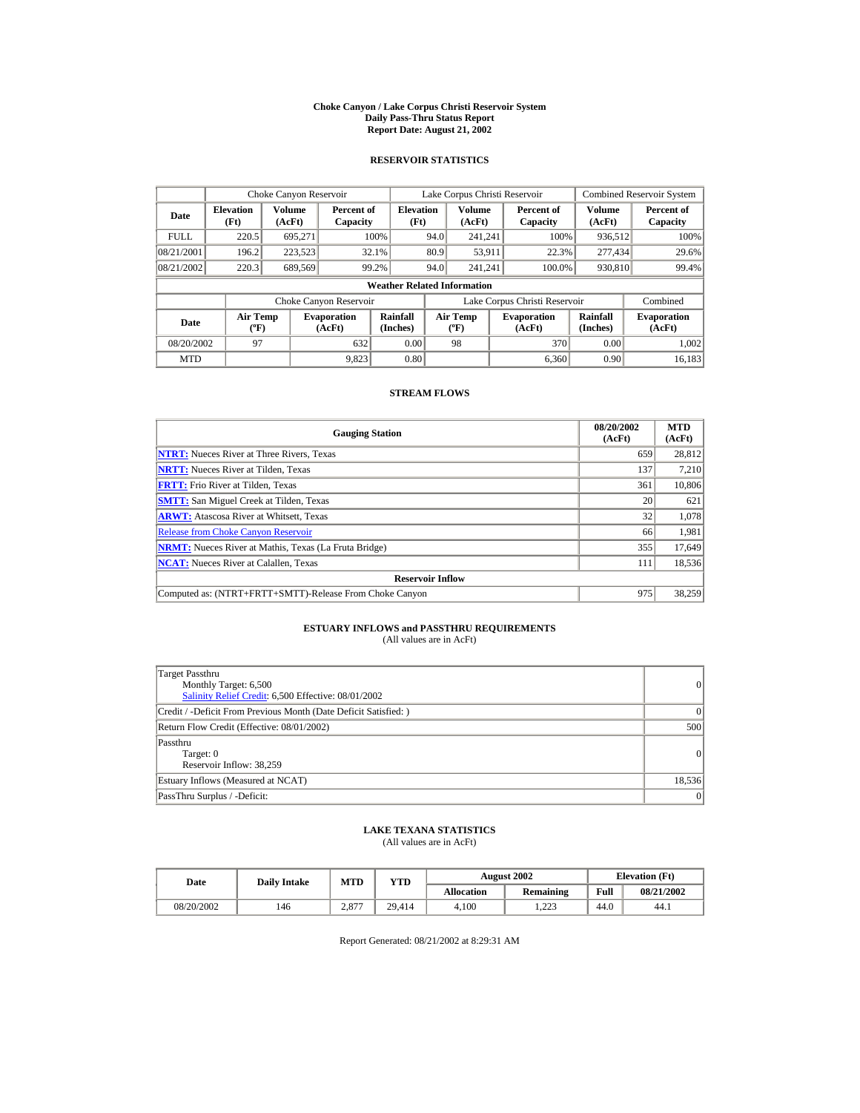#### **Choke Canyon / Lake Corpus Christi Reservoir System Daily Pass-Thru Status Report Report Date: August 21, 2002**

## **RESERVOIR STATISTICS**

|             | Choke Canyon Reservoir                      |                  |                              |                          | Lake Corpus Christi Reservoir |                                           |  |                               |                      | Combined Reservoir System    |  |  |
|-------------|---------------------------------------------|------------------|------------------------------|--------------------------|-------------------------------|-------------------------------------------|--|-------------------------------|----------------------|------------------------------|--|--|
| Date        | <b>Elevation</b><br>(Ft)                    | Volume<br>(AcFt) | Percent of<br>Capacity       | <b>Elevation</b><br>(Ft) |                               | Volume<br>(AcFt)                          |  | Percent of<br>Capacity        | Volume<br>(AcFt)     | Percent of<br>Capacity       |  |  |
| <b>FULL</b> | 220.5                                       | 695.271          |                              | 100%                     | 94.0                          | 241.241                                   |  | 100%                          | 936,512              | 100%                         |  |  |
| 08/21/2001  | 196.2                                       | 223,523          |                              | 32.1%                    | 80.9                          | 53,911                                    |  | 22.3%                         | 277,434              | 29.6%                        |  |  |
| 08/21/2002  | 220.3                                       | 689,569          |                              | 99.2%                    | 94.0                          | 241.241                                   |  | 100.0%                        | 930,810              | 99.4%                        |  |  |
|             | <b>Weather Related Information</b>          |                  |                              |                          |                               |                                           |  |                               |                      |                              |  |  |
|             |                                             |                  | Choke Canyon Reservoir       |                          |                               |                                           |  | Lake Corpus Christi Reservoir |                      | Combined                     |  |  |
| Date        | <b>Air Temp</b><br>$({}^{\circ}\mathrm{F})$ |                  | <b>Evaporation</b><br>(AcFt) | Rainfall<br>(Inches)     |                               | <b>Air Temp</b><br>$({}^{\circ}\text{F})$ |  | <b>Evaporation</b><br>(AcFt)  | Rainfall<br>(Inches) | <b>Evaporation</b><br>(AcFt) |  |  |
| 08/20/2002  | 97                                          |                  | 632                          | 0.00                     |                               | 98                                        |  | 370                           | 0.00                 | 1.002                        |  |  |
| <b>MTD</b>  |                                             |                  | 9.823                        | 0.80                     |                               |                                           |  | 6.360                         | 0.90                 | 16.183                       |  |  |

## **STREAM FLOWS**

| <b>Gauging Station</b>                                       | 08/20/2002<br>(AcFt) | <b>MTD</b><br>(AcFt) |
|--------------------------------------------------------------|----------------------|----------------------|
| <b>NTRT:</b> Nueces River at Three Rivers, Texas             | 659                  | 28,812               |
| <b>NRTT:</b> Nueces River at Tilden, Texas                   | 137                  | 7.210                |
| <b>FRTT:</b> Frio River at Tilden, Texas                     | 361                  | 10,806               |
| <b>SMTT:</b> San Miguel Creek at Tilden, Texas               | 20                   | 621                  |
| <b>ARWT:</b> Atascosa River at Whitsett, Texas               | 32                   | 1,078                |
| <b>Release from Choke Canyon Reservoir</b>                   | 66                   | 1,981                |
| <b>NRMT:</b> Nueces River at Mathis, Texas (La Fruta Bridge) | 355                  | 17.649               |
| <b>NCAT:</b> Nueces River at Calallen, Texas                 | 111                  | 18,536               |
| <b>Reservoir Inflow</b>                                      |                      |                      |
| Computed as: (NTRT+FRTT+SMTT)-Release From Choke Canyon      | 975                  | 38,259               |

## **ESTUARY INFLOWS and PASSTHRU REQUIREMENTS**<br>(All values are in AcFt)

| Target Passthru<br>Monthly Target: 6,500<br>Salinity Relief Credit: 6,500 Effective: 08/01/2002 | $\overline{0}$ |
|-------------------------------------------------------------------------------------------------|----------------|
| Credit / -Deficit From Previous Month (Date Deficit Satisfied: )                                | ( )            |
| Return Flow Credit (Effective: 08/01/2002)                                                      | 500            |
| Passthru<br>Target: 0<br>Reservoir Inflow: 38,259                                               | $\overline{0}$ |
| Estuary Inflows (Measured at NCAT)                                                              | 18,536         |
| PassThru Surplus / -Deficit:                                                                    | 0              |

## **LAKE TEXANA STATISTICS**

(All values are in AcFt)

| Date       | <b>Daily Intake</b> | <b>MTD</b> | YTD    |                   | <b>August 2002</b> | <b>Elevation</b> (Ft) |            |
|------------|---------------------|------------|--------|-------------------|--------------------|-----------------------|------------|
|            |                     |            |        | <b>Allocation</b> | Remaining          | Full                  | 08/21/2002 |
| 08/20/2002 | 146                 | 2.877      | 29.414 | 4.100             | 1.223              | 44.0                  | 44.1       |

Report Generated: 08/21/2002 at 8:29:31 AM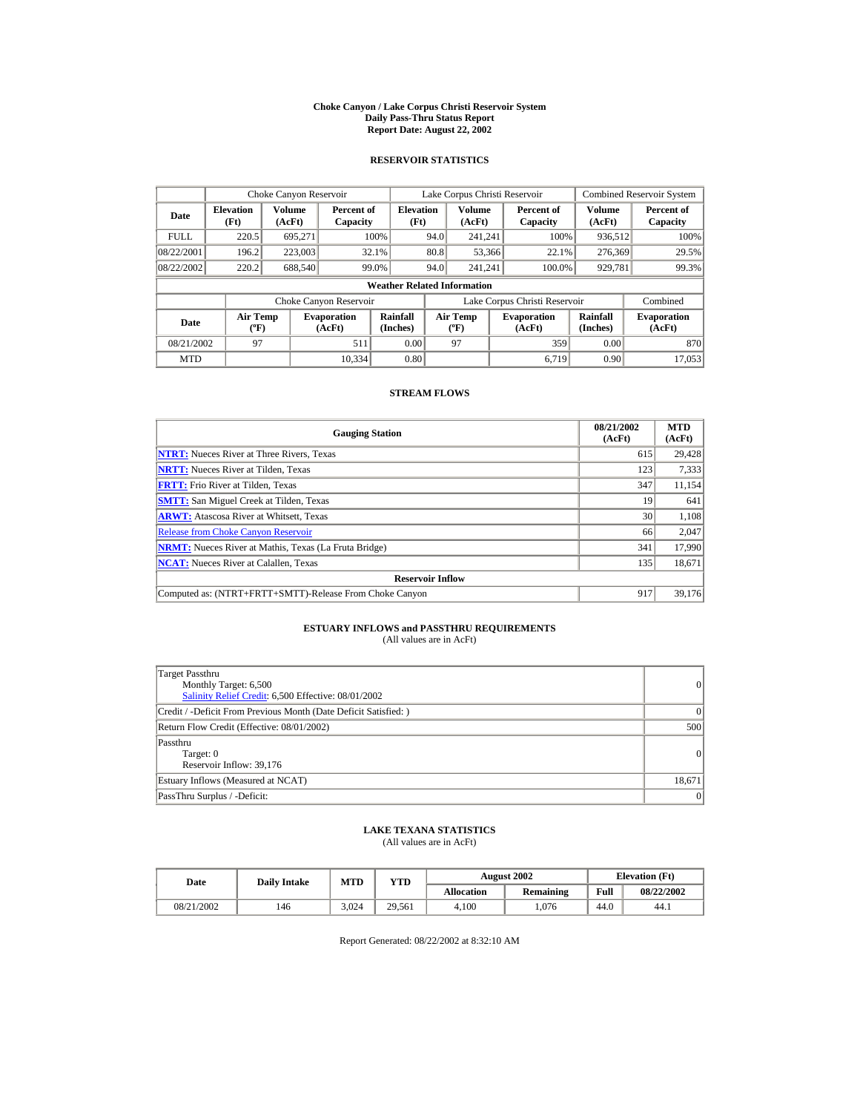#### **Choke Canyon / Lake Corpus Christi Reservoir System Daily Pass-Thru Status Report Report Date: August 22, 2002**

## **RESERVOIR STATISTICS**

|             | Choke Canyon Reservoir                      |                  |                              |                          | Lake Corpus Christi Reservoir               |                  |  |                               |                      | Combined Reservoir System    |  |  |
|-------------|---------------------------------------------|------------------|------------------------------|--------------------------|---------------------------------------------|------------------|--|-------------------------------|----------------------|------------------------------|--|--|
| Date        | <b>Elevation</b><br>(Ft)                    | Volume<br>(AcFt) | Percent of<br>Capacity       | <b>Elevation</b><br>(Ft) |                                             | Volume<br>(AcFt) |  | Percent of<br>Capacity        | Volume<br>(AcFt)     | Percent of<br>Capacity       |  |  |
| <b>FULL</b> | 220.5                                       | 695.271          |                              | 100%                     | 94.0                                        | 241.241          |  | 100%                          | 936,512              | 100%                         |  |  |
| 08/22/2001  | 196.2                                       | 223,003          |                              | 32.1%                    | 80.8                                        | 53,366           |  | 22.1%                         | 276,369              | 29.5%                        |  |  |
| 08/22/2002  | 220.2                                       | 688.540          |                              | 99.0%                    | 94.0                                        | 241.241          |  | 100.0%                        | 929,781              | 99.3%                        |  |  |
|             | <b>Weather Related Information</b>          |                  |                              |                          |                                             |                  |  |                               |                      |                              |  |  |
|             |                                             |                  | Choke Canyon Reservoir       |                          |                                             |                  |  | Lake Corpus Christi Reservoir |                      | Combined                     |  |  |
| Date        | <b>Air Temp</b><br>$({}^{\circ}\mathrm{F})$ |                  | <b>Evaporation</b><br>(AcFt) | Rainfall<br>(Inches)     | <b>Air Temp</b><br>$({}^{\circ}\mathbf{F})$ |                  |  | <b>Evaporation</b><br>(AcFt)  | Rainfall<br>(Inches) | <b>Evaporation</b><br>(AcFt) |  |  |
| 08/21/2002  | 97                                          |                  | 511                          | 0.00                     |                                             | 97               |  | 359                           | 0.00                 | 870                          |  |  |
| <b>MTD</b>  |                                             |                  | 10.334                       | 0.80                     |                                             |                  |  | 6.719                         | 0.90                 | 17,053                       |  |  |

## **STREAM FLOWS**

| <b>Gauging Station</b>                                       | 08/21/2002<br>(AcFt) | <b>MTD</b><br>(AcFt) |
|--------------------------------------------------------------|----------------------|----------------------|
| <b>NTRT:</b> Nueces River at Three Rivers, Texas             | 615                  | 29,428               |
| <b>NRTT:</b> Nueces River at Tilden, Texas                   | 123                  | 7,333                |
| <b>FRTT:</b> Frio River at Tilden, Texas                     | 347                  | 11,154               |
| <b>SMTT:</b> San Miguel Creek at Tilden, Texas               | 19                   | 641                  |
| <b>ARWT:</b> Atascosa River at Whitsett, Texas               | 30 <sup>1</sup>      | 1,108                |
| <b>Release from Choke Canyon Reservoir</b>                   | 66                   | 2,047                |
| <b>NRMT:</b> Nueces River at Mathis, Texas (La Fruta Bridge) | 341                  | 17.990               |
| <b>NCAT:</b> Nueces River at Calallen, Texas                 | 135                  | 18,671               |
| <b>Reservoir Inflow</b>                                      |                      |                      |
| Computed as: (NTRT+FRTT+SMTT)-Release From Choke Canyon      | 917                  | 39,176               |

## **ESTUARY INFLOWS and PASSTHRU REQUIREMENTS**<br>(All values are in AcFt)

| Target Passthru<br>Monthly Target: 6,500<br>Salinity Relief Credit: 6,500 Effective: 08/01/2002 | $\overline{0}$ |
|-------------------------------------------------------------------------------------------------|----------------|
| Credit / -Deficit From Previous Month (Date Deficit Satisfied: )                                | $\Omega$       |
| Return Flow Credit (Effective: 08/01/2002)                                                      | 500            |
| Passthru<br>Target: 0<br>Reservoir Inflow: 39,176                                               | 0              |
| Estuary Inflows (Measured at NCAT)                                                              | 18,671         |
| PassThru Surplus / -Deficit:                                                                    | 0              |

## **LAKE TEXANA STATISTICS**

(All values are in AcFt)

| Date       | <b>Daily Intake</b> | <b>MTD</b> | YTD    |                   | <b>August 2002</b> | <b>Elevation</b> (Ft) |            |
|------------|---------------------|------------|--------|-------------------|--------------------|-----------------------|------------|
|            |                     |            |        | <b>Allocation</b> | Remaining          | Full                  | 08/22/2002 |
| 08/21/2002 | 146                 | 3.024      | 29.561 | 4.100             | .076               | 44.0                  | 44.1       |

Report Generated: 08/22/2002 at 8:32:10 AM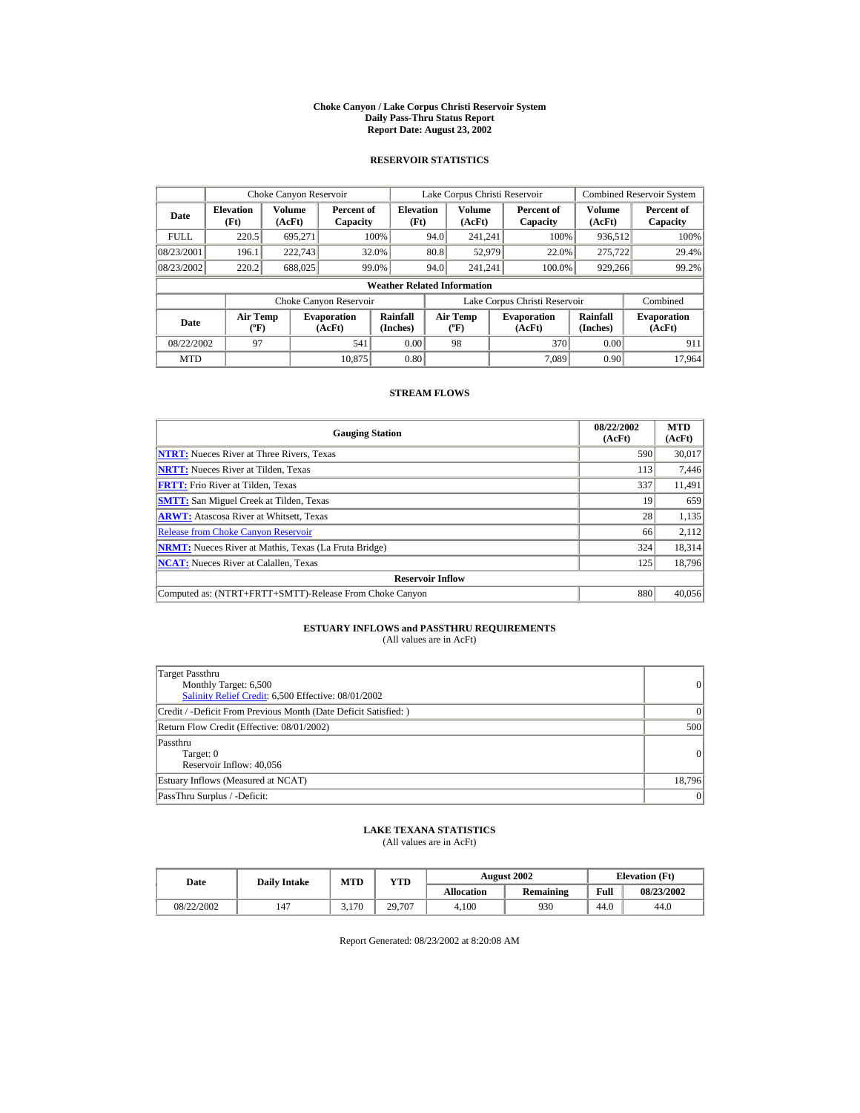#### **Choke Canyon / Lake Corpus Christi Reservoir System Daily Pass-Thru Status Report Report Date: August 23, 2002**

## **RESERVOIR STATISTICS**

|             | Choke Canyon Reservoir             |                  |                              |                          | Lake Corpus Christi Reservoir |                                   |  |                               |                         | <b>Combined Reservoir System</b> |  |  |
|-------------|------------------------------------|------------------|------------------------------|--------------------------|-------------------------------|-----------------------------------|--|-------------------------------|-------------------------|----------------------------------|--|--|
| Date        | <b>Elevation</b><br>(Ft)           | Volume<br>(AcFt) | Percent of<br>Capacity       | <b>Elevation</b><br>(Ft) |                               | Volume<br>(AcFt)                  |  | Percent of<br>Capacity        | <b>Volume</b><br>(AcFt) | Percent of<br>Capacity           |  |  |
| <b>FULL</b> | 220.5                              | 695.271          |                              | 100%                     | 94.0                          | 241.241                           |  | 100%                          | 936,512                 | 100%                             |  |  |
| 08/23/2001  | 196.1                              | 222,743          |                              | 32.0%                    | 80.8                          | 52,979                            |  | 22.0%                         | 275,722                 | 29.4%                            |  |  |
| 08/23/2002  | 220.2                              | 688,025          |                              | 99.0%                    | 94.0                          | 241.241                           |  | 100.0%                        | 929,266                 | 99.2%                            |  |  |
|             | <b>Weather Related Information</b> |                  |                              |                          |                               |                                   |  |                               |                         |                                  |  |  |
|             |                                    |                  | Choke Canyon Reservoir       |                          |                               |                                   |  | Lake Corpus Christi Reservoir |                         | Combined                         |  |  |
| Date        | Air Temp<br>$({}^o\mathrm{F})$     |                  | <b>Evaporation</b><br>(AcFt) | Rainfall<br>(Inches)     |                               | Air Temp<br>$({}^{\circ}{\rm F})$ |  | <b>Evaporation</b><br>(AcFt)  | Rainfall<br>(Inches)    | <b>Evaporation</b><br>(AcFt)     |  |  |
| 08/22/2002  | 97                                 |                  | 541                          | 0.00                     |                               | 98                                |  | 370                           | 0.00                    | 911                              |  |  |
| <b>MTD</b>  |                                    |                  | 10.875                       | 0.80                     |                               |                                   |  | 7.089                         | 0.90                    | 17.964                           |  |  |

## **STREAM FLOWS**

| <b>Gauging Station</b>                                       | 08/22/2002<br>(AcFt) | <b>MTD</b><br>(AcFt) |
|--------------------------------------------------------------|----------------------|----------------------|
| <b>NTRT:</b> Nueces River at Three Rivers, Texas             | 590                  | 30,017               |
| <b>NRTT:</b> Nueces River at Tilden, Texas                   | 113                  | 7,446                |
| <b>FRTT:</b> Frio River at Tilden, Texas                     | 337                  | 11,491               |
| <b>SMTT:</b> San Miguel Creek at Tilden, Texas               | 19                   | 659                  |
| <b>ARWT:</b> Atascosa River at Whitsett, Texas               | 28                   | 1,135                |
| <b>Release from Choke Canyon Reservoir</b>                   | 66                   | 2,112                |
| <b>NRMT:</b> Nueces River at Mathis, Texas (La Fruta Bridge) | 324                  | 18,314               |
| <b>NCAT:</b> Nueces River at Calallen, Texas                 | 125                  | 18,796               |
| <b>Reservoir Inflow</b>                                      |                      |                      |
| Computed as: (NTRT+FRTT+SMTT)-Release From Choke Canyon      | 880                  | 40,056               |

# **ESTUARY INFLOWS and PASSTHRU REQUIREMENTS**<br>(All values are in AcFt)

| Target Passthru<br>Monthly Target: 6,500<br>Salinity Relief Credit: 6,500 Effective: 08/01/2002 | $\overline{0}$ |
|-------------------------------------------------------------------------------------------------|----------------|
| Credit / -Deficit From Previous Month (Date Deficit Satisfied: )                                | $\Omega$       |
| Return Flow Credit (Effective: 08/01/2002)                                                      | 500            |
| Passthru<br>Target: 0<br>Reservoir Inflow: 40,056                                               | 0              |
| Estuary Inflows (Measured at NCAT)                                                              | 18,796         |
| PassThru Surplus / -Deficit:                                                                    | 0              |

## **LAKE TEXANA STATISTICS**

(All values are in AcFt)

| Date       | <b>Daily Intake</b> | <b>MTD</b> | YTD    |                   | <b>August 2002</b> | <b>Elevation</b> (Ft) |            |
|------------|---------------------|------------|--------|-------------------|--------------------|-----------------------|------------|
|            |                     |            |        | <b>Allocation</b> | Remaining          | Full                  | 08/23/2002 |
| 08/22/2002 | 147                 | 3.170      | 29.707 | 4.100             | 930                | 44.0                  | 44.0       |

Report Generated: 08/23/2002 at 8:20:08 AM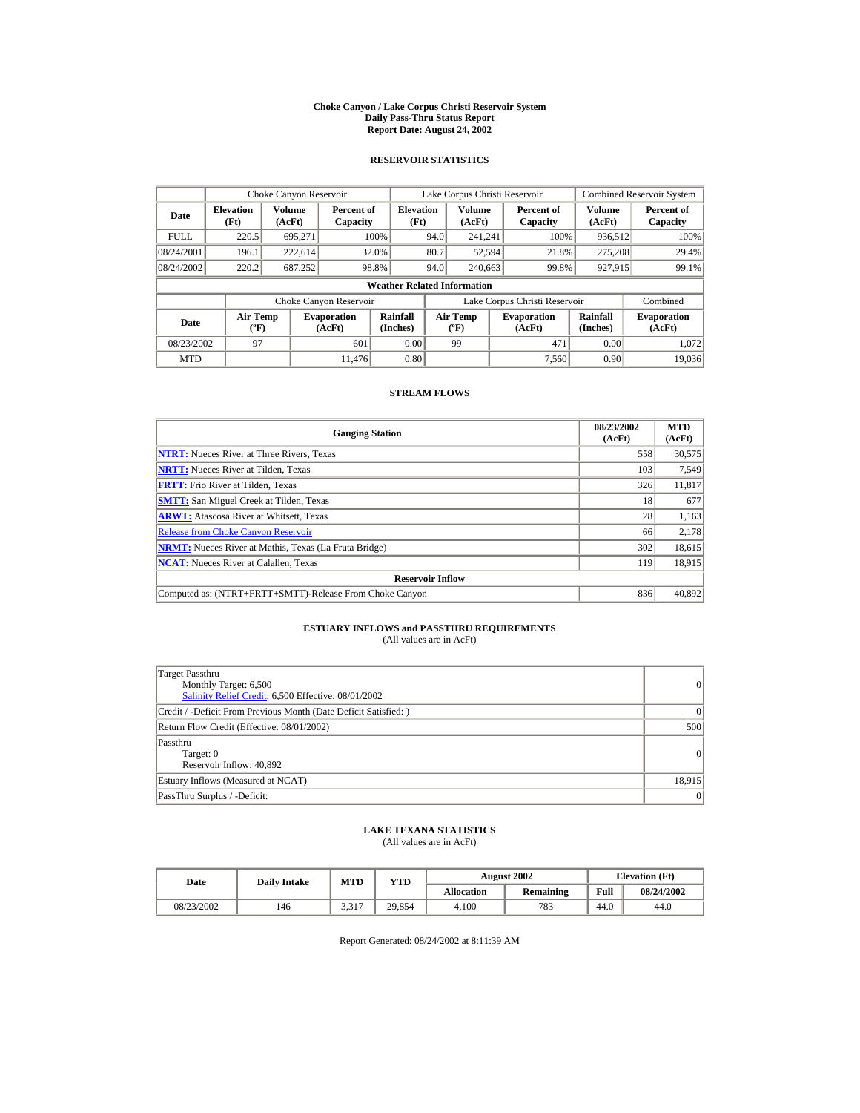#### **Choke Canyon / Lake Corpus Christi Reservoir System Daily Pass-Thru Status Report Report Date: August 24, 2002**

## **RESERVOIR STATISTICS**

|             | Choke Canyon Reservoir                      |                  |                              |                          | Lake Corpus Christi Reservoir               |                  |  |                               |                      | Combined Reservoir System    |  |  |
|-------------|---------------------------------------------|------------------|------------------------------|--------------------------|---------------------------------------------|------------------|--|-------------------------------|----------------------|------------------------------|--|--|
| Date        | <b>Elevation</b><br>(Ft)                    | Volume<br>(AcFt) | Percent of<br>Capacity       | <b>Elevation</b><br>(Ft) |                                             | Volume<br>(AcFt) |  | Percent of<br>Capacity        | Volume<br>(AcFt)     | Percent of<br>Capacity       |  |  |
| <b>FULL</b> | 220.5                                       | 695.271          |                              | 100%                     | 94.0                                        | 241.241          |  | 100%                          | 936,512              | 100%                         |  |  |
| 08/24/2001  | 196.1                                       | 222,614          |                              | 32.0%                    | 80.7                                        | 52,594           |  | 21.8%                         | 275,208              | 29.4%                        |  |  |
| 08/24/2002  | 220.2                                       | 687.252          | 98.8%                        |                          | 94.0                                        | 240,663          |  | 99.8%                         | 927.915              | 99.1%                        |  |  |
|             | <b>Weather Related Information</b>          |                  |                              |                          |                                             |                  |  |                               |                      |                              |  |  |
|             |                                             |                  | Choke Canyon Reservoir       |                          |                                             |                  |  | Lake Corpus Christi Reservoir |                      | Combined                     |  |  |
| Date        | <b>Air Temp</b><br>$({}^{\circ}\mathrm{F})$ |                  | <b>Evaporation</b><br>(AcFt) | Rainfall<br>(Inches)     | <b>Air Temp</b><br>$({}^{\circ}\mathbf{F})$ |                  |  | <b>Evaporation</b><br>(AcFt)  | Rainfall<br>(Inches) | <b>Evaporation</b><br>(AcFt) |  |  |
| 08/23/2002  | 97                                          |                  | 601                          | 0.00                     |                                             | 99               |  | 471                           | 0.00                 | 1.072                        |  |  |
| <b>MTD</b>  |                                             |                  | 11.476                       | 0.80                     |                                             |                  |  | 7.560                         | 0.90                 | 19,036                       |  |  |

## **STREAM FLOWS**

| <b>Gauging Station</b>                                       | 08/23/2002<br>(AcFt) | <b>MTD</b><br>(AcFt) |
|--------------------------------------------------------------|----------------------|----------------------|
| <b>NTRT:</b> Nueces River at Three Rivers, Texas             | 558                  | 30,575               |
| <b>NRTT:</b> Nueces River at Tilden. Texas                   | 103                  | 7,549                |
| <b>FRTT:</b> Frio River at Tilden, Texas                     | 326                  | 11,817               |
| <b>SMTT:</b> San Miguel Creek at Tilden, Texas               | 18                   | 677                  |
| <b>ARWT:</b> Atascosa River at Whitsett, Texas               | 28                   | 1,163                |
| <b>Release from Choke Canyon Reservoir</b>                   | 66                   | 2,178                |
| <b>NRMT:</b> Nueces River at Mathis, Texas (La Fruta Bridge) | 302                  | 18,615               |
| <b>NCAT:</b> Nueces River at Calallen, Texas                 | 119                  | 18,915               |
| <b>Reservoir Inflow</b>                                      |                      |                      |
| Computed as: (NTRT+FRTT+SMTT)-Release From Choke Canyon      | 836                  | 40,892               |

# **ESTUARY INFLOWS and PASSTHRU REQUIREMENTS**<br>(All values are in AcFt)

| Target Passthru<br>Monthly Target: 6,500<br>Salinity Relief Credit: 6,500 Effective: 08/01/2002 | $\overline{0}$ |
|-------------------------------------------------------------------------------------------------|----------------|
| Credit / -Deficit From Previous Month (Date Deficit Satisfied: )                                | $\Omega$       |
| Return Flow Credit (Effective: 08/01/2002)                                                      | 500            |
| Passthru<br>Target: 0<br>Reservoir Inflow: 40,892                                               | 0              |
| Estuary Inflows (Measured at NCAT)                                                              | 18,915         |
| PassThru Surplus / -Deficit:                                                                    | 0              |

## **LAKE TEXANA STATISTICS**

(All values are in AcFt)

| Date       | <b>Daily Intake</b> | <b>MTD</b> | YTD    |                   | <b>August 2002</b> | <b>Elevation</b> (Ft) |            |
|------------|---------------------|------------|--------|-------------------|--------------------|-----------------------|------------|
|            |                     |            |        | <b>Allocation</b> | Remaining          | Full                  | 08/24/2002 |
| 08/23/2002 | 146                 | 3,317      | 29.854 | 4.100             | 783                | 44.0                  | 44.0       |

Report Generated: 08/24/2002 at 8:11:39 AM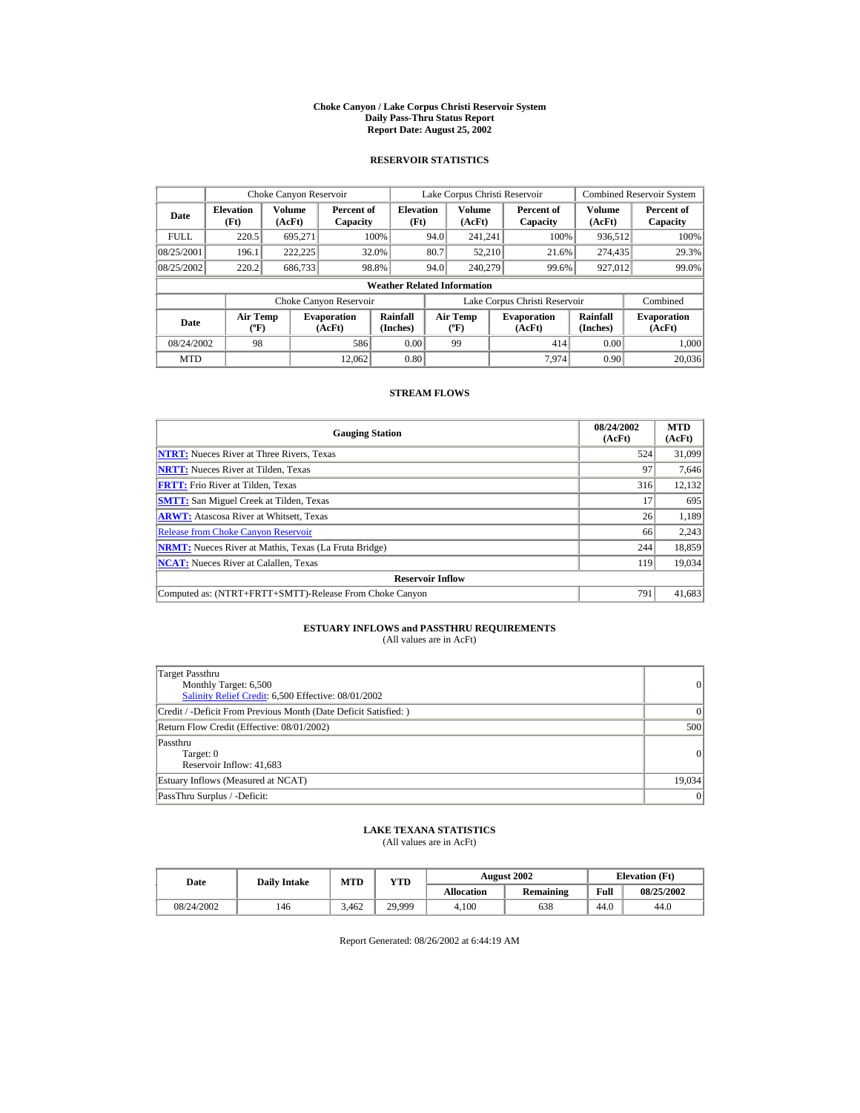#### **Choke Canyon / Lake Corpus Christi Reservoir System Daily Pass-Thru Status Report Report Date: August 25, 2002**

## **RESERVOIR STATISTICS**

|             | Choke Canyon Reservoir                      |                  |                              |                          | Lake Corpus Christi Reservoir |                                           |  |                               |                      | <b>Combined Reservoir System</b> |  |  |
|-------------|---------------------------------------------|------------------|------------------------------|--------------------------|-------------------------------|-------------------------------------------|--|-------------------------------|----------------------|----------------------------------|--|--|
| Date        | <b>Elevation</b><br>(Ft)                    | Volume<br>(AcFt) | Percent of<br>Capacity       | <b>Elevation</b><br>(Ft) |                               | <b>Volume</b><br>(AcFt)                   |  | Percent of<br>Capacity        | Volume<br>(AcFt)     | Percent of<br>Capacity           |  |  |
| <b>FULL</b> | 220.5                                       | 695,271          |                              | 100%                     | 94.0                          | 241.241                                   |  | 100%                          | 936,512              | 100%                             |  |  |
| 08/25/2001  | 196.1                                       | 222.225          |                              | 32.0%                    | 80.7                          | 52,210                                    |  | 21.6%                         | 274,435              | 29.3%                            |  |  |
| 08/25/2002  | 220.2                                       | 686,733          | 98.8%                        |                          | 94.0                          | 240,279                                   |  | 99.6%                         | 927,012              | 99.0%                            |  |  |
|             | <b>Weather Related Information</b>          |                  |                              |                          |                               |                                           |  |                               |                      |                                  |  |  |
|             |                                             |                  | Choke Canyon Reservoir       |                          |                               |                                           |  | Lake Corpus Christi Reservoir |                      | Combined                         |  |  |
| Date        | <b>Air Temp</b><br>$({}^{\circ}\mathrm{F})$ |                  | <b>Evaporation</b><br>(AcFt) | Rainfall<br>(Inches)     |                               | <b>Air Temp</b><br>$({}^{\circ}\text{F})$ |  | <b>Evaporation</b><br>(AcFt)  | Rainfall<br>(Inches) | <b>Evaporation</b><br>(AcFt)     |  |  |
| 08/24/2002  | 98                                          |                  | 586                          | 0.00                     |                               | 99                                        |  | 414                           | 0.00                 | 1.000                            |  |  |
| <b>MTD</b>  |                                             |                  | 12.062                       | 0.80                     |                               |                                           |  | 7.974                         | 0.90                 | 20,036                           |  |  |

## **STREAM FLOWS**

| <b>Gauging Station</b>                                       | 08/24/2002<br>(AcFt) | <b>MTD</b><br>(AcFt) |
|--------------------------------------------------------------|----------------------|----------------------|
| <b>NTRT:</b> Nueces River at Three Rivers, Texas             | 524                  | 31,099               |
| <b>NRTT:</b> Nueces River at Tilden, Texas                   | 97                   | 7,646                |
| <b>FRTT:</b> Frio River at Tilden, Texas                     | 316                  | 12,132               |
| <b>SMTT:</b> San Miguel Creek at Tilden, Texas               | 17                   | 695                  |
| <b>ARWT:</b> Atascosa River at Whitsett, Texas               | 26                   | 1,189                |
| <b>Release from Choke Canyon Reservoir</b>                   | 66                   | 2,243                |
| <b>NRMT:</b> Nueces River at Mathis, Texas (La Fruta Bridge) | 244                  | 18,859               |
| <b>NCAT:</b> Nueces River at Calallen, Texas                 | 119                  | 19,034               |
| <b>Reservoir Inflow</b>                                      |                      |                      |
| Computed as: (NTRT+FRTT+SMTT)-Release From Choke Canyon      | 791                  | 41,683               |

## **ESTUARY INFLOWS and PASSTHRU REQUIREMENTS**<br>(All values are in AcFt)

| Target Passthru<br>Monthly Target: 6,500<br>Salinity Relief Credit: 6,500 Effective: 08/01/2002 | 0               |
|-------------------------------------------------------------------------------------------------|-----------------|
| Credit / -Deficit From Previous Month (Date Deficit Satisfied: )                                | 0               |
| Return Flow Credit (Effective: 08/01/2002)                                                      | 500             |
| Passthru<br>Target: 0<br>Reservoir Inflow: 41,683                                               | 0               |
| Estuary Inflows (Measured at NCAT)                                                              | 19,034          |
| PassThru Surplus / -Deficit:                                                                    | $\vert 0 \vert$ |

## **LAKE TEXANA STATISTICS**

(All values are in AcFt)

| Date       | <b>Daily Intake</b> | MTD   | $_{\rm VTD}$ |            | <b>August 2002</b> | <b>Elevation</b> (Ft) |            |
|------------|---------------------|-------|--------------|------------|--------------------|-----------------------|------------|
|            |                     |       |              | Allocation | Remaining          | Full                  | 08/25/2002 |
| 08/24/2002 | 146                 | 3.462 | 29.999       | 4.100      | 638                | 44.0                  | 44.0       |

Report Generated: 08/26/2002 at 6:44:19 AM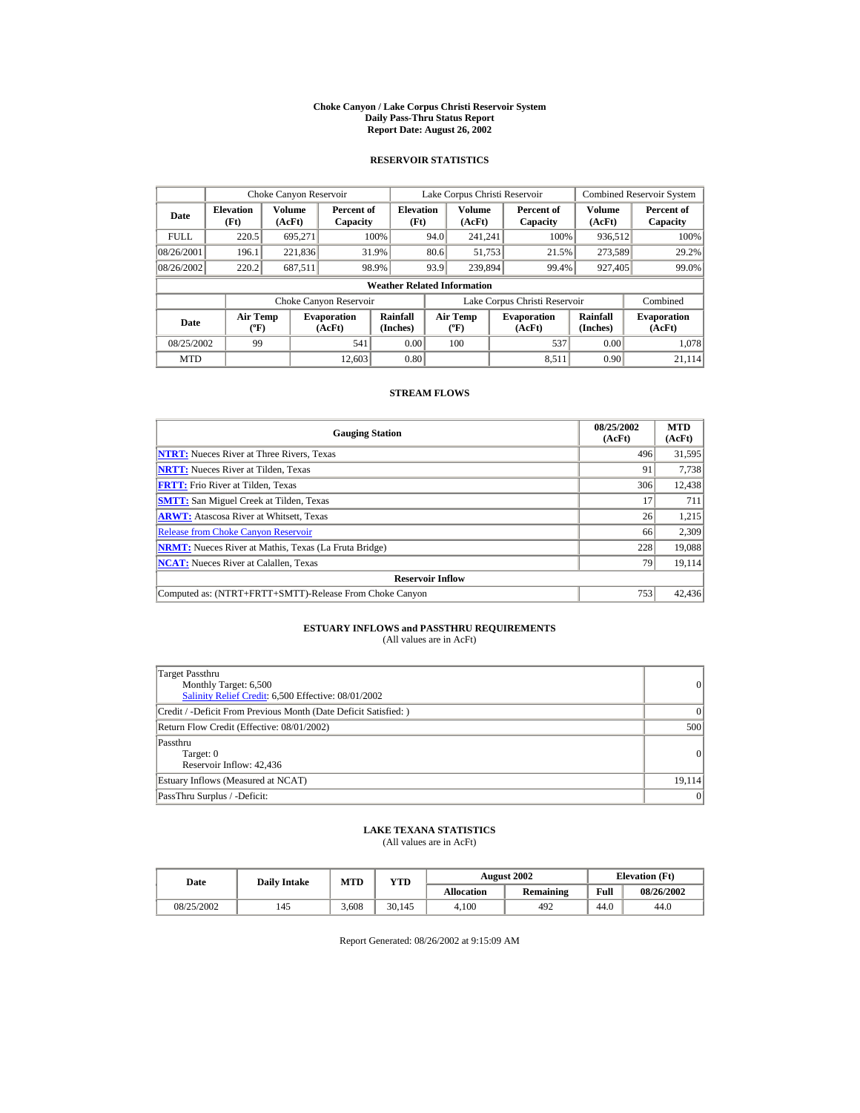#### **Choke Canyon / Lake Corpus Christi Reservoir System Daily Pass-Thru Status Report Report Date: August 26, 2002**

## **RESERVOIR STATISTICS**

|             | Choke Canyon Reservoir                      |                  |                              |                          | Lake Corpus Christi Reservoir |                                             |  |                               |                      | Combined Reservoir System    |  |  |
|-------------|---------------------------------------------|------------------|------------------------------|--------------------------|-------------------------------|---------------------------------------------|--|-------------------------------|----------------------|------------------------------|--|--|
| Date        | <b>Elevation</b><br>(Ft)                    | Volume<br>(AcFt) | Percent of<br>Capacity       | <b>Elevation</b><br>(Ft) |                               | Volume<br>(AcFt)                            |  | Percent of<br>Capacity        | Volume<br>(AcFt)     | Percent of<br>Capacity       |  |  |
| <b>FULL</b> | 220.5                                       | 695.271          |                              | 100%                     | 94.0                          | 241.241                                     |  | 100%                          | 936,512              | 100%                         |  |  |
| 08/26/2001  | 196.1                                       | 221,836          |                              | 31.9%                    | 80.6                          | 51,753                                      |  | 21.5%                         | 273,589              | 29.2%                        |  |  |
| 08/26/2002  | 220.2                                       | 687,511          |                              | 98.9%                    | 93.9                          | 239,894                                     |  | 99.4%                         | 927.405              | 99.0%                        |  |  |
|             | <b>Weather Related Information</b>          |                  |                              |                          |                               |                                             |  |                               |                      |                              |  |  |
|             |                                             |                  | Choke Canyon Reservoir       |                          |                               |                                             |  | Lake Corpus Christi Reservoir |                      | Combined                     |  |  |
| Date        | <b>Air Temp</b><br>$({}^{\circ}\mathrm{F})$ |                  | <b>Evaporation</b><br>(AcFt) | Rainfall<br>(Inches)     |                               | <b>Air Temp</b><br>$({}^{\circ}\mathbf{F})$ |  | <b>Evaporation</b><br>(AcFt)  | Rainfall<br>(Inches) | <b>Evaporation</b><br>(AcFt) |  |  |
| 08/25/2002  | 99                                          |                  | 541                          | 0.00                     |                               | 100                                         |  | 537                           | 0.00                 | 1.078                        |  |  |
| <b>MTD</b>  |                                             |                  | 12.603                       | 0.80                     |                               |                                             |  | 8.511                         | 0.90                 | 21.114                       |  |  |

## **STREAM FLOWS**

| <b>Gauging Station</b>                                       | 08/25/2002<br>(AcFt) | <b>MTD</b><br>(AcFt) |
|--------------------------------------------------------------|----------------------|----------------------|
| <b>NTRT:</b> Nueces River at Three Rivers, Texas             | 496                  | 31,595               |
| <b>NRTT:</b> Nueces River at Tilden. Texas                   | 91                   | 7,738                |
| <b>FRTT:</b> Frio River at Tilden, Texas                     | 306                  | 12,438               |
| <b>SMTT:</b> San Miguel Creek at Tilden, Texas               | 17                   | 711                  |
| <b>ARWT:</b> Atascosa River at Whitsett, Texas               | 26                   | 1,215                |
| <b>Release from Choke Canyon Reservoir</b>                   | 66                   | 2,309                |
| <b>NRMT:</b> Nueces River at Mathis, Texas (La Fruta Bridge) | 228                  | 19.088               |
| <b>NCAT:</b> Nueces River at Calallen, Texas                 | 79                   | 19,114               |
| <b>Reservoir Inflow</b>                                      |                      |                      |
| Computed as: (NTRT+FRTT+SMTT)-Release From Choke Canyon      | 753                  | 42,436               |

## **ESTUARY INFLOWS and PASSTHRU REQUIREMENTS**<br>(All values are in AcFt)

| Target Passthru<br>Monthly Target: 6,500<br>Salinity Relief Credit: 6,500 Effective: 08/01/2002 | 0               |
|-------------------------------------------------------------------------------------------------|-----------------|
| Credit / -Deficit From Previous Month (Date Deficit Satisfied: )                                | $\vert$ 0       |
| Return Flow Credit (Effective: 08/01/2002)                                                      | 500             |
| Passthru<br>Target: 0<br>Reservoir Inflow: 42,436                                               | 0               |
| Estuary Inflows (Measured at NCAT)                                                              | 19,114          |
| PassThru Surplus / -Deficit:                                                                    | $\vert 0 \vert$ |

## **LAKE TEXANA STATISTICS**

(All values are in AcFt)

| Date       | <b>Daily Intake</b> | MTD   | $_{\rm VTD}$ |                   | <b>August 2002</b> | <b>Elevation</b> (Ft) |            |
|------------|---------------------|-------|--------------|-------------------|--------------------|-----------------------|------------|
|            |                     |       |              | <b>Allocation</b> | <b>Remaining</b>   | Full                  | 08/26/2002 |
| 08/25/2002 | 145                 | 3.608 | 30.145       | 4.100             | 492                | 44.0                  | 44.0       |

Report Generated: 08/26/2002 at 9:15:09 AM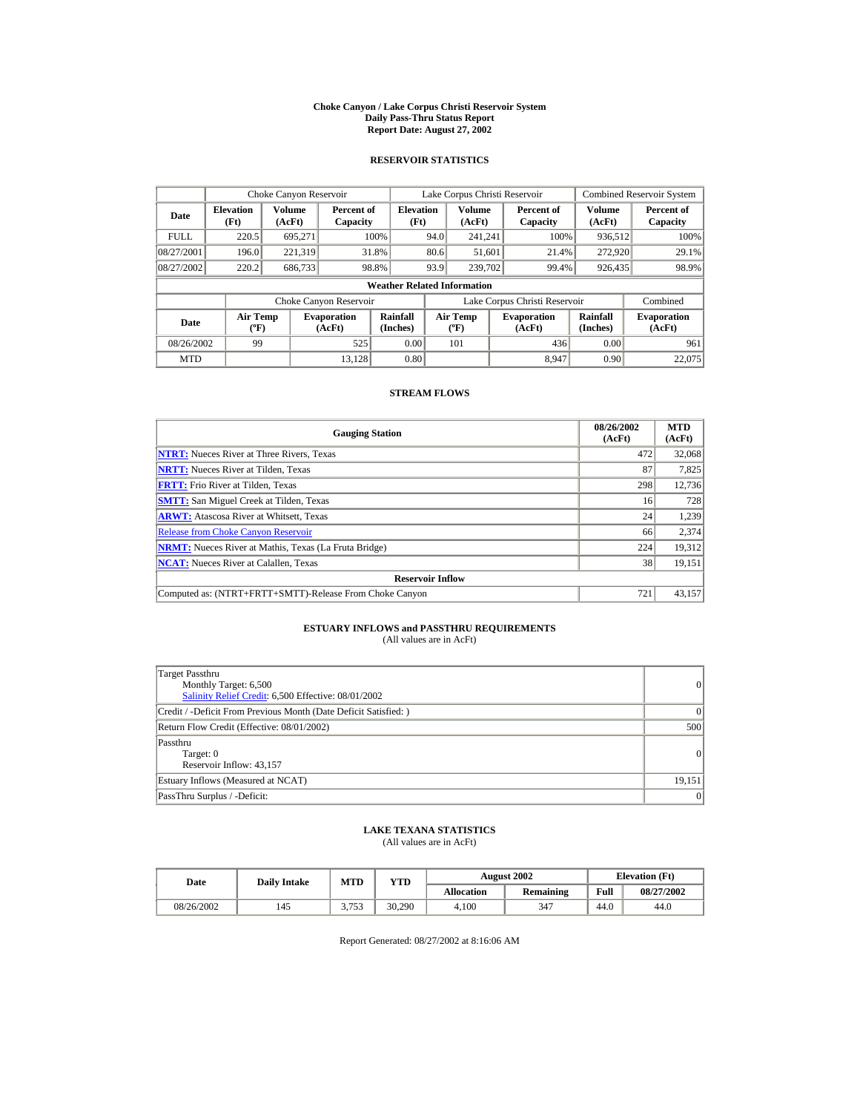#### **Choke Canyon / Lake Corpus Christi Reservoir System Daily Pass-Thru Status Report Report Date: August 27, 2002**

## **RESERVOIR STATISTICS**

|             | Choke Canyon Reservoir                      |                  |                              |                          | Lake Corpus Christi Reservoir |                                             |  |                               |                      | Combined Reservoir System    |  |  |
|-------------|---------------------------------------------|------------------|------------------------------|--------------------------|-------------------------------|---------------------------------------------|--|-------------------------------|----------------------|------------------------------|--|--|
| Date        | <b>Elevation</b><br>(Ft)                    | Volume<br>(AcFt) | Percent of<br>Capacity       | <b>Elevation</b><br>(Ft) |                               | Volume<br>(AcFt)                            |  | Percent of<br>Capacity        | Volume<br>(AcFt)     | Percent of<br>Capacity       |  |  |
| <b>FULL</b> | 220.5                                       | 695.271          |                              | 100%                     | 94.0                          | 241.241                                     |  | 100%                          | 936,512              | 100%                         |  |  |
| 08/27/2001  | 196.0                                       | 221,319          |                              | 31.8%                    | 80.6                          | 51,601                                      |  | 21.4%                         | 272,920              | 29.1%                        |  |  |
| 08/27/2002  | 220.2                                       | 686,733          |                              | 98.8%                    | 93.9                          | 239,702                                     |  | 99.4%                         | 926,435              | 98.9%                        |  |  |
|             | <b>Weather Related Information</b>          |                  |                              |                          |                               |                                             |  |                               |                      |                              |  |  |
|             |                                             |                  | Choke Canyon Reservoir       |                          |                               |                                             |  | Lake Corpus Christi Reservoir |                      | Combined                     |  |  |
| Date        | <b>Air Temp</b><br>$({}^{\circ}\mathrm{F})$ |                  | <b>Evaporation</b><br>(AcFt) | Rainfall<br>(Inches)     |                               | <b>Air Temp</b><br>$({}^{\circ}\mathbf{F})$ |  | <b>Evaporation</b><br>(AcFt)  | Rainfall<br>(Inches) | <b>Evaporation</b><br>(AcFt) |  |  |
| 08/26/2002  | 99                                          |                  | 525                          | 0.00                     |                               | 101                                         |  | 436                           | 0.00                 | 961                          |  |  |
| <b>MTD</b>  |                                             |                  | 13.128                       | 0.80                     |                               |                                             |  | 8.947                         | 0.90                 | 22,075                       |  |  |

## **STREAM FLOWS**

| <b>Gauging Station</b>                                       | 08/26/2002<br>(AcFt) | <b>MTD</b><br>(AcFt) |
|--------------------------------------------------------------|----------------------|----------------------|
| <b>NTRT:</b> Nueces River at Three Rivers, Texas             | 472                  | 32,068               |
| <b>NRTT:</b> Nueces River at Tilden, Texas                   | 87                   | 7,825                |
| <b>FRTT:</b> Frio River at Tilden, Texas                     | 298                  | 12,736               |
| <b>SMTT:</b> San Miguel Creek at Tilden, Texas               | 16                   | 728                  |
| <b>ARWT:</b> Atascosa River at Whitsett, Texas               | 24                   | 1,239                |
| <b>Release from Choke Canyon Reservoir</b>                   | 66                   | 2,374                |
| <b>NRMT:</b> Nueces River at Mathis, Texas (La Fruta Bridge) | 224                  | 19.312               |
| <b>NCAT:</b> Nueces River at Calallen, Texas                 | 38                   | 19,151               |
| <b>Reservoir Inflow</b>                                      |                      |                      |
| Computed as: (NTRT+FRTT+SMTT)-Release From Choke Canyon      | 721                  | 43,157               |

## **ESTUARY INFLOWS and PASSTHRU REQUIREMENTS**<br>(All values are in AcFt)

| Target Passthru<br>Monthly Target: 6,500<br>Salinity Relief Credit: 6,500 Effective: 08/01/2002 | $\overline{0}$ |
|-------------------------------------------------------------------------------------------------|----------------|
| Credit / -Deficit From Previous Month (Date Deficit Satisfied: )                                | $\Omega$       |
| Return Flow Credit (Effective: 08/01/2002)                                                      | 500            |
| Passthru<br>Target: 0<br>Reservoir Inflow: 43,157                                               | 0              |
| Estuary Inflows (Measured at NCAT)                                                              | 19,151         |
| PassThru Surplus / -Deficit:                                                                    | 0              |

## **LAKE TEXANA STATISTICS**

(All values are in AcFt)

| Date       | <b>Daily Intake</b> | <b>MTD</b> | YTD    |                   | <b>August 2002</b> | <b>Elevation</b> (Ft) |            |
|------------|---------------------|------------|--------|-------------------|--------------------|-----------------------|------------|
|            |                     |            |        | <b>Allocation</b> | <b>Remaining</b>   | Full                  | 08/27/2002 |
| 08/26/2002 | 145                 | 2752       | 30.290 | 4.100             | 347                | 44.0                  | 44.0       |

Report Generated: 08/27/2002 at 8:16:06 AM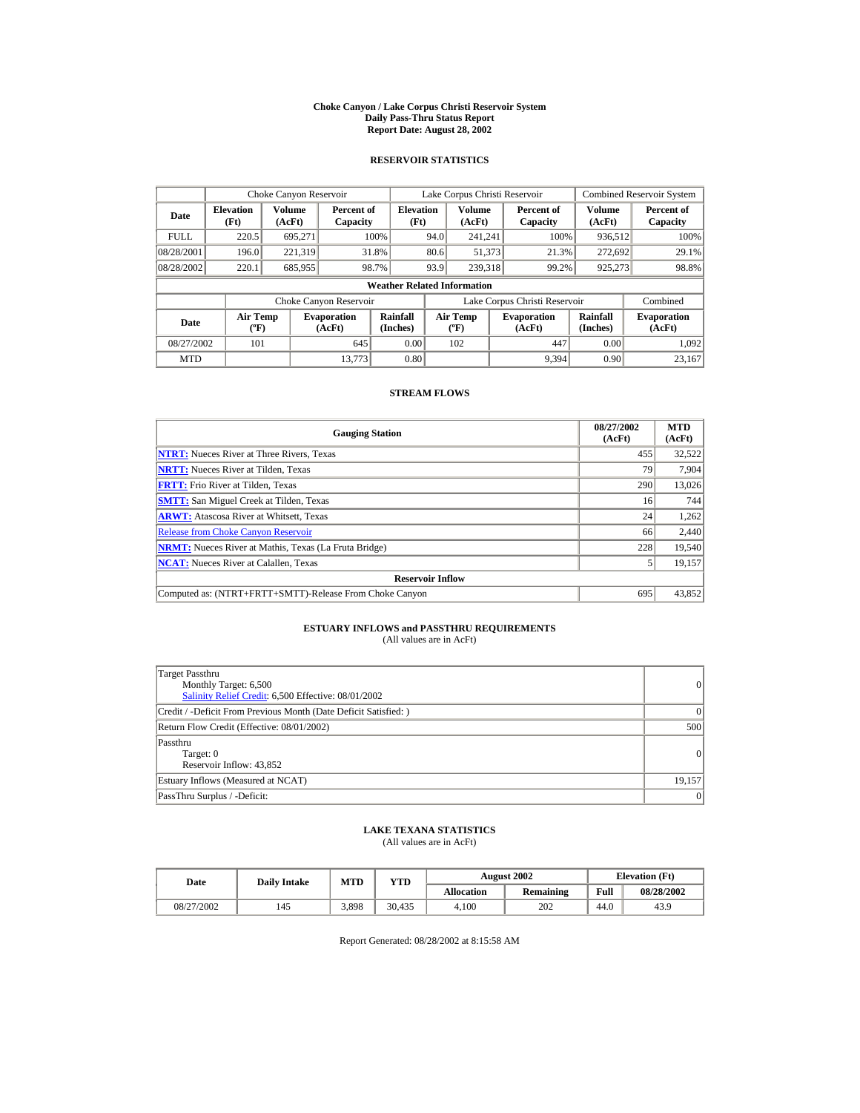#### **Choke Canyon / Lake Corpus Christi Reservoir System Daily Pass-Thru Status Report Report Date: August 28, 2002**

## **RESERVOIR STATISTICS**

|             | Choke Canyon Reservoir                      |                  |                              |                          | Lake Corpus Christi Reservoir |                                             |  |                               | <b>Combined Reservoir System</b> |                              |  |  |
|-------------|---------------------------------------------|------------------|------------------------------|--------------------------|-------------------------------|---------------------------------------------|--|-------------------------------|----------------------------------|------------------------------|--|--|
| Date        | <b>Elevation</b><br>(Ft)                    | Volume<br>(AcFt) | Percent of<br>Capacity       | <b>Elevation</b><br>(Ft) |                               | Volume<br>(AcFt)                            |  | Percent of<br>Capacity        | Volume<br>(AcFt)                 | Percent of<br>Capacity       |  |  |
| <b>FULL</b> | 220.5                                       | 695.271          |                              | 100%                     | 94.0                          | 241.241                                     |  | 100%                          | 936,512                          | 100%                         |  |  |
| 08/28/2001  | 196.0                                       | 221,319          |                              | 31.8%                    | 80.6                          | 51,373                                      |  | 21.3%                         | 272,692                          | 29.1%                        |  |  |
| 08/28/2002  | 220.1                                       | 685,955          |                              | 98.7%                    | 93.9                          | 239,318                                     |  | 99.2%                         | 925,273                          | 98.8%                        |  |  |
|             | <b>Weather Related Information</b>          |                  |                              |                          |                               |                                             |  |                               |                                  |                              |  |  |
|             |                                             |                  | Choke Canyon Reservoir       |                          |                               |                                             |  | Lake Corpus Christi Reservoir |                                  | Combined                     |  |  |
| Date        | <b>Air Temp</b><br>$({}^{\circ}\mathrm{F})$ |                  | <b>Evaporation</b><br>(AcFt) | Rainfall<br>(Inches)     |                               | <b>Air Temp</b><br>$({}^{\circ}\mathbf{F})$ |  | <b>Evaporation</b><br>(AcFt)  | Rainfall<br>(Inches)             | <b>Evaporation</b><br>(AcFt) |  |  |
| 08/27/2002  | 101                                         |                  | 645                          | 0.00                     |                               | 102                                         |  | 447                           | 0.00                             | 1.092                        |  |  |
| <b>MTD</b>  |                                             |                  | 13,773                       | 0.80                     |                               |                                             |  | 9,394                         | 0.90                             | 23.167                       |  |  |

## **STREAM FLOWS**

| <b>Gauging Station</b>                                       | 08/27/2002<br>(AcFt) | <b>MTD</b><br>(AcFt) |
|--------------------------------------------------------------|----------------------|----------------------|
| <b>NTRT:</b> Nueces River at Three Rivers, Texas             | 455                  | 32,522               |
| <b>NRTT:</b> Nueces River at Tilden, Texas                   | 79                   | 7,904                |
| <b>FRTT:</b> Frio River at Tilden, Texas                     | 290                  | 13,026               |
| <b>SMTT:</b> San Miguel Creek at Tilden, Texas               | 16                   | 744                  |
| <b>ARWT:</b> Atascosa River at Whitsett, Texas               | 24                   | 1,262                |
| <b>Release from Choke Canyon Reservoir</b>                   | 66                   | 2,440                |
| <b>NRMT:</b> Nueces River at Mathis, Texas (La Fruta Bridge) | 228                  | 19.540               |
| <b>NCAT:</b> Nueces River at Calallen, Texas                 |                      | 19,157               |
| <b>Reservoir Inflow</b>                                      |                      |                      |
| Computed as: (NTRT+FRTT+SMTT)-Release From Choke Canyon      | 695                  | 43,852               |

## **ESTUARY INFLOWS and PASSTHRU REQUIREMENTS**<br>(All values are in AcFt)

| Target Passthru<br>Monthly Target: 6,500<br>Salinity Relief Credit: 6,500 Effective: 08/01/2002 | 0               |
|-------------------------------------------------------------------------------------------------|-----------------|
| Credit / -Deficit From Previous Month (Date Deficit Satisfied:)                                 | $\vert$ 0       |
| Return Flow Credit (Effective: 08/01/2002)                                                      | 500             |
| Passthru<br>Target: 0<br>Reservoir Inflow: 43,852                                               | 0               |
| Estuary Inflows (Measured at NCAT)                                                              | 19,157          |
| PassThru Surplus / -Deficit:                                                                    | $\vert 0 \vert$ |

## **LAKE TEXANA STATISTICS**

(All values are in AcFt)

| Date       | <b>Daily Intake</b> | <b>MTD</b> | YTD    |                   | <b>August 2002</b> | <b>Elevation</b> (Ft) |            |
|------------|---------------------|------------|--------|-------------------|--------------------|-----------------------|------------|
|            |                     |            |        | <b>Allocation</b> | <b>Remaining</b>   | Full                  | 08/28/2002 |
| 08/27/2002 | 145                 | 3.898      | 30.435 | 4.100             | 202                | 44.0                  | 43.9       |

Report Generated: 08/28/2002 at 8:15:58 AM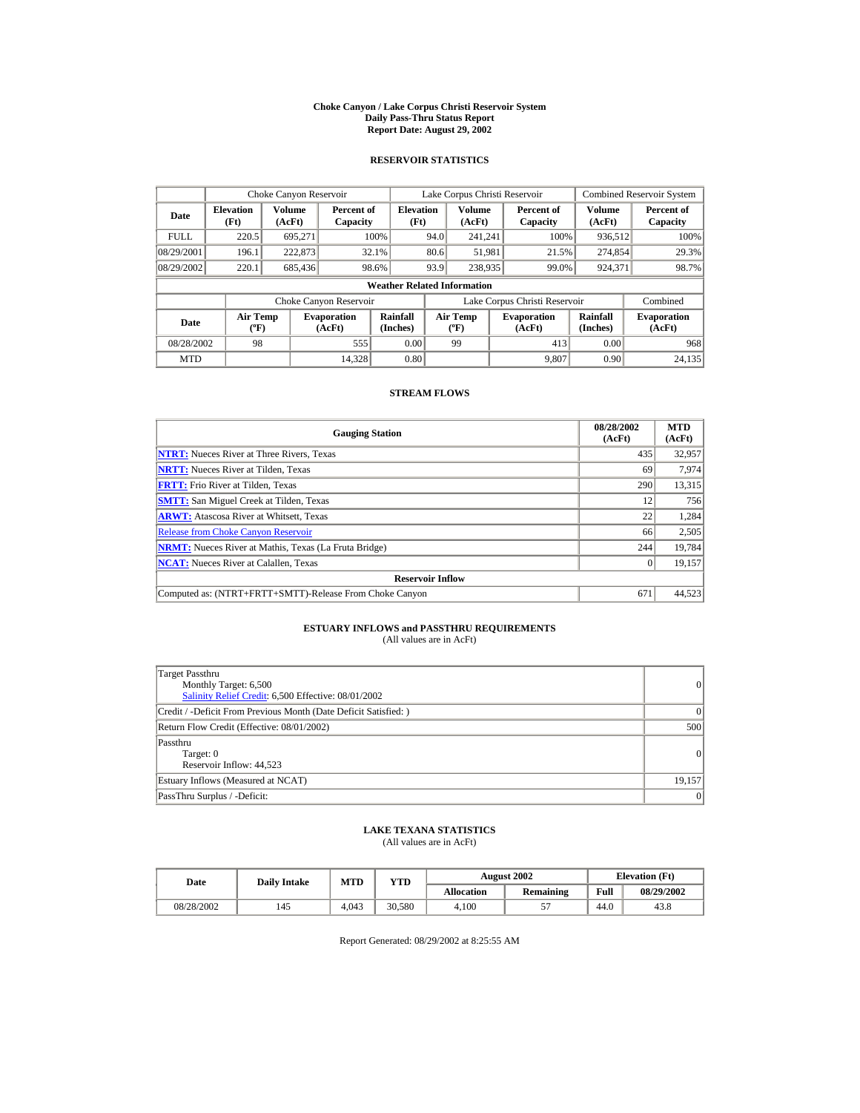#### **Choke Canyon / Lake Corpus Christi Reservoir System Daily Pass-Thru Status Report Report Date: August 29, 2002**

## **RESERVOIR STATISTICS**

|             | Choke Canyon Reservoir                |                  |                              |                          | Lake Corpus Christi Reservoir |                                          |  |                               |                      | <b>Combined Reservoir System</b> |  |  |
|-------------|---------------------------------------|------------------|------------------------------|--------------------------|-------------------------------|------------------------------------------|--|-------------------------------|----------------------|----------------------------------|--|--|
| Date        | <b>Elevation</b><br>(Ft)              | Volume<br>(AcFt) | Percent of<br>Capacity       | <b>Elevation</b><br>(Ft) |                               | <b>Volume</b><br>(AcFt)                  |  | Percent of<br>Capacity        | Volume<br>(AcFt)     | Percent of<br>Capacity           |  |  |
| <b>FULL</b> | 220.5                                 | 695.271          |                              | 100%                     | 94.0                          | 241.241                                  |  | 100%                          | 936,512              | 100%                             |  |  |
| 08/29/2001  | 196.1                                 | 222,873          |                              | 32.1%                    | 80.6                          | 51,981                                   |  | 21.5%                         | 274,854              | 29.3%                            |  |  |
| 08/29/2002  | 220.1                                 | 685,436          |                              | 98.6%                    | 93.9                          | 238,935                                  |  | 99.0%                         | 924,371              | 98.7%                            |  |  |
|             | <b>Weather Related Information</b>    |                  |                              |                          |                               |                                          |  |                               |                      |                                  |  |  |
|             |                                       |                  | Choke Canyon Reservoir       |                          |                               |                                          |  | Lake Corpus Christi Reservoir |                      | Combined                         |  |  |
| Date        | <b>Air Temp</b><br>$({}^o\mathrm{F})$ |                  | <b>Evaporation</b><br>(AcFt) | Rainfall<br>(Inches)     |                               | <b>Air Temp</b><br>$({}^{\circ}{\rm F})$ |  | <b>Evaporation</b><br>(AcFt)  | Rainfall<br>(Inches) | <b>Evaporation</b><br>(AcFt)     |  |  |
| 08/28/2002  | 98                                    |                  | 555                          | 0.00                     |                               | 99                                       |  | 413                           | 0.00                 | 968                              |  |  |
| <b>MTD</b>  |                                       |                  | 14.328                       | 0.80                     |                               |                                          |  | 9.807                         | 0.90                 | 24.135                           |  |  |

## **STREAM FLOWS**

| <b>Gauging Station</b>                                       | 08/28/2002<br>(AcFt) | <b>MTD</b><br>(AcFt) |
|--------------------------------------------------------------|----------------------|----------------------|
| <b>NTRT:</b> Nueces River at Three Rivers, Texas             | 435                  | 32,957               |
| <b>NRTT:</b> Nueces River at Tilden, Texas                   | 69                   | 7,974                |
| <b>FRTT:</b> Frio River at Tilden, Texas                     | 290                  | 13,315               |
| <b>SMTT:</b> San Miguel Creek at Tilden, Texas               | 12                   | 756                  |
| <b>ARWT:</b> Atascosa River at Whitsett, Texas               | 22                   | 1,284                |
| <b>Release from Choke Canyon Reservoir</b>                   | 66                   | 2,505                |
| <b>NRMT:</b> Nueces River at Mathis, Texas (La Fruta Bridge) | 244                  | 19.784               |
| <b>NCAT:</b> Nueces River at Calallen, Texas                 |                      | 19,157               |
| <b>Reservoir Inflow</b>                                      |                      |                      |
| Computed as: (NTRT+FRTT+SMTT)-Release From Choke Canyon      | 671                  | 44,523               |

## **ESTUARY INFLOWS and PASSTHRU REQUIREMENTS**<br>(All values are in AcFt)

| Target Passthru<br>Monthly Target: 6,500<br>Salinity Relief Credit: 6,500 Effective: 08/01/2002 | $\overline{0}$ |
|-------------------------------------------------------------------------------------------------|----------------|
| Credit / -Deficit From Previous Month (Date Deficit Satisfied: )                                | ( )            |
| Return Flow Credit (Effective: 08/01/2002)                                                      | 500            |
| Passthru<br>Target: 0<br>Reservoir Inflow: 44,523                                               | $\overline{0}$ |
| Estuary Inflows (Measured at NCAT)                                                              | 19.157         |
| PassThru Surplus / -Deficit:                                                                    | 0              |

## **LAKE TEXANA STATISTICS**

(All values are in AcFt)

| Date       | <b>Daily Intake</b> | <b>MTD</b> | YTD    |                   | <b>August 2002</b> | <b>Elevation</b> (Ft) |            |
|------------|---------------------|------------|--------|-------------------|--------------------|-----------------------|------------|
|            |                     |            |        | <b>Allocation</b> | Remaining          | Full                  | 08/29/2002 |
| 08/28/2002 | 145                 | 4.043      | 30.580 | 4.100             |                    | 44.0                  | 43.8       |

Report Generated: 08/29/2002 at 8:25:55 AM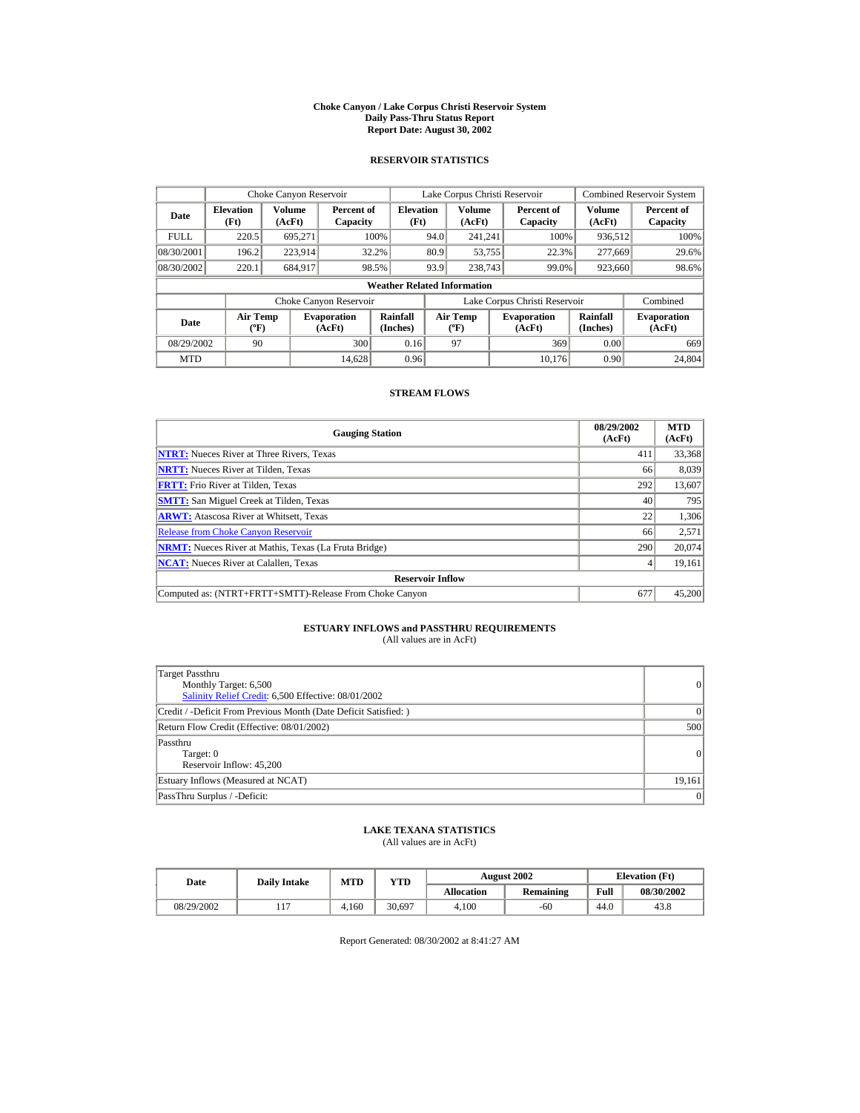#### **Choke Canyon / Lake Corpus Christi Reservoir System Daily Pass-Thru Status Report Report Date: August 30, 2002**

## **RESERVOIR STATISTICS**

|             | Choke Canyon Reservoir             |                  |                                                                                                     |                          | Lake Corpus Christi Reservoir |                         |                              |                               |                         | <b>Combined Reservoir System</b> |  |  |
|-------------|------------------------------------|------------------|-----------------------------------------------------------------------------------------------------|--------------------------|-------------------------------|-------------------------|------------------------------|-------------------------------|-------------------------|----------------------------------|--|--|
| Date        | <b>Elevation</b><br>(Ft)           | Volume<br>(AcFt) | Percent of<br>Capacity                                                                              | <b>Elevation</b><br>(Ft) |                               | <b>Volume</b><br>(AcFt) |                              | Percent of<br>Capacity        | <b>Volume</b><br>(AcFt) | Percent of<br>Capacity           |  |  |
| <b>FULL</b> | 220.5                              | 695.271          |                                                                                                     | 100%                     | 94.0                          | 241.241                 |                              | 100%                          | 936,512                 | 100%                             |  |  |
| 08/30/2001  | 196.2                              | 223.914          |                                                                                                     | 32.2%                    | 80.9                          | 53,755                  |                              | 22.3%                         | 277,669                 | 29.6%                            |  |  |
| 08/30/2002  | 220.1                              | 684.917          |                                                                                                     | 98.5%                    | 93.9                          | 238,743                 |                              | 99.0%                         | 923,660                 | 98.6%                            |  |  |
|             | <b>Weather Related Information</b> |                  |                                                                                                     |                          |                               |                         |                              |                               |                         |                                  |  |  |
|             |                                    |                  | Choke Canyon Reservoir                                                                              |                          |                               |                         |                              | Lake Corpus Christi Reservoir |                         | Combined                         |  |  |
| Date        | Air Temp<br>$({}^o\mathrm{F})$     |                  | Rainfall<br>Air Temp<br><b>Evaporation</b><br>(Inches)<br>(AcFt)<br>(AcFt)<br>$({}^{\circ}{\rm F})$ |                          | <b>Evaporation</b>            | Rainfall<br>(Inches)    | <b>Evaporation</b><br>(AcFt) |                               |                         |                                  |  |  |
| 08/29/2002  | 90                                 |                  | 300                                                                                                 | 0.16                     |                               | 97                      |                              | 369                           | 0.00                    | 669                              |  |  |
| <b>MTD</b>  |                                    |                  | 14.628                                                                                              | 0.96                     |                               |                         |                              | 10.176                        | 0.90                    | 24,804                           |  |  |

## **STREAM FLOWS**

| <b>Gauging Station</b>                                       | 08/29/2002<br>(AcFt) | <b>MTD</b><br>(AcFt) |
|--------------------------------------------------------------|----------------------|----------------------|
| <b>NTRT:</b> Nueces River at Three Rivers, Texas             | 411                  | 33,368               |
| <b>NRTT:</b> Nueces River at Tilden, Texas                   | 66                   | 8,039                |
| <b>FRTT:</b> Frio River at Tilden, Texas                     | 292                  | 13,607               |
| <b>SMTT:</b> San Miguel Creek at Tilden, Texas               | 40                   | 795                  |
| <b>ARWT:</b> Atascosa River at Whitsett, Texas               | 22                   | 1,306                |
| <b>Release from Choke Canyon Reservoir</b>                   | 66                   | 2,571                |
| <b>NRMT:</b> Nueces River at Mathis, Texas (La Fruta Bridge) | 290                  | 20.074               |
| <b>NCAT:</b> Nueces River at Calallen, Texas                 |                      | 19,161               |
| <b>Reservoir Inflow</b>                                      |                      |                      |
| Computed as: (NTRT+FRTT+SMTT)-Release From Choke Canyon      | 677                  | 45,200               |

# **ESTUARY INFLOWS and PASSTHRU REQUIREMENTS**<br>(All values are in AcFt)

| Target Passthru<br>Monthly Target: 6,500<br>Salinity Relief Credit: 6,500 Effective: 08/01/2002 | 0              |
|-------------------------------------------------------------------------------------------------|----------------|
| Credit / -Deficit From Previous Month (Date Deficit Satisfied:)                                 | $\Omega$       |
| Return Flow Credit (Effective: 08/01/2002)                                                      | 500            |
| Passthru<br>Target: 0<br>Reservoir Inflow: 45,200                                               | $\overline{0}$ |
| Estuary Inflows (Measured at NCAT)                                                              | 19.161         |
| PassThru Surplus / -Deficit:                                                                    | 0              |

## **LAKE TEXANA STATISTICS**

(All values are in AcFt)

| Date       | <b>Daily Intake</b> | <b>MTD</b> | YTD    |                   | <b>August 2002</b> | <b>Elevation</b> (Ft) |            |
|------------|---------------------|------------|--------|-------------------|--------------------|-----------------------|------------|
|            |                     |            |        | <b>Allocation</b> | Remaining          | Full                  | 08/30/2002 |
| 08/29/2002 |                     | .160       | 30.697 | 4.100             | $-60$              | 44.0                  | 43.8       |

Report Generated: 08/30/2002 at 8:41:27 AM